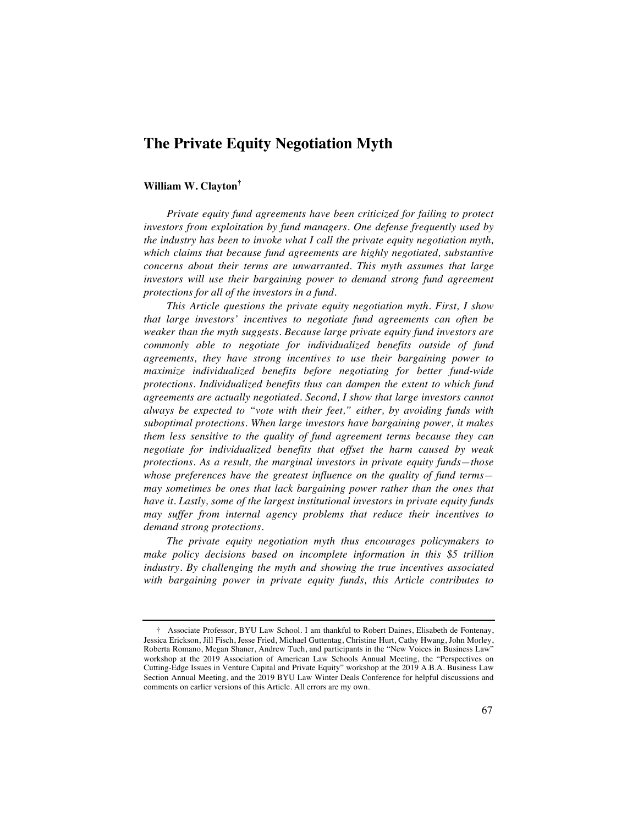# **The Private Equity Negotiation Myth**

# **William W. Clayton†**

*Private equity fund agreements have been criticized for failing to protect investors from exploitation by fund managers. One defense frequently used by the industry has been to invoke what I call the private equity negotiation myth, which claims that because fund agreements are highly negotiated, substantive concerns about their terms are unwarranted. This myth assumes that large investors will use their bargaining power to demand strong fund agreement protections for all of the investors in a fund.*

*This Article questions the private equity negotiation myth. First, I show that large investors' incentives to negotiate fund agreements can often be weaker than the myth suggests. Because large private equity fund investors are commonly able to negotiate for individualized benefits outside of fund agreements, they have strong incentives to use their bargaining power to maximize individualized benefits before negotiating for better fund-wide protections. Individualized benefits thus can dampen the extent to which fund agreements are actually negotiated. Second, I show that large investors cannot always be expected to "vote with their feet," either, by avoiding funds with suboptimal protections. When large investors have bargaining power, it makes them less sensitive to the quality of fund agreement terms because they can negotiate for individualized benefits that offset the harm caused by weak protections. As a result, the marginal investors in private equity funds—those whose preferences have the greatest influence on the quality of fund terms may sometimes be ones that lack bargaining power rather than the ones that have it. Lastly, some of the largest institutional investors in private equity funds may suffer from internal agency problems that reduce their incentives to demand strong protections.*

*The private equity negotiation myth thus encourages policymakers to make policy decisions based on incomplete information in this \$5 trillion industry. By challenging the myth and showing the true incentives associated with bargaining power in private equity funds, this Article contributes to* 

<sup>†</sup> Associate Professor, BYU Law School. I am thankful to Robert Daines, Elisabeth de Fontenay, Jessica Erickson, Jill Fisch, Jesse Fried, Michael Guttentag, Christine Hurt, Cathy Hwang, John Morley, Roberta Romano, Megan Shaner, Andrew Tuch, and participants in the "New Voices in Business Law" workshop at the 2019 Association of American Law Schools Annual Meeting, the "Perspectives on Cutting-Edge Issues in Venture Capital and Private Equity" workshop at the 2019 A.B.A. Business Law Section Annual Meeting, and the 2019 BYU Law Winter Deals Conference for helpful discussions and comments on earlier versions of this Article. All errors are my own.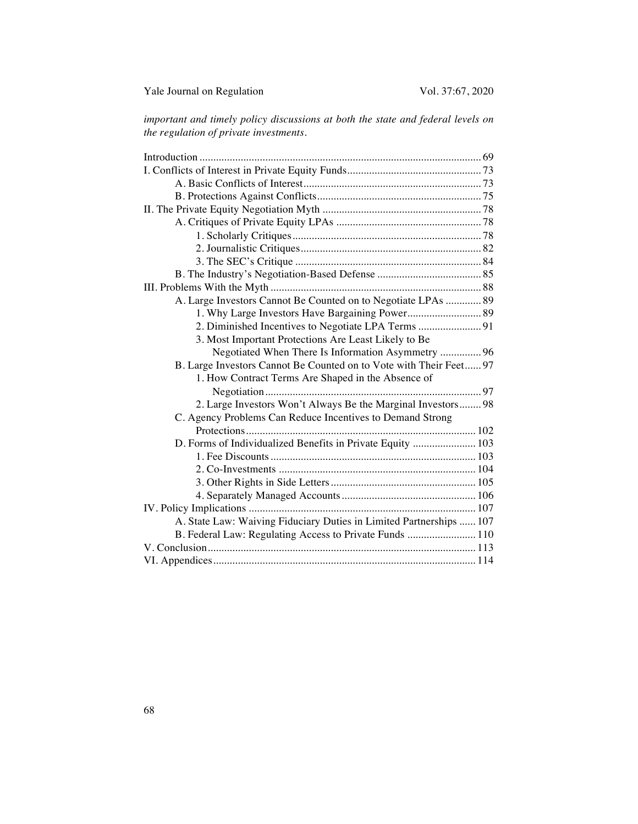*important and timely policy discussions at both the state and federal levels on the regulation of private investments.*

| A. Large Investors Cannot Be Counted on to Negotiate LPAs  89       |  |
|---------------------------------------------------------------------|--|
| 1. Why Large Investors Have Bargaining Power 89                     |  |
| 2. Diminished Incentives to Negotiate LPA Terms  91                 |  |
| 3. Most Important Protections Are Least Likely to Be                |  |
| Negotiated When There Is Information Asymmetry  96                  |  |
| B. Large Investors Cannot Be Counted on to Vote with Their Feet 97  |  |
| 1. How Contract Terms Are Shaped in the Absence of                  |  |
|                                                                     |  |
| 2. Large Investors Won't Always Be the Marginal Investors 98        |  |
| C. Agency Problems Can Reduce Incentives to Demand Strong           |  |
|                                                                     |  |
| D. Forms of Individualized Benefits in Private Equity  103          |  |
|                                                                     |  |
|                                                                     |  |
|                                                                     |  |
|                                                                     |  |
|                                                                     |  |
| A. State Law: Waiving Fiduciary Duties in Limited Partnerships  107 |  |
| B. Federal Law: Regulating Access to Private Funds  110             |  |
|                                                                     |  |
|                                                                     |  |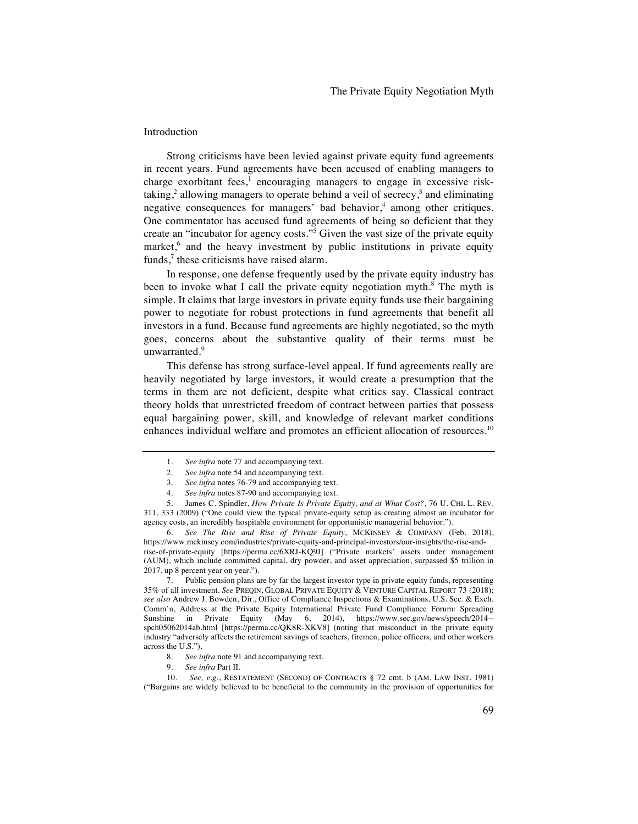# Introduction

Strong criticisms have been levied against private equity fund agreements in recent years. Fund agreements have been accused of enabling managers to charge exorbitant fees,<sup>1</sup> encouraging managers to engage in excessive risktaking,<sup>2</sup> allowing managers to operate behind a veil of secrecy,<sup>3</sup> and eliminating negative consequences for managers' bad behavior,<sup>4</sup> among other critiques. One commentator has accused fund agreements of being so deficient that they create an "incubator for agency costs."5 Given the vast size of the private equity market,<sup>6</sup> and the heavy investment by public institutions in private equity funds, $\frac{7}{7}$  these criticisms have raised alarm.

In response, one defense frequently used by the private equity industry has been to invoke what I call the private equity negotiation myth.<sup>8</sup> The myth is simple. It claims that large investors in private equity funds use their bargaining power to negotiate for robust protections in fund agreements that benefit all investors in a fund. Because fund agreements are highly negotiated, so the myth goes, concerns about the substantive quality of their terms must be unwarranted.<sup>9</sup>

This defense has strong surface-level appeal. If fund agreements really are heavily negotiated by large investors, it would create a presumption that the terms in them are not deficient, despite what critics say. Classical contract theory holds that unrestricted freedom of contract between parties that possess equal bargaining power, skill, and knowledge of relevant market conditions enhances individual welfare and promotes an efficient allocation of resources.<sup>10</sup>

- 3. *See infra* notes 76-79 and accompanying text.
- 4. *See infra* notes 87-90 and accompanying text.

5. James C. Spindler, *How Private Is Private Equity, and at What Cost?*, 76 U. CHI. L. REV. 311, 333 (2009) ("One could view the typical private-equity setup as creating almost an incubator for agency costs, an incredibly hospitable environment for opportunistic managerial behavior.").

6. *See The Rise and Rise of Private Equity*, MCKINSEY & COMPANY (Feb. 2018), https://www.mckinsey.com/industries/private-equity-and-principal-investors/our-insights/the-rise-andrise-of-private-equity [https://perma.cc/6XRJ-KQ9J] ("Private markets' assets under management (AUM), which include committed capital, dry powder, and asset appreciation, surpassed \$5 trillion in 2017, up 8 percent year on year.").

7. Public pension plans are by far the largest investor type in private equity funds, representing 35% of all investment. *See* PREQIN, GLOBAL PRIVATE EQUITY & VENTURE CAPITAL REPORT 73 (2018); *see also* Andrew J. Bowden, Dir., Office of Compliance Inspections & Examinations, U.S. Sec. & Exch. Comm'n, Address at the Private Equity International Private Fund Compliance Forum: Spreading Sunshine in Private Equity (May 6, 2014), https://www.sec.gov/news/speech/2014- spch05062014ab.html [https://perma.cc/QK8R-XKV8] (noting that misconduct in the private equity industry "adversely affects the retirement savings of teachers, firemen, police officers, and other workers across the U.S.").

- 8. *See infra* note 91 and accompanying text.
- 9. *See infra* Part II.

10. *See, e*.*g*., RESTATEMENT (SECOND) OF CONTRACTS § 72 cmt. b (AM. LAW INST. 1981) ("Bargains are widely believed to be beneficial to the community in the provision of opportunities for

<sup>1.</sup> *See infra* note 77 and accompanying text.

<sup>2.</sup> *See infra* note 54 and accompanying text.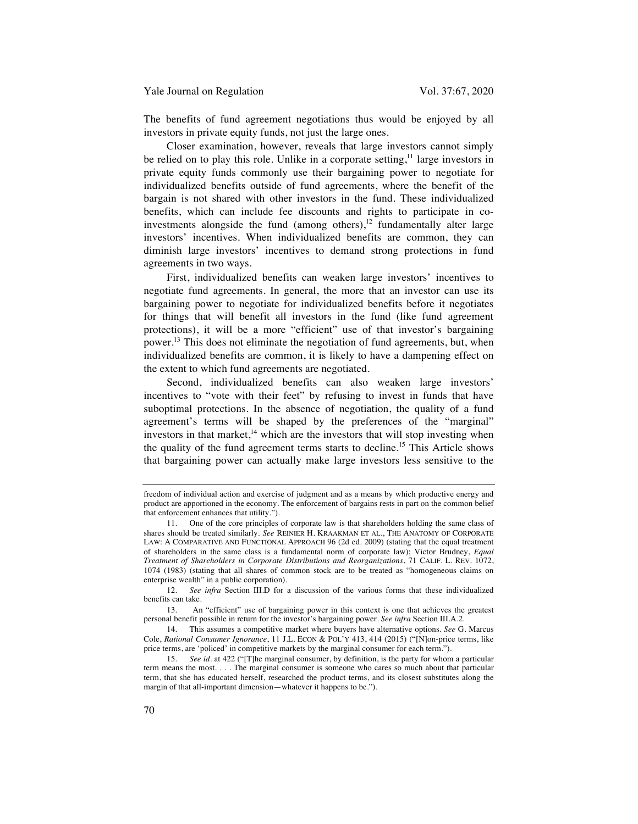The benefits of fund agreement negotiations thus would be enjoyed by all investors in private equity funds, not just the large ones.

Closer examination, however, reveals that large investors cannot simply be relied on to play this role. Unlike in a corporate setting, $11$  large investors in private equity funds commonly use their bargaining power to negotiate for individualized benefits outside of fund agreements, where the benefit of the bargain is not shared with other investors in the fund. These individualized benefits, which can include fee discounts and rights to participate in coinvestments alongside the fund (among others), $12$  fundamentally alter large investors' incentives. When individualized benefits are common, they can diminish large investors' incentives to demand strong protections in fund agreements in two ways.

First, individualized benefits can weaken large investors' incentives to negotiate fund agreements. In general, the more that an investor can use its bargaining power to negotiate for individualized benefits before it negotiates for things that will benefit all investors in the fund (like fund agreement protections), it will be a more "efficient" use of that investor's bargaining power.<sup>13</sup> This does not eliminate the negotiation of fund agreements, but, when individualized benefits are common, it is likely to have a dampening effect on the extent to which fund agreements are negotiated.

Second, individualized benefits can also weaken large investors' incentives to "vote with their feet" by refusing to invest in funds that have suboptimal protections. In the absence of negotiation, the quality of a fund agreement's terms will be shaped by the preferences of the "marginal" investors in that market, $14$  which are the investors that will stop investing when the quality of the fund agreement terms starts to decline.15 This Article shows that bargaining power can actually make large investors less sensitive to the

freedom of individual action and exercise of judgment and as a means by which productive energy and product are apportioned in the economy. The enforcement of bargains rests in part on the common belief that enforcement enhances that utility.").

<sup>11.</sup> One of the core principles of corporate law is that shareholders holding the same class of shares should be treated similarly. *See* REINIER H. KRAAKMAN ET AL., THE ANATOMY OF CORPORATE LAW: A COMPARATIVE AND FUNCTIONAL APPROACH 96 (2d ed. 2009) (stating that the equal treatment of shareholders in the same class is a fundamental norm of corporate law); Victor Brudney, *Equal Treatment of Shareholders in Corporate Distributions and Reorganizations*, 71 CALIF. L. REV. 1072, 1074 (1983) (stating that all shares of common stock are to be treated as "homogeneous claims on enterprise wealth" in a public corporation).

<sup>12.</sup> *See infra* Section III.D for a discussion of the various forms that these individualized benefits can take.

<sup>13.</sup> An "efficient" use of bargaining power in this context is one that achieves the greatest personal benefit possible in return for the investor's bargaining power. *See infra* Section III.A.2.

<sup>14.</sup> This assumes a competitive market where buyers have alternative options. *See* G. Marcus Cole, *Rational Consumer Ignorance*, 11 J.L. ECON & POL'Y 413, 414 (2015) ("[N]on-price terms, like price terms, are 'policed' in competitive markets by the marginal consumer for each term.").

<sup>15.</sup> *See id*. at 422 ("[T]he marginal consumer, by definition, is the party for whom a particular term means the most. . . . The marginal consumer is someone who cares so much about that particular term, that she has educated herself, researched the product terms, and its closest substitutes along the margin of that all-important dimension—whatever it happens to be.").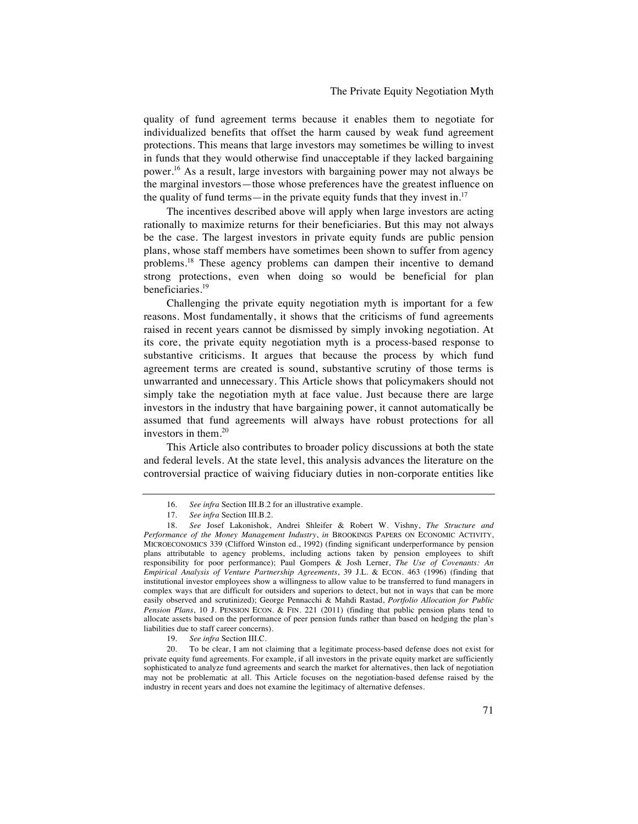quality of fund agreement terms because it enables them to negotiate for individualized benefits that offset the harm caused by weak fund agreement protections. This means that large investors may sometimes be willing to invest in funds that they would otherwise find unacceptable if they lacked bargaining power.16 As a result, large investors with bargaining power may not always be the marginal investors—those whose preferences have the greatest influence on the quality of fund terms—in the private equity funds that they invest in.<sup>17</sup>

The incentives described above will apply when large investors are acting rationally to maximize returns for their beneficiaries. But this may not always be the case. The largest investors in private equity funds are public pension plans, whose staff members have sometimes been shown to suffer from agency problems.<sup>18</sup> These agency problems can dampen their incentive to demand strong protections, even when doing so would be beneficial for plan beneficiaries.19

Challenging the private equity negotiation myth is important for a few reasons. Most fundamentally, it shows that the criticisms of fund agreements raised in recent years cannot be dismissed by simply invoking negotiation. At its core, the private equity negotiation myth is a process-based response to substantive criticisms. It argues that because the process by which fund agreement terms are created is sound, substantive scrutiny of those terms is unwarranted and unnecessary. This Article shows that policymakers should not simply take the negotiation myth at face value. Just because there are large investors in the industry that have bargaining power, it cannot automatically be assumed that fund agreements will always have robust protections for all investors in them.20

This Article also contributes to broader policy discussions at both the state and federal levels. At the state level, this analysis advances the literature on the controversial practice of waiving fiduciary duties in non-corporate entities like

19. *See infra* Section III.C.

<sup>16.</sup> *See infra* Section III.B.2 for an illustrative example.

<sup>17.</sup> *See infra* Section III.B.2.

<sup>18.</sup> *See* Josef Lakonishok, Andrei Shleifer & Robert W. Vishny, *The Structure and Performance of the Money Management Industry*, *in* BROOKINGS PAPERS ON ECONOMIC ACTIVITY, MICROECONOMICS 339 (Clifford Winston ed., 1992) (finding significant underperformance by pension plans attributable to agency problems, including actions taken by pension employees to shift responsibility for poor performance); Paul Gompers & Josh Lerner, *The Use of Covenants: An Empirical Analysis of Venture Partnership Agreements*, 39 J.L. & ECON. 463 (1996) (finding that institutional investor employees show a willingness to allow value to be transferred to fund managers in complex ways that are difficult for outsiders and superiors to detect, but not in ways that can be more easily observed and scrutinized); George Pennacchi & Mahdi Rastad, *Portfolio Allocation for Public Pension Plans*, 10 J. PENSION ECON. & FIN. 221 (2011) (finding that public pension plans tend to allocate assets based on the performance of peer pension funds rather than based on hedging the plan's liabilities due to staff career concerns).

<sup>20.</sup> To be clear, I am not claiming that a legitimate process-based defense does not exist for private equity fund agreements. For example, if all investors in the private equity market are sufficiently sophisticated to analyze fund agreements and search the market for alternatives, then lack of negotiation may not be problematic at all. This Article focuses on the negotiation-based defense raised by the industry in recent years and does not examine the legitimacy of alternative defenses.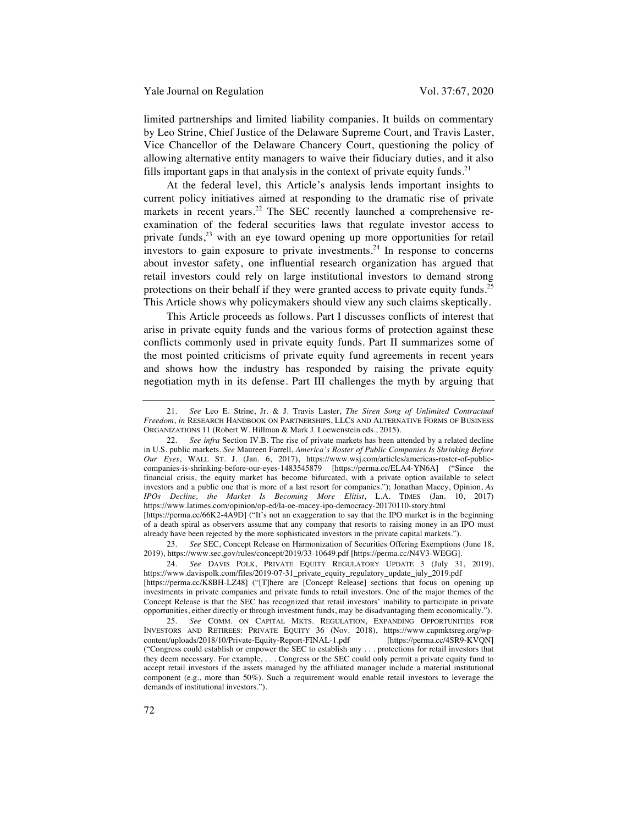limited partnerships and limited liability companies. It builds on commentary by Leo Strine, Chief Justice of the Delaware Supreme Court, and Travis Laster, Vice Chancellor of the Delaware Chancery Court, questioning the policy of allowing alternative entity managers to waive their fiduciary duties, and it also fills important gaps in that analysis in the context of private equity funds.<sup>21</sup>

At the federal level, this Article's analysis lends important insights to current policy initiatives aimed at responding to the dramatic rise of private markets in recent years.<sup>22</sup> The SEC recently launched a comprehensive reexamination of the federal securities laws that regulate investor access to private funds,  $2<sup>3</sup>$  with an eye toward opening up more opportunities for retail investors to gain exposure to private investments.<sup>24</sup> In response to concerns about investor safety, one influential research organization has argued that retail investors could rely on large institutional investors to demand strong protections on their behalf if they were granted access to private equity funds.<sup>25</sup> This Article shows why policymakers should view any such claims skeptically.

This Article proceeds as follows. Part I discusses conflicts of interest that arise in private equity funds and the various forms of protection against these conflicts commonly used in private equity funds. Part II summarizes some of the most pointed criticisms of private equity fund agreements in recent years and shows how the industry has responded by raising the private equity negotiation myth in its defense. Part III challenges the myth by arguing that

already have been rejected by the more sophisticated investors in the private capital markets."). 23. *See* SEC, Concept Release on Harmonization of Securities Offering Exemptions (June 18, 2019), https://www.sec.gov/rules/concept/2019/33-10649.pdf [https://perma.cc/N4V3-WEGG].

<sup>21.</sup> *See* Leo E. Strine, Jr. & J. Travis Laster, *The Siren Song of Unlimited Contractual Freedom*, *in* RESEARCH HANDBOOK ON PARTNERSHIPS, LLCS AND ALTERNATIVE FORMS OF BUSINESS ORGANIZATIONS 11 (Robert W. Hillman & Mark J. Loewenstein eds., 2015).

<sup>22.</sup> *See infra* Section IV.B. The rise of private markets has been attended by a related decline in U.S. public markets. *See* Maureen Farrell, *America's Roster of Public Companies Is Shrinking Before Our Eyes*, WALL ST. J. (Jan. 6, 2017), https://www.wsj.com/articles/americas-roster-of-publiccompanies-is-shrinking-before-our-eyes-1483545879 [https://perma.cc/ELA4-YN6A] ("Since the financial crisis, the equity market has become bifurcated, with a private option available to select investors and a public one that is more of a last resort for companies."); Jonathan Macey, Opinion, *As IPOs Decline, the Market Is Becoming More Elitist*, L.A. TIMES (Jan. 10, 2017) https://www.latimes.com/opinion/op-ed/la-oe-macey-ipo-democracy-20170110-story.html [https://perma.cc/66K2-4A9D] ("It's not an exaggeration to say that the IPO market is in the beginning of a death spiral as observers assume that any company that resorts to raising money in an IPO must

<sup>24.</sup> *See* DAVIS POLK, PRIVATE EQUITY REGULATORY UPDATE 3 (July 31, 2019), https://www.davispolk.com/files/2019-07-31\_private\_equity\_regulatory\_update\_july\_2019.pdf [https://perma.cc/K8BH-LZ48] ("[T]here are [Concept Release] sections that focus on opening up investments in private companies and private funds to retail investors. One of the major themes of the Concept Release is that the SEC has recognized that retail investors' inability to participate in private opportunities, either directly or through investment funds, may be disadvantaging them economically.").

<sup>25.</sup> *See* COMM. ON CAPITAL MKTS. REGULATION, EXPANDING OPPORTUNITIES FOR INVESTORS AND RETIREES: PRIVATE EQUITY 36 (Nov. 2018), https://www.capmktsreg.org/wpcontent/uploads/2018/10/Private-Equity-Report-FINAL-1.pdf ("Congress could establish or empower the SEC to establish any . . . protections for retail investors that they deem necessary. For example, . . . Congress or the SEC could only permit a private equity fund to accept retail investors if the assets managed by the affiliated manager include a material institutional component (e.g., more than 50%). Such a requirement would enable retail investors to leverage the demands of institutional investors.").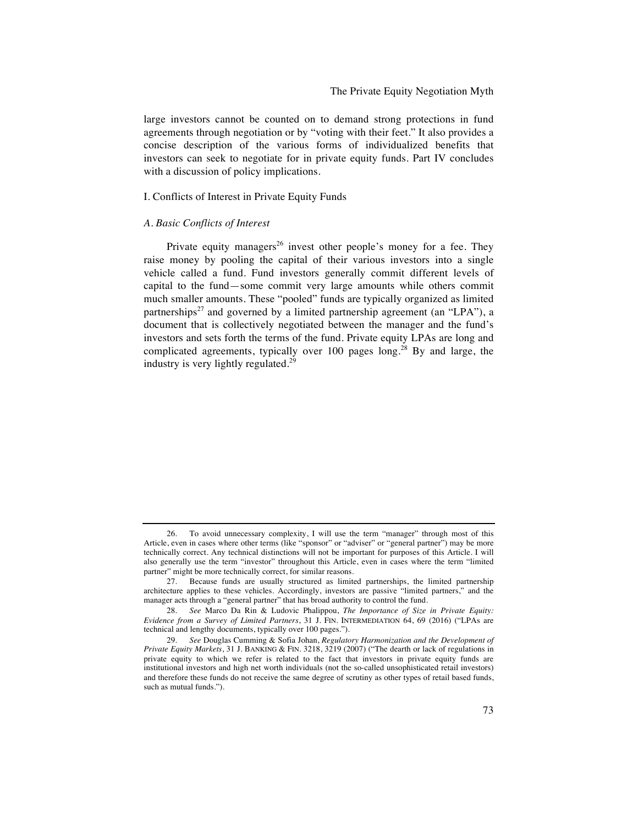large investors cannot be counted on to demand strong protections in fund agreements through negotiation or by "voting with their feet." It also provides a concise description of the various forms of individualized benefits that investors can seek to negotiate for in private equity funds. Part IV concludes with a discussion of policy implications.

#### I. Conflicts of Interest in Private Equity Funds

## *A. Basic Conflicts of Interest*

Private equity managers<sup>26</sup> invest other people's money for a fee. They raise money by pooling the capital of their various investors into a single vehicle called a fund. Fund investors generally commit different levels of capital to the fund—some commit very large amounts while others commit much smaller amounts. These "pooled" funds are typically organized as limited partnerships<sup>27</sup> and governed by a limited partnership agreement (an "LPA"), a document that is collectively negotiated between the manager and the fund's investors and sets forth the terms of the fund. Private equity LPAs are long and complicated agreements, typically over 100 pages long.<sup>28</sup> By and large, the industry is very lightly regulated.<sup>29</sup>

<sup>26.</sup> To avoid unnecessary complexity, I will use the term "manager" through most of this Article, even in cases where other terms (like "sponsor" or "adviser" or "general partner") may be more technically correct. Any technical distinctions will not be important for purposes of this Article. I will also generally use the term "investor" throughout this Article, even in cases where the term "limited partner" might be more technically correct, for similar reasons.

<sup>27.</sup> Because funds are usually structured as limited partnerships, the limited partnership architecture applies to these vehicles. Accordingly, investors are passive "limited partners," and the manager acts through a "general partner" that has broad authority to control the fund.

<sup>28.</sup> *See* Marco Da Rin & Ludovic Phalippou, *The Importance of Size in Private Equity: Evidence from a Survey of Limited Partners*, 31 J. FIN. INTERMEDIATION 64, 69 (2016) ("LPAs are technical and lengthy documents, typically over 100 pages.").

<sup>29.</sup> *See* Douglas Cumming & Sofia Johan, *Regulatory Harmonization and the Development of Private Equity Markets*, 31 J. BANKING & FIN. 3218, 3219 (2007) ("The dearth or lack of regulations in private equity to which we refer is related to the fact that investors in private equity funds are institutional investors and high net worth individuals (not the so-called unsophisticated retail investors) and therefore these funds do not receive the same degree of scrutiny as other types of retail based funds, such as mutual funds.").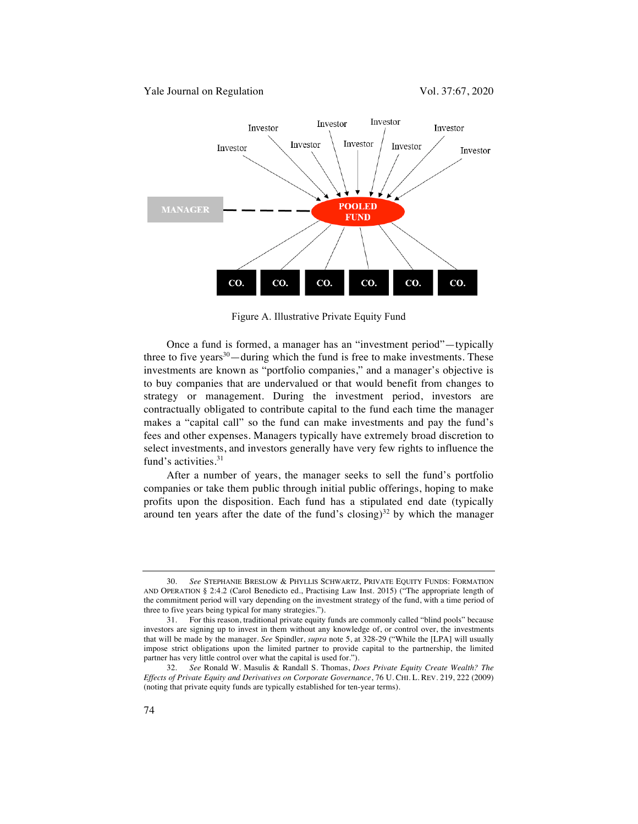

Figure A. Illustrative Private Equity Fund

Once a fund is formed, a manager has an "investment period"—typically three to five years $30$ —during which the fund is free to make investments. These investments are known as "portfolio companies," and a manager's objective is to buy companies that are undervalued or that would benefit from changes to strategy or management. During the investment period, investors are contractually obligated to contribute capital to the fund each time the manager makes a "capital call" so the fund can make investments and pay the fund's fees and other expenses. Managers typically have extremely broad discretion to select investments, and investors generally have very few rights to influence the fund's activities.<sup>31</sup>

After a number of years, the manager seeks to sell the fund's portfolio companies or take them public through initial public offerings, hoping to make profits upon the disposition. Each fund has a stipulated end date (typically around ten years after the date of the fund's closing) $32$  by which the manager

<sup>30.</sup> *See* STEPHANIE BRESLOW & PHYLLIS SCHWARTZ, PRIVATE EQUITY FUNDS: FORMATION AND OPERATION § 2:4.2 (Carol Benedicto ed., Practising Law Inst. 2015) ("The appropriate length of the commitment period will vary depending on the investment strategy of the fund, with a time period of three to five years being typical for many strategies.").

<sup>31.</sup> For this reason, traditional private equity funds are commonly called "blind pools" because investors are signing up to invest in them without any knowledge of, or control over, the investments that will be made by the manager. *See* Spindler, *supra* note 5, at 328-29 ("While the [LPA] will usually impose strict obligations upon the limited partner to provide capital to the partnership, the limited partner has very little control over what the capital is used for.").

<sup>32.</sup> *See* Ronald W. Masulis & Randall S. Thomas, *Does Private Equity Create Wealth? The Effects of Private Equity and Derivatives on Corporate Governance*, 76 U. CHI. L. REV. 219, 222 (2009) (noting that private equity funds are typically established for ten-year terms).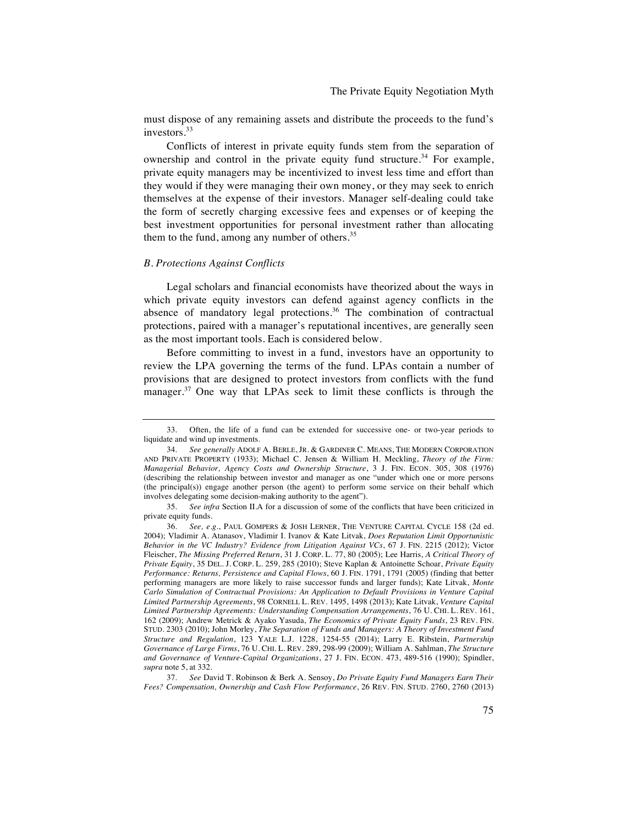must dispose of any remaining assets and distribute the proceeds to the fund's investors.<sup>33</sup>

Conflicts of interest in private equity funds stem from the separation of ownership and control in the private equity fund structure.<sup>34</sup> For example, private equity managers may be incentivized to invest less time and effort than they would if they were managing their own money, or they may seek to enrich themselves at the expense of their investors. Manager self-dealing could take the form of secretly charging excessive fees and expenses or of keeping the best investment opportunities for personal investment rather than allocating them to the fund, among any number of others. $35$ 

# *B. Protections Against Conflicts*

Legal scholars and financial economists have theorized about the ways in which private equity investors can defend against agency conflicts in the absence of mandatory legal protections.<sup>36</sup> The combination of contractual protections, paired with a manager's reputational incentives, are generally seen as the most important tools. Each is considered below.

Before committing to invest in a fund, investors have an opportunity to review the LPA governing the terms of the fund. LPAs contain a number of provisions that are designed to protect investors from conflicts with the fund manager.<sup>37</sup> One way that LPAs seek to limit these conflicts is through the

<sup>33.</sup> Often, the life of a fund can be extended for successive one- or two-year periods to liquidate and wind up investments.

<sup>34.</sup> *See generally* ADOLF A. BERLE, JR. & GARDINER C. MEANS, THE MODERN CORPORATION AND PRIVATE PROPERTY (1933); Michael C. Jensen & William H. Meckling, *Theory of the Firm: Managerial Behavior, Agency Costs and Ownership Structure*, 3 J. FIN. ECON. 305, 308 (1976) (describing the relationship between investor and manager as one "under which one or more persons (the principal(s)) engage another person (the agent) to perform some service on their behalf which involves delegating some decision-making authority to the agent").

<sup>35.</sup> *See infra* Section II.A for a discussion of some of the conflicts that have been criticized in private equity funds.

<sup>36.</sup> *See, e*.*g*., PAUL GOMPERS & JOSH LERNER, THE VENTURE CAPITAL CYCLE 158 (2d ed. 2004); Vladimir A. Atanasov, Vladimir I. Ivanov & Kate Litvak, *Does Reputation Limit Opportunistic Behavior in the VC Industry? Evidence from Litigation Against VCs*, 67 J. FIN. 2215 (2012); Victor Fleischer, *The Missing Preferred Return*, 31 J. CORP. L. 77, 80 (2005); Lee Harris, *A Critical Theory of Private Equity*, 35 DEL. J. CORP. L. 259, 285 (2010); Steve Kaplan & Antoinette Schoar, *Private Equity Performance: Returns, Persistence and Capital Flows*, 60 J. FIN. 1791, 1791 (2005) (finding that better performing managers are more likely to raise successor funds and larger funds); Kate Litvak, *Monte Carlo Simulation of Contractual Provisions: An Application to Default Provisions in Venture Capital Limited Partnership Agreements*, 98 CORNELL L. REV. 1495, 1498 (2013); Kate Litvak, *Venture Capital Limited Partnership Agreements: Understanding Compensation Arrangements*, 76 U. CHI. L. REV. 161, 162 (2009); Andrew Metrick & Ayako Yasuda, *The Economics of Private Equity Funds*, 23 REV. FIN. STUD. 2303 (2010); John Morley, *The Separation of Funds and Managers: A Theory of Investment Fund Structure and Regulation*, 123 YALE L.J. 1228, 1254-55 (2014); Larry E. Ribstein, *Partnership Governance of Large Firms*, 76 U. CHI. L. REV. 289, 298-99 (2009); William A. Sahlman, *The Structure and Governance of Venture-Capital Organizations*, 27 J. FIN. ECON. 473, 489-516 (1990); Spindler, *supra* note 5, at 332.

<sup>37.</sup> *See* David T. Robinson & Berk A. Sensoy, *Do Private Equity Fund Managers Earn Their Fees? Compensation, Ownership and Cash Flow Performance*, 26 REV. FIN. STUD. 2760, 2760 (2013)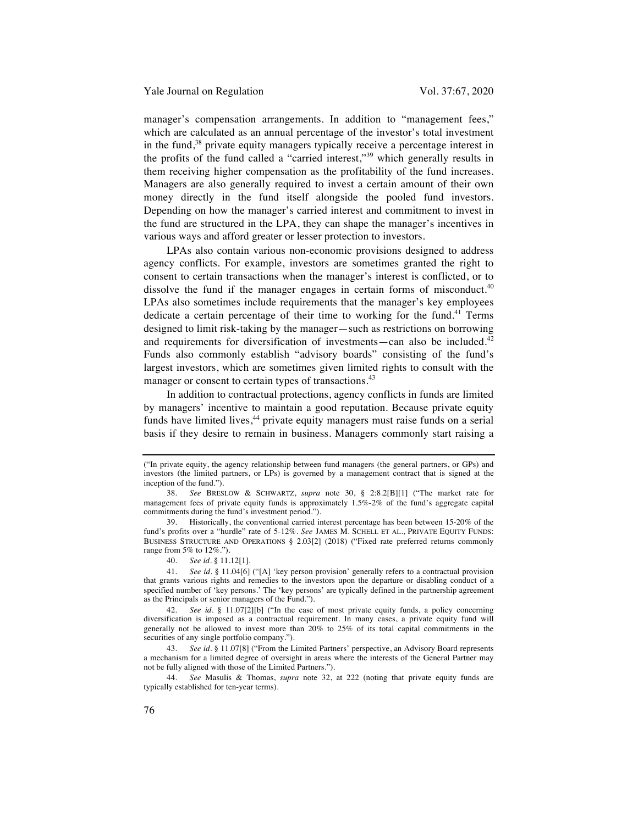manager's compensation arrangements. In addition to "management fees," which are calculated as an annual percentage of the investor's total investment in the fund,<sup>38</sup> private equity managers typically receive a percentage interest in the profits of the fund called a "carried interest,"<sup>39</sup> which generally results in them receiving higher compensation as the profitability of the fund increases. Managers are also generally required to invest a certain amount of their own money directly in the fund itself alongside the pooled fund investors. Depending on how the manager's carried interest and commitment to invest in the fund are structured in the LPA, they can shape the manager's incentives in various ways and afford greater or lesser protection to investors.

LPAs also contain various non-economic provisions designed to address agency conflicts. For example, investors are sometimes granted the right to consent to certain transactions when the manager's interest is conflicted, or to dissolve the fund if the manager engages in certain forms of misconduct.<sup>40</sup> LPAs also sometimes include requirements that the manager's key employees dedicate a certain percentage of their time to working for the fund.<sup>41</sup> Terms designed to limit risk-taking by the manager—such as restrictions on borrowing and requirements for diversification of investments—can also be included. $42$ Funds also commonly establish "advisory boards" consisting of the fund's largest investors, which are sometimes given limited rights to consult with the manager or consent to certain types of transactions.<sup>43</sup>

In addition to contractual protections, agency conflicts in funds are limited by managers' incentive to maintain a good reputation. Because private equity funds have limited lives,  $44$  private equity managers must raise funds on a serial basis if they desire to remain in business. Managers commonly start raising a

40. *See id*. § 11.12[1].

<sup>(&</sup>quot;In private equity, the agency relationship between fund managers (the general partners, or GPs) and investors (the limited partners, or LPs) is governed by a management contract that is signed at the inception of the fund.").

<sup>38.</sup> *See* BRESLOW & SCHWARTZ, *supra* note 30, § 2:8.2[B][1] ("The market rate for management fees of private equity funds is approximately 1.5%-2% of the fund's aggregate capital commitments during the fund's investment period.").

<sup>39.</sup> Historically, the conventional carried interest percentage has been between 15-20% of the fund's profits over a "hurdle" rate of 5-12%. *See* JAMES M. SCHELL ET AL., PRIVATE EQUITY FUNDS: BUSINESS STRUCTURE AND OPERATIONS § 2.03[2] (2018) ("Fixed rate preferred returns commonly range from 5% to 12%.").

<sup>41.</sup> *See id*. § 11.04[6] ("[A] 'key person provision' generally refers to a contractual provision that grants various rights and remedies to the investors upon the departure or disabling conduct of a specified number of 'key persons.' The 'key persons' are typically defined in the partnership agreement as the Principals or senior managers of the Fund.").

<sup>42.</sup> *See id*. § 11.07[2][b] ("In the case of most private equity funds, a policy concerning diversification is imposed as a contractual requirement. In many cases, a private equity fund will generally not be allowed to invest more than 20% to 25% of its total capital commitments in the securities of any single portfolio company.").

<sup>43.</sup> *See id*. § 11.07[8] ("From the Limited Partners' perspective, an Advisory Board represents a mechanism for a limited degree of oversight in areas where the interests of the General Partner may not be fully aligned with those of the Limited Partners.").

<sup>44.</sup> *See* Masulis & Thomas, *supra* note 32, at 222 (noting that private equity funds are typically established for ten-year terms).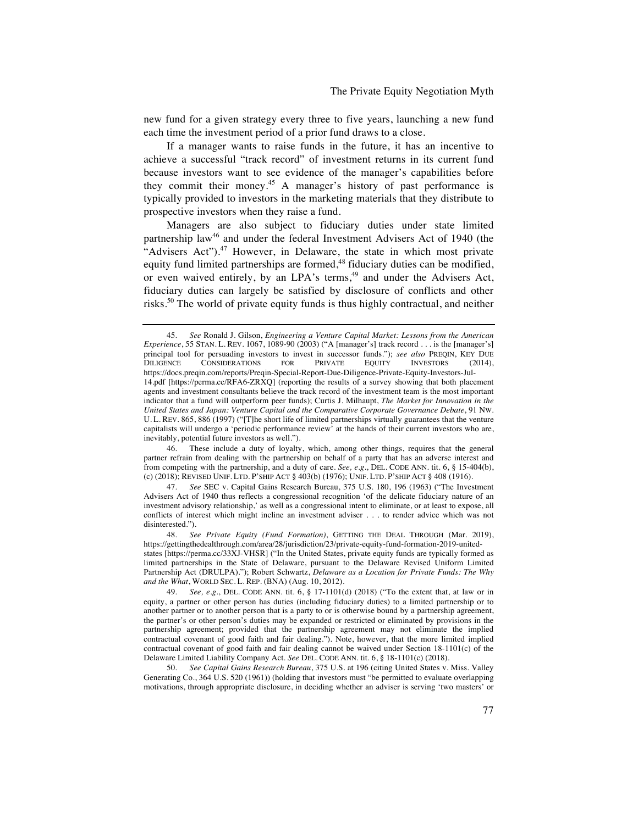new fund for a given strategy every three to five years, launching a new fund each time the investment period of a prior fund draws to a close.

If a manager wants to raise funds in the future, it has an incentive to achieve a successful "track record" of investment returns in its current fund because investors want to see evidence of the manager's capabilities before they commit their money.<sup>45</sup> A manager's history of past performance is typically provided to investors in the marketing materials that they distribute to prospective investors when they raise a fund.

Managers are also subject to fiduciary duties under state limited partnership law<sup>46</sup> and under the federal Investment Advisers Act of 1940 (the "Advisers Act").<sup>47</sup> However, in Delaware, the state in which most private equity fund limited partnerships are formed,<sup>48</sup> fiduciary duties can be modified, or even waived entirely, by an LPA's terms,<sup>49</sup> and under the Advisers Act, fiduciary duties can largely be satisfied by disclosure of conflicts and other risks.<sup>50</sup> The world of private equity funds is thus highly contractual, and neither

46. These include a duty of loyalty, which, among other things, requires that the general partner refrain from dealing with the partnership on behalf of a party that has an adverse interest and from competing with the partnership, and a duty of care. *See, e*.*g*., DEL. CODE ANN. tit. 6, § 15-404(b), (c) (2018); REVISED UNIF. LTD. P'SHIP ACT § 403(b) (1976); UNIF. LTD. P'SHIP ACT § 408 (1916).

<sup>45.</sup> *See* Ronald J. Gilson, *Engineering a Venture Capital Market: Lessons from the American Experience*, 55 STAN. L. REV. 1067, 1089-90 (2003) ("A [manager's] track record . . . is the [manager's] principal tool for persuading investors to invest in successor funds."); *see also* PREQIN, KEY DUE<br>
DILIGENCE CONSIDERATIONS FOR PRIVATE EQUITY INVESTORS (2014). DILIGENCE CONSIDERATIONS FOR PRIVATE EQUITY INVESTORS (2014), https://docs.preqin.com/reports/Preqin-Special-Report-Due-Diligence-Private-Equity-Investors-Jul-14.pdf [https://perma.cc/RFA6-ZRXQ] (reporting the results of a survey showing that both placement agents and investment consultants believe the track record of the investment team is the most important indicator that a fund will outperform peer funds); Curtis J. Milhaupt, *The Market for Innovation in the United States and Japan: Venture Capital and the Comparative Corporate Governance Debate*, 91 NW. U. L. REV. 865, 886 (1997) ("[T]he short life of limited partnerships virtually guarantees that the venture capitalists will undergo a 'periodic performance review' at the hands of their current investors who are, inevitably, potential future investors as well.").

<sup>47.</sup> *See* SEC v. Capital Gains Research Bureau, 375 U.S. 180, 196 (1963) ("The Investment Advisers Act of 1940 thus reflects a congressional recognition 'of the delicate fiduciary nature of an investment advisory relationship,' as well as a congressional intent to eliminate, or at least to expose, all conflicts of interest which might incline an investment adviser . . . to render advice which was not disinterested.").

<sup>48.</sup> *See Private Equity (Fund Formation)*, GETTING THE DEAL THROUGH (Mar. 2019), https://gettingthedealthrough.com/area/28/jurisdiction/23/private-equity-fund-formation-2019-unitedstates [https://perma.cc/33XJ-VHSR] ("In the United States, private equity funds are typically formed as limited partnerships in the State of Delaware, pursuant to the Delaware Revised Uniform Limited Partnership Act (DRULPA)."); Robert Schwartz, *Delaware as a Location for Private Funds: The Why and the What*, WORLD SEC. L. REP. (BNA) (Aug. 10, 2012).

<sup>49.</sup> *See, e*.*g*., DEL. CODE ANN. tit. 6, § 17-1101(d) (2018) ("To the extent that, at law or in equity, a partner or other person has duties (including fiduciary duties) to a limited partnership or to another partner or to another person that is a party to or is otherwise bound by a partnership agreement, the partner's or other person's duties may be expanded or restricted or eliminated by provisions in the partnership agreement; provided that the partnership agreement may not eliminate the implied contractual covenant of good faith and fair dealing."). Note, however, that the more limited implied contractual covenant of good faith and fair dealing cannot be waived under Section 18-1101(c) of the Delaware Limited Liability Company Act. *See* DEL. CODE ANN. tit. 6, § 18-1101(c) (2018).

<sup>50.</sup> *See Capital Gains Research Bureau*, 375 U.S. at 196 (citing United States v. Miss. Valley Generating Co., 364 U.S. 520 (1961)) (holding that investors must "be permitted to evaluate overlapping motivations, through appropriate disclosure, in deciding whether an adviser is serving 'two masters' or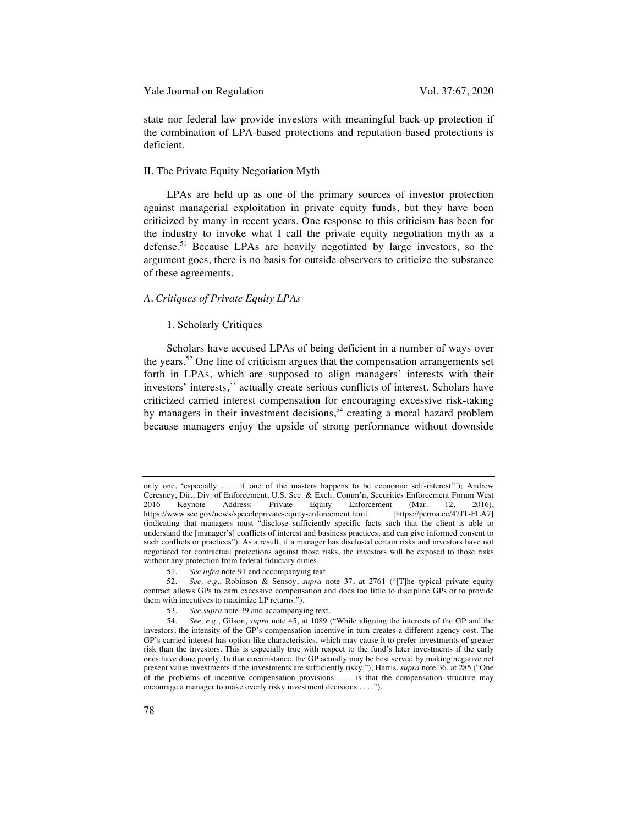Yale Journal on Regulation Vol. 37:67, 2020

state nor federal law provide investors with meaningful back-up protection if the combination of LPA-based protections and reputation-based protections is deficient.

# II. The Private Equity Negotiation Myth

LPAs are held up as one of the primary sources of investor protection against managerial exploitation in private equity funds, but they have been criticized by many in recent years. One response to this criticism has been for the industry to invoke what I call the private equity negotiation myth as a defense.<sup>51</sup> Because LPAs are heavily negotiated by large investors, so the argument goes, there is no basis for outside observers to criticize the substance of these agreements.

# *A. Critiques of Private Equity LPAs*

# 1. Scholarly Critiques

Scholars have accused LPAs of being deficient in a number of ways over the years.<sup>52</sup> One line of criticism argues that the compensation arrangements set forth in LPAs, which are supposed to align managers' interests with their investors' interests,<sup>53</sup> actually create serious conflicts of interest. Scholars have criticized carried interest compensation for encouraging excessive risk-taking by managers in their investment decisions,<sup>54</sup> creating a moral hazard problem because managers enjoy the upside of strong performance without downside

only one, 'especially . . . if one of the masters happens to be economic self-interest'"); Andrew Ceresney, Dir., Div. of Enforcement, U.S. Sec. & Exch. Comm'n, Securities Enforcement Forum West Enforcement (Mar. 12, 2016),<br>t.html [https://perma.cc/47JT-FLA7] https://www.sec.gov/news/speech/private-equity-enforcement.html (indicating that managers must "disclose sufficiently specific facts such that the client is able to understand the [manager's] conflicts of interest and business practices, and can give informed consent to such conflicts or practices"). As a result, if a manager has disclosed certain risks and investors have not negotiated for contractual protections against those risks, the investors will be exposed to those risks without any protection from federal fiduciary duties.

<sup>51.</sup> *See infra* note 91 and accompanying text.

<sup>52.</sup> *See, e*.*g*., Robinson & Sensoy, *supra* note 37, at 2761 ("[T]he typical private equity contract allows GPs to earn excessive compensation and does too little to discipline GPs or to provide them with incentives to maximize LP returns.").

<sup>53.</sup> *See supra* note 39 and accompanying text.

<sup>54.</sup> *See, e*.*g*., Gilson, *supra* note 45, at 1089 ("While aligning the interests of the GP and the investors, the intensity of the GP's compensation incentive in turn creates a different agency cost. The GP's carried interest has option-like characteristics, which may cause it to prefer investments of greater risk than the investors. This is especially true with respect to the fund's later investments if the early ones have done poorly. In that circumstance, the GP actually may be best served by making negative net present value investments if the investments are sufficiently risky."); Harris, *supra* note 36, at 285 ("One of the problems of incentive compensation provisions . . . is that the compensation structure may encourage a manager to make overly risky investment decisions . . . .").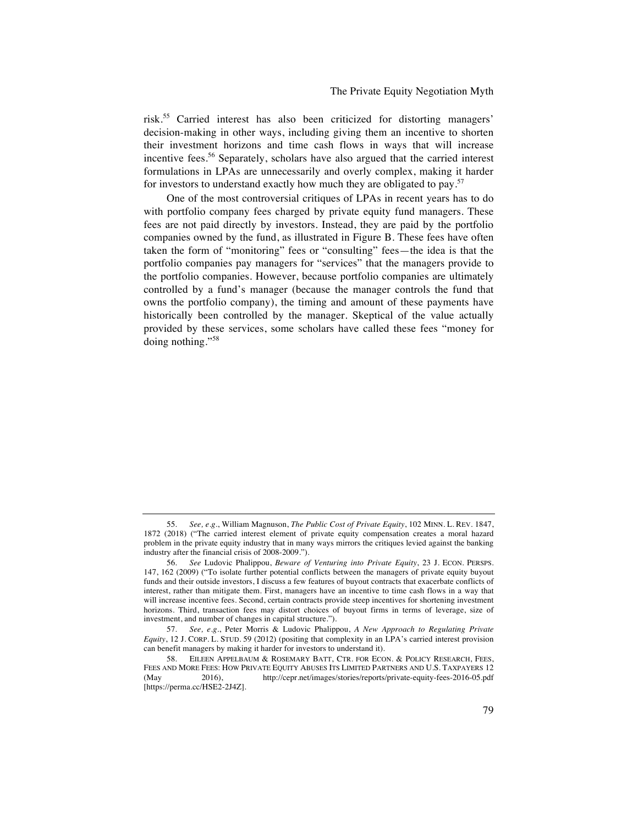risk.<sup>55</sup> Carried interest has also been criticized for distorting managers' decision-making in other ways, including giving them an incentive to shorten their investment horizons and time cash flows in ways that will increase incentive fees.<sup>56</sup> Separately, scholars have also argued that the carried interest formulations in LPAs are unnecessarily and overly complex, making it harder for investors to understand exactly how much they are obligated to pay.<sup>57</sup>

One of the most controversial critiques of LPAs in recent years has to do with portfolio company fees charged by private equity fund managers. These fees are not paid directly by investors. Instead, they are paid by the portfolio companies owned by the fund, as illustrated in Figure B. These fees have often taken the form of "monitoring" fees or "consulting" fees—the idea is that the portfolio companies pay managers for "services" that the managers provide to the portfolio companies. However, because portfolio companies are ultimately controlled by a fund's manager (because the manager controls the fund that owns the portfolio company), the timing and amount of these payments have historically been controlled by the manager. Skeptical of the value actually provided by these services, some scholars have called these fees "money for doing nothing."<sup>58</sup>

<sup>55.</sup> *See, e*.*g*., William Magnuson, *The Public Cost of Private Equity*, 102 MINN. L. REV. 1847, 1872 (2018) ("The carried interest element of private equity compensation creates a moral hazard problem in the private equity industry that in many ways mirrors the critiques levied against the banking industry after the financial crisis of 2008-2009.").

<sup>56.</sup> *See* Ludovic Phalippou, *Beware of Venturing into Private Equity*, 23 J. ECON. PERSPS. 147, 162 (2009) ("To isolate further potential conflicts between the managers of private equity buyout funds and their outside investors, I discuss a few features of buyout contracts that exacerbate conflicts of interest, rather than mitigate them. First, managers have an incentive to time cash flows in a way that will increase incentive fees. Second, certain contracts provide steep incentives for shortening investment horizons. Third, transaction fees may distort choices of buyout firms in terms of leverage, size of investment, and number of changes in capital structure.").

<sup>57.</sup> *See, e*.*g*., Peter Morris & Ludovic Phalippou, *A New Approach to Regulating Private Equity*, 12 J. CORP. L. STUD. 59 (2012) (positing that complexity in an LPA's carried interest provision can benefit managers by making it harder for investors to understand it).

EILEEN APPELBAUM & ROSEMARY BATT, CTR. FOR ECON. & POLICY RESEARCH, FEES, FEES AND MORE FEES: HOW PRIVATE EQUITY ABUSES ITS LIMITED PARTNERS AND U.S. TAXPAYERS 12 (May 2016), http://cepr.net/images/stories/reports/private-equity-fees-2016-05.pdf [https://perma.cc/HSE2-2J4Z].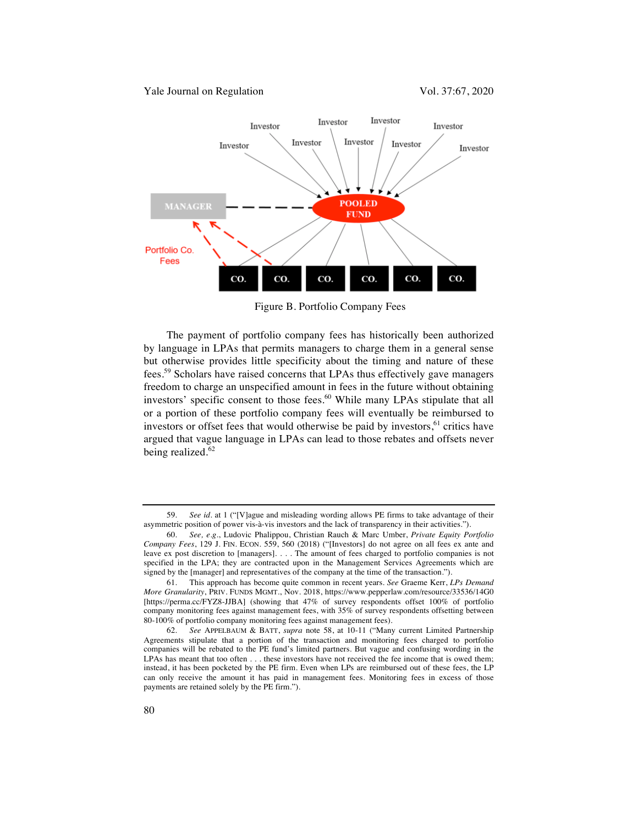

Figure B. Portfolio Company Fees

The payment of portfolio company fees has historically been authorized by language in LPAs that permits managers to charge them in a general sense but otherwise provides little specificity about the timing and nature of these fees.59 Scholars have raised concerns that LPAs thus effectively gave managers freedom to charge an unspecified amount in fees in the future without obtaining investors' specific consent to those fees.<sup>60</sup> While many LPAs stipulate that all or a portion of these portfolio company fees will eventually be reimbursed to investors or offset fees that would otherwise be paid by investors, $61$  critics have argued that vague language in LPAs can lead to those rebates and offsets never being realized.<sup>62</sup>

<sup>59.</sup> *See id*. at 1 ("[V]ague and misleading wording allows PE firms to take advantage of their asymmetric position of power vis-à-vis investors and the lack of transparency in their activities.").

<sup>60.</sup> *See, e*.*g*., Ludovic Phalippou, Christian Rauch & Marc Umber, *Private Equity Portfolio Company Fees*, 129 J. FIN. ECON. 559, 560 (2018) ("[Investors] do not agree on all fees ex ante and leave ex post discretion to [managers]. . . . The amount of fees charged to portfolio companies is not specified in the LPA; they are contracted upon in the Management Services Agreements which are signed by the [manager] and representatives of the company at the time of the transaction.").

<sup>61.</sup> This approach has become quite common in recent years. *See* Graeme Kerr, *LPs Demand More Granularity*, PRIV. FUNDS MGMT., Nov. 2018, https://www.pepperlaw.com/resource/33536/14G0 [https://perma.cc/FYZ8-JJBA] (showing that 47% of survey respondents offset 100% of portfolio company monitoring fees against management fees, with 35% of survey respondents offsetting between 80-100% of portfolio company monitoring fees against management fees).

<sup>62.</sup> *See* APPELBAUM & BATT, *supra* note 58, at 10-11 ("Many current Limited Partnership Agreements stipulate that a portion of the transaction and monitoring fees charged to portfolio companies will be rebated to the PE fund's limited partners. But vague and confusing wording in the LPAs has meant that too often . . . these investors have not received the fee income that is owed them; instead, it has been pocketed by the PE firm. Even when LPs are reimbursed out of these fees, the LP can only receive the amount it has paid in management fees. Monitoring fees in excess of those payments are retained solely by the PE firm.").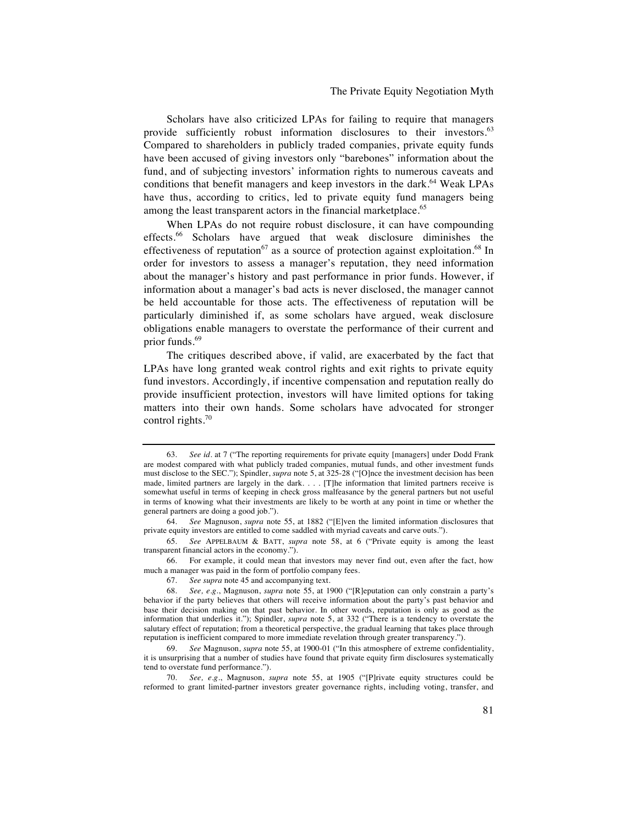The Private Equity Negotiation Myth

Scholars have also criticized LPAs for failing to require that managers provide sufficiently robust information disclosures to their investors.<sup>63</sup> Compared to shareholders in publicly traded companies, private equity funds have been accused of giving investors only "barebones" information about the fund, and of subjecting investors' information rights to numerous caveats and conditions that benefit managers and keep investors in the dark.<sup>64</sup> Weak LPAs have thus, according to critics, led to private equity fund managers being among the least transparent actors in the financial marketplace.<sup>65</sup>

When LPAs do not require robust disclosure, it can have compounding effects.<sup>66</sup> Scholars have argued that weak disclosure diminishes the effectiveness of reputation<sup>67</sup> as a source of protection against exploitation.<sup>68</sup> In order for investors to assess a manager's reputation, they need information about the manager's history and past performance in prior funds. However, if information about a manager's bad acts is never disclosed, the manager cannot be held accountable for those acts. The effectiveness of reputation will be particularly diminished if, as some scholars have argued, weak disclosure obligations enable managers to overstate the performance of their current and prior funds.<sup>69</sup>

The critiques described above, if valid, are exacerbated by the fact that LPAs have long granted weak control rights and exit rights to private equity fund investors. Accordingly, if incentive compensation and reputation really do provide insufficient protection, investors will have limited options for taking matters into their own hands. Some scholars have advocated for stronger control rights. $70$ 

66. For example, it could mean that investors may never find out, even after the fact, how much a manager was paid in the form of portfolio company fees.

<sup>63.</sup> *See id*. at 7 ("The reporting requirements for private equity [managers] under Dodd Frank are modest compared with what publicly traded companies, mutual funds, and other investment funds must disclose to the SEC."); Spindler, *supra* note 5, at 325-28 ("[O]nce the investment decision has been made, limited partners are largely in the dark. . . . [T]he information that limited partners receive is somewhat useful in terms of keeping in check gross malfeasance by the general partners but not useful in terms of knowing what their investments are likely to be worth at any point in time or whether the general partners are doing a good job.").

<sup>64.</sup> *See* Magnuson, *supra* note 55, at 1882 ("[E]ven the limited information disclosures that private equity investors are entitled to come saddled with myriad caveats and carve outs.").

<sup>65.</sup> *See* APPELBAUM & BATT, *supra* note 58, at 6 ("Private equity is among the least transparent financial actors in the economy.").

<sup>67.</sup> *See supra* note 45 and accompanying text.

<sup>68.</sup> *See, e*.*g*., Magnuson, *supra* note 55, at 1900 ("[R]eputation can only constrain a party's behavior if the party believes that others will receive information about the party's past behavior and base their decision making on that past behavior. In other words, reputation is only as good as the information that underlies it."); Spindler, *supra* note 5, at 332 ("There is a tendency to overstate the salutary effect of reputation; from a theoretical perspective, the gradual learning that takes place through reputation is inefficient compared to more immediate revelation through greater transparency.").

<sup>69.</sup> *See* Magnuson, *supra* note 55, at 1900-01 ("In this atmosphere of extreme confidentiality, it is unsurprising that a number of studies have found that private equity firm disclosures systematically tend to overstate fund performance.").

<sup>70.</sup> *See, e*.*g*., Magnuson, *supra* note 55, at 1905 ("[P]rivate equity structures could be reformed to grant limited-partner investors greater governance rights, including voting, transfer, and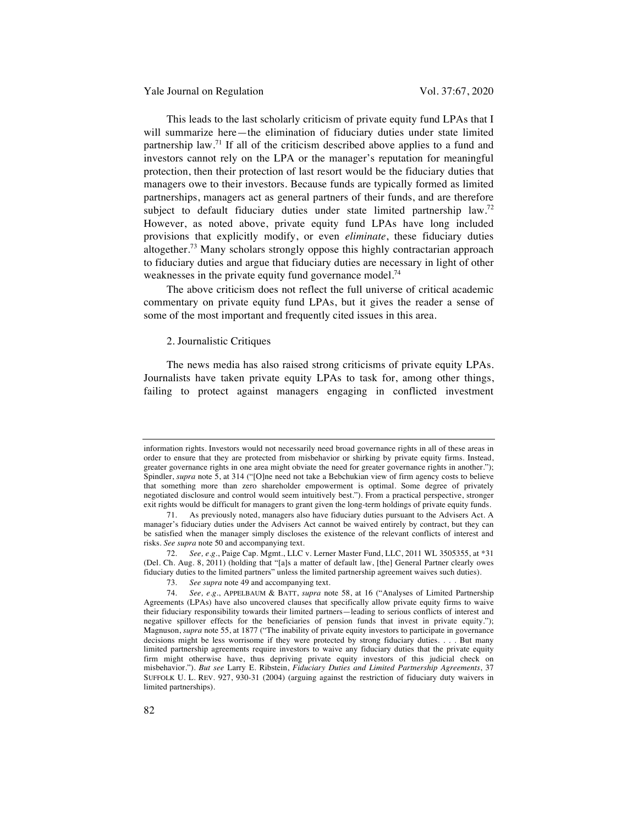Yale Journal on Regulation Vol. 37:67, 2020

This leads to the last scholarly criticism of private equity fund LPAs that I will summarize here—the elimination of fiduciary duties under state limited partnership law.<sup>71</sup> If all of the criticism described above applies to a fund and investors cannot rely on the LPA or the manager's reputation for meaningful protection, then their protection of last resort would be the fiduciary duties that managers owe to their investors. Because funds are typically formed as limited partnerships, managers act as general partners of their funds, and are therefore subject to default fiduciary duties under state limited partnership law.<sup>72</sup> However, as noted above, private equity fund LPAs have long included provisions that explicitly modify, or even *eliminate*, these fiduciary duties altogether.<sup>73</sup> Many scholars strongly oppose this highly contractarian approach to fiduciary duties and argue that fiduciary duties are necessary in light of other weaknesses in the private equity fund governance model.<sup>74</sup>

The above criticism does not reflect the full universe of critical academic commentary on private equity fund LPAs, but it gives the reader a sense of some of the most important and frequently cited issues in this area.

#### 2. Journalistic Critiques

The news media has also raised strong criticisms of private equity LPAs. Journalists have taken private equity LPAs to task for, among other things, failing to protect against managers engaging in conflicted investment

information rights. Investors would not necessarily need broad governance rights in all of these areas in order to ensure that they are protected from misbehavior or shirking by private equity firms. Instead, greater governance rights in one area might obviate the need for greater governance rights in another."); Spindler, *supra* note 5, at 314 ("[O]ne need not take a Bebchukian view of firm agency costs to believe that something more than zero shareholder empowerment is optimal. Some degree of privately negotiated disclosure and control would seem intuitively best."). From a practical perspective, stronger exit rights would be difficult for managers to grant given the long-term holdings of private equity funds.

<sup>71.</sup> As previously noted, managers also have fiduciary duties pursuant to the Advisers Act. A manager's fiduciary duties under the Advisers Act cannot be waived entirely by contract, but they can be satisfied when the manager simply discloses the existence of the relevant conflicts of interest and risks. *See supra* note 50 and accompanying text.

<sup>72.</sup> *See, e*.*g*., Paige Cap. Mgmt., LLC v. Lerner Master Fund, LLC, 2011 WL 3505355, at \*31 (Del. Ch. Aug. 8, 2011) (holding that "[a]s a matter of default law, [the] General Partner clearly owes fiduciary duties to the limited partners" unless the limited partnership agreement waives such duties).

<sup>73.</sup> *See supra* note 49 and accompanying text.

<sup>74.</sup> *See, e*.*g*., APPELBAUM & BATT, *supra* note 58, at 16 ("Analyses of Limited Partnership Agreements (LPAs) have also uncovered clauses that specifically allow private equity firms to waive their fiduciary responsibility towards their limited partners—leading to serious conflicts of interest and negative spillover effects for the beneficiaries of pension funds that invest in private equity."); Magnuson, *supra* note 55, at 1877 ("The inability of private equity investors to participate in governance decisions might be less worrisome if they were protected by strong fiduciary duties. . . . But many limited partnership agreements require investors to waive any fiduciary duties that the private equity firm might otherwise have, thus depriving private equity investors of this judicial check on misbehavior."). *But see* Larry E. Ribstein, *Fiduciary Duties and Limited Partnership Agreements*, 37 SUFFOLK U. L. REV. 927, 930-31 (2004) (arguing against the restriction of fiduciary duty waivers in limited partnerships).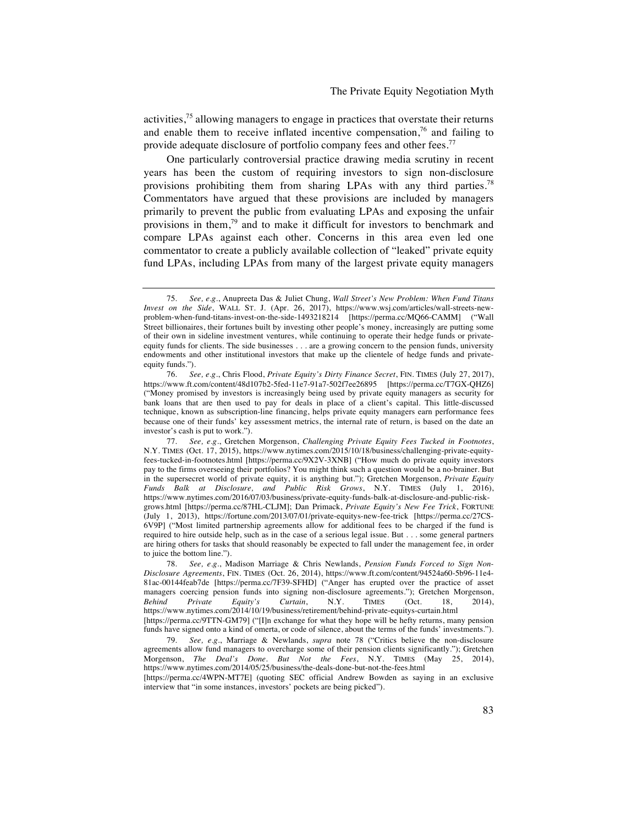activities,  $^{75}$  allowing managers to engage in practices that overstate their returns and enable them to receive inflated incentive compensation, $7<sup>6</sup>$  and failing to provide adequate disclosure of portfolio company fees and other fees.<sup>77</sup>

One particularly controversial practice drawing media scrutiny in recent years has been the custom of requiring investors to sign non-disclosure provisions prohibiting them from sharing LPAs with any third parties.<sup>78</sup> Commentators have argued that these provisions are included by managers primarily to prevent the public from evaluating LPAs and exposing the unfair provisions in them,<sup>79</sup> and to make it difficult for investors to benchmark and compare LPAs against each other. Concerns in this area even led one commentator to create a publicly available collection of "leaked" private equity fund LPAs, including LPAs from many of the largest private equity managers

<sup>75.</sup> *See, e*.*g*., Anupreeta Das & Juliet Chung, *Wall Street's New Problem: When Fund Titans Invest on the Side*, WALL ST. J. (Apr. 26, 2017), https://www.wsj.com/articles/wall-streets-newproblem-when-fund-titans-invest-on-the-side-1493218214 [https://perma.cc/MQ66-CAMM] ("Wall Street billionaires, their fortunes built by investing other people's money, increasingly are putting some of their own in sideline investment ventures, while continuing to operate their hedge funds or privateequity funds for clients. The side businesses . . . are a growing concern to the pension funds, university endowments and other institutional investors that make up the clientele of hedge funds and privateequity funds.").

<sup>76.</sup> *See, e*.*g*., Chris Flood, *Private Equity's Dirty Finance Secret*, FIN. TIMES (July 27, 2017), https://www.ft.com/content/48d107b2-5fed-11e7-91a7-502f7ee26895 [https://perma.cc/T7GX-QHZ6] ("Money promised by investors is increasingly being used by private equity managers as security for bank loans that are then used to pay for deals in place of a client's capital. This little-discussed technique, known as subscription-line financing, helps private equity managers earn performance fees because one of their funds' key assessment metrics, the internal rate of return, is based on the date an investor's cash is put to work.").

<sup>77.</sup> *See, e*.*g*., Gretchen Morgenson, *Challenging Private Equity Fees Tucked in Footnotes*, N.Y. TIMES (Oct. 17, 2015), https://www.nytimes.com/2015/10/18/business/challenging-private-equityfees-tucked-in-footnotes.html [https://perma.cc/9X2V-3XNB] ("How much do private equity investors pay to the firms overseeing their portfolios? You might think such a question would be a no-brainer. But in the supersecret world of private equity, it is anything but."); Gretchen Morgenson, *Private Equity Funds Balk at Disclosure, and Public Risk Grows*, N.Y. TIMES (July 1, 2016), https://www.nytimes.com/2016/07/03/business/private-equity-funds-balk-at-disclosure-and-public-riskgrows.html [https://perma.cc/87HL-CLJM]; Dan Primack, *Private Equity's New Fee Trick*, FORTUNE (July 1, 2013), https://fortune.com/2013/07/01/private-equitys-new-fee-trick [https://perma.cc/27CS-6V9P] ("Most limited partnership agreements allow for additional fees to be charged if the fund is required to hire outside help, such as in the case of a serious legal issue. But . . . some general partners are hiring others for tasks that should reasonably be expected to fall under the management fee, in order to juice the bottom line.").

<sup>78.</sup> *See, e*.*g*., Madison Marriage & Chris Newlands, *Pension Funds Forced to Sign Non-Disclosure Agreements*, FIN. TIMES (Oct. 26, 2014), https://www.ft.com/content/94524a60-5b96-11e4- 81ac-00144feab7de [https://perma.cc/7F39-SFHD] ("Anger has erupted over the practice of asset managers coercing pension funds into signing non-disclosure agreements."); Gretchen Morgenson, Behind Private Equity's Curtain, N.Y. TIMES (Oct. 18, 2014), *Behind Private Equity's Curtain*, N.Y. TIMES (Oct. 18, 2014), https://www.nytimes.com/2014/10/19/business/retirement/behind-private-equitys-curtain.html [https://perma.cc/9TTN-GM79] ("[I]n exchange for what they hope will be hefty returns, many pension funds have signed onto a kind of omerta, or code of silence, about the terms of the funds' investments.").

<sup>79.</sup> *See, e*.*g*., Marriage & Newlands, *supra* note 78 ("Critics believe the non-disclosure agreements allow fund managers to overcharge some of their pension clients significantly."); Gretchen Morgenson, *The Deal's Done*. *But Not the Fees*, N.Y. TIMES (May 25, 2014), https://www.nytimes.com/2014/05/25/business/the-deals-done-but-not-the-fees.html

<sup>[</sup>https://perma.cc/4WPN-MT7E] (quoting SEC official Andrew Bowden as saying in an exclusive interview that "in some instances, investors' pockets are being picked").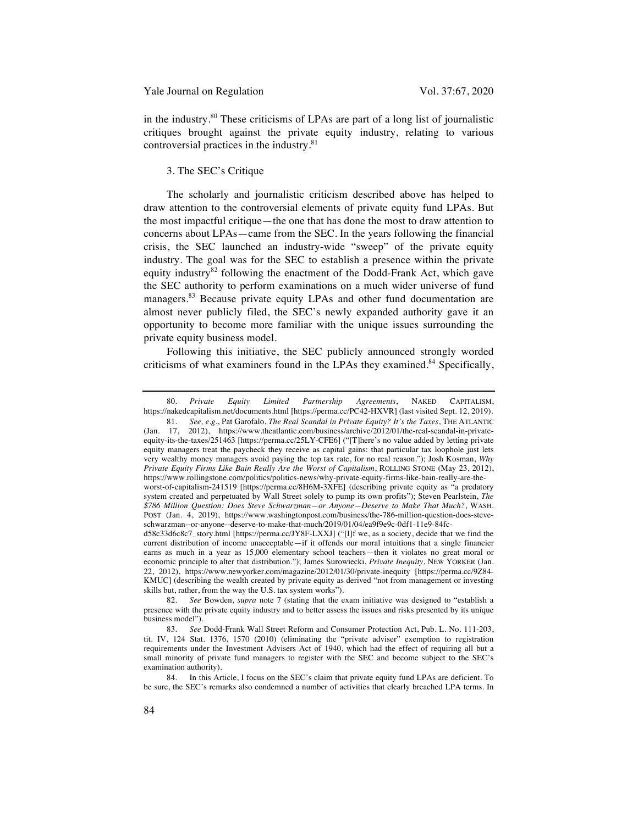in the industry.80 These criticisms of LPAs are part of a long list of journalistic critiques brought against the private equity industry, relating to various controversial practices in the industry.81

## 3. The SEC's Critique

The scholarly and journalistic criticism described above has helped to draw attention to the controversial elements of private equity fund LPAs. But the most impactful critique—the one that has done the most to draw attention to concerns about LPAs—came from the SEC. In the years following the financial crisis, the SEC launched an industry-wide "sweep" of the private equity industry. The goal was for the SEC to establish a presence within the private equity industry<sup>82</sup> following the enactment of the Dodd-Frank Act, which gave the SEC authority to perform examinations on a much wider universe of fund managers.<sup>83</sup> Because private equity LPAs and other fund documentation are almost never publicly filed, the SEC's newly expanded authority gave it an opportunity to become more familiar with the unique issues surrounding the private equity business model.

Following this initiative, the SEC publicly announced strongly worded criticisms of what examiners found in the LPAs they examined.<sup>84</sup> Specifically,

81. *See, e*.*g*., Pat Garofalo, *The Real Scandal in Private Equity? It's the Taxes*, THE ATLANTIC (Jan. 17, 2012), https://www.theatlantic.com/business/archive/2012/01/the-real-scandal-in-privateequity-its-the-taxes/251463 [https://perma.cc/25LY-CFE6] ("[T]here's no value added by letting private equity managers treat the paycheck they receive as capital gains: that particular tax loophole just lets very wealthy money managers avoid paying the top tax rate, for no real reason."); Josh Kosman, *Why Private Equity Firms Like Bain Really Are the Worst of Capitalism*, ROLLING STONE (May 23, 2012), https://www.rollingstone.com/politics/politics-news/why-private-equity-firms-like-bain-really-are-theworst-of-capitalism-241519 [https://perma.cc/8H6M-3XFE] (describing private equity as "a predatory system created and perpetuated by Wall Street solely to pump its own profits"); Steven Pearlstein, *The \$786 Million Question: Does Steve Schwarzman—or Anyone—Deserve to Make That Much?*, WASH. POST (Jan. 4, 2019), https://www.washingtonpost.com/business/the-786-million-question-does-steve-

schwarzman--or-anyone--deserve-to-make-that-much/2019/01/04/ea9f9e9c-0df1-11e9-84fcd58c33d6c8c7\_story.html [https://perma.cc/JY8F-LXXJ] ("[I]f we, as a society, decide that we find the current distribution of income unacceptable—if it offends our moral intuitions that a single financier earns as much in a year as 15,000 elementary school teachers—then it violates no great moral or economic principle to alter that distribution."); James Surowiecki, *Private Inequity*, NEW YORKER (Jan. 22, 2012), https://www.newyorker.com/magazine/2012/01/30/private-inequity [https://perma.cc/9Z84- KMUC] (describing the wealth created by private equity as derived "not from management or investing skills but, rather, from the way the U.S. tax system works").

82. *See* Bowden, *supra* note 7 (stating that the exam initiative was designed to "establish a presence with the private equity industry and to better assess the issues and risks presented by its unique business model").

83. *See* Dodd-Frank Wall Street Reform and Consumer Protection Act, Pub. L. No. 111-203, tit. IV, 124 Stat. 1376, 1570 (2010) (eliminating the "private adviser" exemption to registration requirements under the Investment Advisers Act of 1940, which had the effect of requiring all but a small minority of private fund managers to register with the SEC and become subject to the SEC's examination authority).

84. In this Article, I focus on the SEC's claim that private equity fund LPAs are deficient. To be sure, the SEC's remarks also condemned a number of activities that clearly breached LPA terms. In

<sup>80.</sup> *Private Equity Limited Partnership Agreements*, NAKED CAPITALISM, https://nakedcapitalism.net/documents.html [https://perma.cc/PC42-HXVR] (last visited Sept. 12, 2019).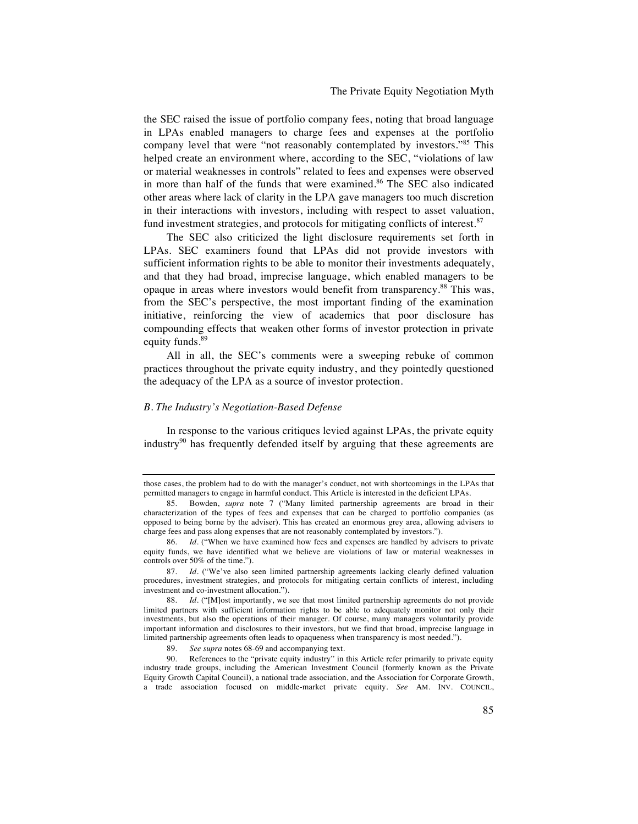the SEC raised the issue of portfolio company fees, noting that broad language in LPAs enabled managers to charge fees and expenses at the portfolio company level that were "not reasonably contemplated by investors."<sup>85</sup> This helped create an environment where, according to the SEC, "violations of law or material weaknesses in controls" related to fees and expenses were observed in more than half of the funds that were examined.<sup>86</sup> The SEC also indicated other areas where lack of clarity in the LPA gave managers too much discretion in their interactions with investors, including with respect to asset valuation, fund investment strategies, and protocols for mitigating conflicts of interest.<sup>87</sup>

The SEC also criticized the light disclosure requirements set forth in LPAs. SEC examiners found that LPAs did not provide investors with sufficient information rights to be able to monitor their investments adequately, and that they had broad, imprecise language, which enabled managers to be opaque in areas where investors would benefit from transparency.<sup>88</sup> This was, from the SEC's perspective, the most important finding of the examination initiative, reinforcing the view of academics that poor disclosure has compounding effects that weaken other forms of investor protection in private equity funds.<sup>89</sup>

All in all, the SEC's comments were a sweeping rebuke of common practices throughout the private equity industry, and they pointedly questioned the adequacy of the LPA as a source of investor protection.

# *B. The Industry's Negotiation-Based Defense*

In response to the various critiques levied against LPAs, the private equity industry<sup>90</sup> has frequently defended itself by arguing that these agreements are

those cases, the problem had to do with the manager's conduct, not with shortcomings in the LPAs that permitted managers to engage in harmful conduct. This Article is interested in the deficient LPAs.

<sup>85.</sup> Bowden, *supra* note 7 ("Many limited partnership agreements are broad in their characterization of the types of fees and expenses that can be charged to portfolio companies (as opposed to being borne by the adviser). This has created an enormous grey area, allowing advisers to charge fees and pass along expenses that are not reasonably contemplated by investors.").

<sup>86.</sup> *Id*. ("When we have examined how fees and expenses are handled by advisers to private equity funds, we have identified what we believe are violations of law or material weaknesses in controls over 50% of the time.").

<sup>87.</sup> *Id*. ("We've also seen limited partnership agreements lacking clearly defined valuation procedures, investment strategies, and protocols for mitigating certain conflicts of interest, including investment and co-investment allocation.").

<sup>88.</sup> *Id.* ("[M]ost importantly, we see that most limited partnership agreements do not provide limited partners with sufficient information rights to be able to adequately monitor not only their investments, but also the operations of their manager. Of course, many managers voluntarily provide important information and disclosures to their investors, but we find that broad, imprecise language in limited partnership agreements often leads to opaqueness when transparency is most needed.").

<sup>89.</sup> *See supra* notes 68-69 and accompanying text.

<sup>90.</sup> References to the "private equity industry" in this Article refer primarily to private equity industry trade groups, including the American Investment Council (formerly known as the Private Equity Growth Capital Council), a national trade association, and the Association for Corporate Growth, a trade association focused on middle-market private equity. *See* AM. INV. COUNCIL,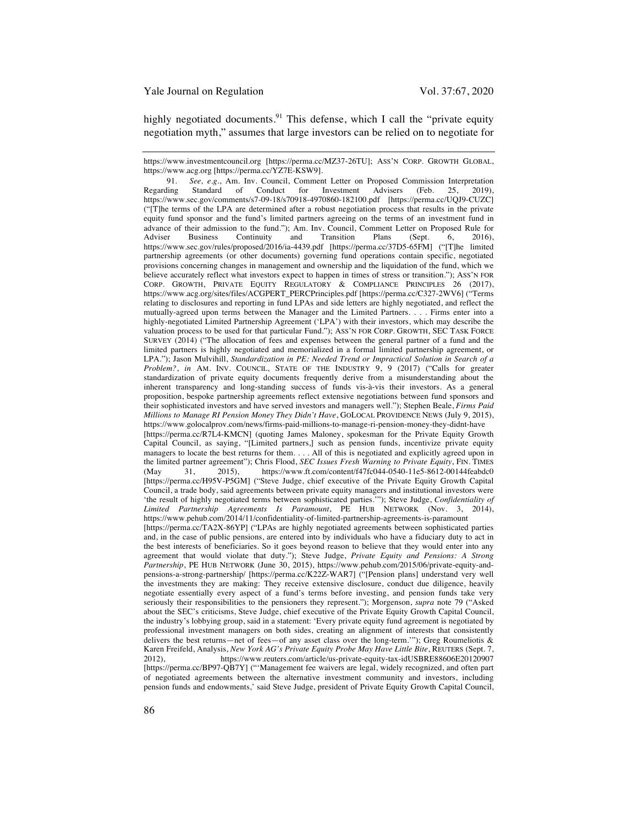highly negotiated documents.<sup>91</sup> This defense, which I call the "private equity" negotiation myth," assumes that large investors can be relied on to negotiate for

https://www.investmentcouncil.org [https://perma.cc/MZ37-26TU]; ASS'N CORP. GROWTH GLOBAL, https://www.acg.org [https://perma.cc/YZ7E-KSW9].

91. *See, e.g.*, Am. Inv. Council, Comment Letter on Proposed Commission Interpretation ling Standard of Conduct for Investment Advisers (Feb. 25. 2019) Regarding Standard of Conduct for Investment Advisers (Feb. 25, 2019), https://www.sec.gov/comments/s7-09-18/s70918-4970860-182100.pdf [https://perma.cc/UQJ9-CUZC] ("[T]he terms of the LPA are determined after a robust negotiation process that results in the private equity fund sponsor and the fund's limited partners agreeing on the terms of an investment fund in advance of their admission to the fund."); Am. Inv. Council, Comment Letter on Proposed Rule for Adviser Business Continuity and Transition Plans (Sept. 6, 2016), Adviser Business Continuity and Transition Plans (Sept. 6, 2016), https://www.sec.gov/rules/proposed/2016/ia-4439.pdf [https://perma.cc/37D5-65FM] ("[T]he limited partnership agreements (or other documents) governing fund operations contain specific, negotiated provisions concerning changes in management and ownership and the liquidation of the fund, which we believe accurately reflect what investors expect to happen in times of stress or transition."); ASS'N FOR CORP. GROWTH, PRIVATE EQUITY REGULATORY & COMPLIANCE PRINCIPLES 26 (2017), https://www.acg.org/sites/files/ACGPERT\_PERCPrinciples.pdf [https://perma.cc/C327-2WV6] ("Terms relating to disclosures and reporting in fund LPAs and side letters are highly negotiated, and reflect the mutually-agreed upon terms between the Manager and the Limited Partners. . . . Firms enter into a highly-negotiated Limited Partnership Agreement ('LPA') with their investors, which may describe the valuation process to be used for that particular Fund."); ASS'N FOR CORP. GROWTH, SEC TASK FORCE SURVEY (2014) ("The allocation of fees and expenses between the general partner of a fund and the limited partners is highly negotiated and memorialized in a formal limited partnership agreement, or LPA."); Jason Mulvihill, *Standardization in PE: Needed Trend or Impractical Solution in Search of a Problem?*, *in* AM. INV. COUNCIL, STATE OF THE INDUSTRY 9, 9 (2017) ("Calls for greater standardization of private equity documents frequently derive from a misunderstanding about the inherent transparency and long-standing success of funds vis-à-vis their investors. As a general proposition, bespoke partnership agreements reflect extensive negotiations between fund sponsors and their sophisticated investors and have served investors and managers well."); Stephen Beale, *Firms Paid Millions to Manage RI Pension Money They Didn't Have*, GOLOCAL PROVIDENCE NEWS (July 9, 2015), https://www.golocalprov.com/news/firms-paid-millions-to-manage-ri-pension-money-they-didnt-have [https://perma.cc/R7L4-KMCN] (quoting James Maloney, spokesman for the Private Equity Growth Capital Council, as saying, "[Limited partners,] such as pension funds, incentivize private equity managers to locate the best returns for them. . . . All of this is negotiated and explicitly agreed upon in the limited partner agreement"); Chris Flood, *SEC Issues Fresh Warning to Private Equity*, FIN. TIMES (May 31, 2015), https://www.ft.com/content/f47fc044-0540-11e5-8612-00144feabdc0 31, 2015), https://www.ft.com/content/f47fc044-0540-11e5-8612-00144feabdc0 [https://perma.cc/H95V-P5GM] ("Steve Judge, chief executive of the Private Equity Growth Capital Council, a trade body, said agreements between private equity managers and institutional investors were 'the result of highly negotiated terms between sophisticated parties.'"); Steve Judge, *Confidentiality of Limited Partnership Agreements Is Paramount*, PE HUB NETWORK (Nov. 3, 2014), https://www.pehub.com/2014/11/confidentiality-of-limited-partnership-agreements-is-paramount [https://perma.cc/TA2X-86YP] ("LPAs are highly negotiated agreements between sophisticated parties and, in the case of public pensions, are entered into by individuals who have a fiduciary duty to act in the best interests of beneficiaries. So it goes beyond reason to believe that they would enter into any agreement that would violate that duty."); Steve Judge, *Private Equity and Pensions: A Strong Partnership*, PE HUB NETWORK (June 30, 2015), https://www.pehub.com/2015/06/private-equity-andpensions-a-strong-partnership/ [https://perma.cc/K22Z-WAR7] ("[Pension plans] understand very well the investments they are making: They receive extensive disclosure, conduct due diligence, heavily negotiate essentially every aspect of a fund's terms before investing, and pension funds take very seriously their responsibilities to the pensioners they represent."); Morgenson, *supra* note 79 ("Asked about the SEC's criticisms, Steve Judge, chief executive of the Private Equity Growth Capital Council, the industry's lobbying group, said in a statement: 'Every private equity fund agreement is negotiated by professional investment managers on both sides, creating an alignment of interests that consistently delivers the best returns—net of fees—of any asset class over the long-term.'"); Greg Roumeliotis & Karen Freifeld, Analysis, *New York AG's Private Equity Probe May Have Little Bite*, REUTERS (Sept. 7, 2012), https://www.reuters.com/article/us-private-equity-tax-idUSBRE88606E20120907 [https://perma.cc/BP97-QB7Y] ("'Management fee waivers are legal, widely recognized, and often part of negotiated agreements between the alternative investment community and investors, including pension funds and endowments,' said Steve Judge, president of Private Equity Growth Capital Council,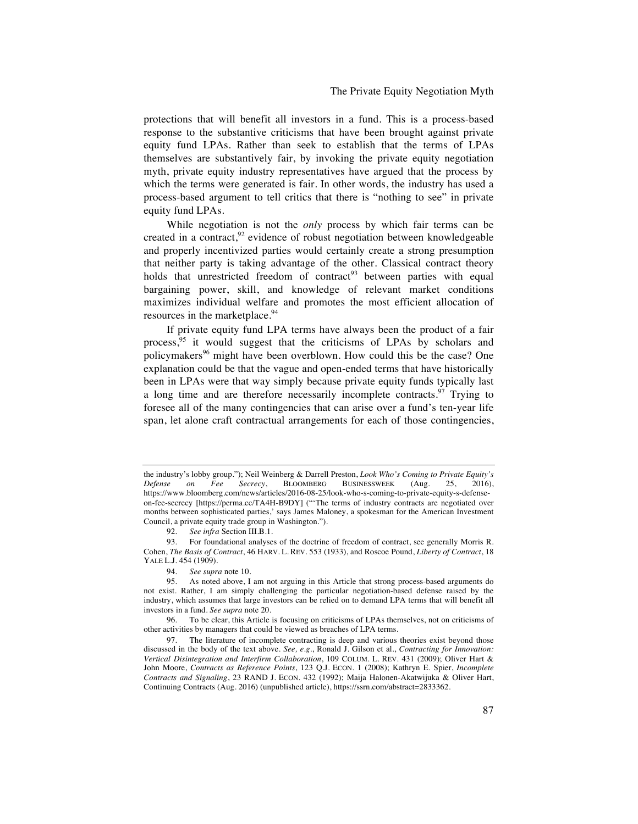The Private Equity Negotiation Myth

protections that will benefit all investors in a fund. This is a process-based response to the substantive criticisms that have been brought against private equity fund LPAs. Rather than seek to establish that the terms of LPAs themselves are substantively fair, by invoking the private equity negotiation myth, private equity industry representatives have argued that the process by which the terms were generated is fair. In other words, the industry has used a process-based argument to tell critics that there is "nothing to see" in private equity fund LPAs.

While negotiation is not the *only* process by which fair terms can be created in a contract, $^{92}$  evidence of robust negotiation between knowledgeable and properly incentivized parties would certainly create a strong presumption that neither party is taking advantage of the other. Classical contract theory holds that unrestricted freedom of contract<sup>93</sup> between parties with equal bargaining power, skill, and knowledge of relevant market conditions maximizes individual welfare and promotes the most efficient allocation of resources in the marketplace.<sup>94</sup>

If private equity fund LPA terms have always been the product of a fair process,<sup>95</sup> it would suggest that the criticisms of LPAs by scholars and policymakers<sup>96</sup> might have been overblown. How could this be the case? One explanation could be that the vague and open-ended terms that have historically been in LPAs were that way simply because private equity funds typically last a long time and are therefore necessarily incomplete contracts.<sup>97</sup> Trying to foresee all of the many contingencies that can arise over a fund's ten-year life span, let alone craft contractual arrangements for each of those contingencies,

92. *See infra* Section III.B.1.

93. For foundational analyses of the doctrine of freedom of contract, see generally Morris R. Cohen, *The Basis of Contract*, 46 HARV. L. REV. 553 (1933), and Roscoe Pound, *Liberty of Contract*, 18 YALE L.J. 454 (1909).

96. To be clear, this Article is focusing on criticisms of LPAs themselves, not on criticisms of other activities by managers that could be viewed as breaches of LPA terms.

the industry's lobby group."); Neil Weinberg & Darrell Preston, *Look Who's Coming to Private Equity's Defense on Fee Secrecy*, BLOOMBERG BUSINESSWEEK (Aug. 25, 2016), https://www.bloomberg.com/news/articles/2016-08-25/look-who-s-coming-to-private-equity-s-defenseon-fee-secrecy [https://perma.cc/TA4H-B9DY] ("'The terms of industry contracts are negotiated over months between sophisticated parties,' says James Maloney, a spokesman for the American Investment Council, a private equity trade group in Washington.").

<sup>94.</sup> *See supra* note 10.

<sup>95.</sup> As noted above, I am not arguing in this Article that strong process-based arguments do not exist. Rather, I am simply challenging the particular negotiation-based defense raised by the industry, which assumes that large investors can be relied on to demand LPA terms that will benefit all investors in a fund. *See supra* note 20.

<sup>97.</sup> The literature of incomplete contracting is deep and various theories exist beyond those discussed in the body of the text above. *See, e*.*g*., Ronald J. Gilson et al., *Contracting for Innovation: Vertical Disintegration and Interfirm Collaboration*, 109 COLUM. L. REV. 431 (2009); Oliver Hart & John Moore, *Contracts as Reference Points*, 123 Q.J. ECON. 1 (2008); Kathryn E. Spier, *Incomplete Contracts and Signaling*, 23 RAND J. ECON. 432 (1992); Maija Halonen-Akatwijuka & Oliver Hart, Continuing Contracts (Aug. 2016) (unpublished article), https://ssrn.com/abstract=2833362.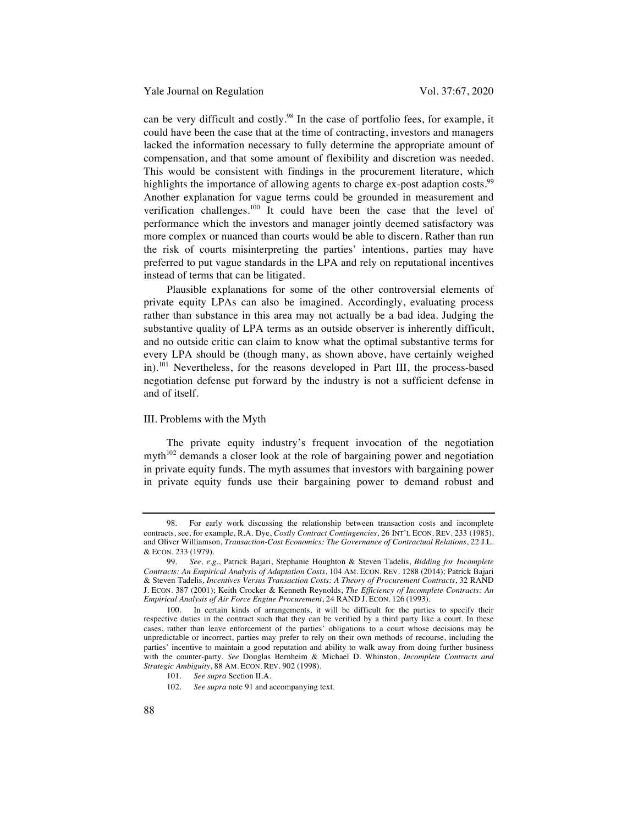Yale Journal on Regulation Vol. 37:67, 2020

can be very difficult and costly.<sup>98</sup> In the case of portfolio fees, for example, it could have been the case that at the time of contracting, investors and managers lacked the information necessary to fully determine the appropriate amount of compensation, and that some amount of flexibility and discretion was needed. This would be consistent with findings in the procurement literature, which highlights the importance of allowing agents to charge ex-post adaption costs.<sup>99</sup> Another explanation for vague terms could be grounded in measurement and verification challenges.<sup>100</sup> It could have been the case that the level of performance which the investors and manager jointly deemed satisfactory was more complex or nuanced than courts would be able to discern. Rather than run the risk of courts misinterpreting the parties' intentions, parties may have preferred to put vague standards in the LPA and rely on reputational incentives instead of terms that can be litigated.

Plausible explanations for some of the other controversial elements of private equity LPAs can also be imagined. Accordingly, evaluating process rather than substance in this area may not actually be a bad idea. Judging the substantive quality of LPA terms as an outside observer is inherently difficult, and no outside critic can claim to know what the optimal substantive terms for every LPA should be (though many, as shown above, have certainly weighed in).<sup>101</sup> Nevertheless, for the reasons developed in Part III, the process-based negotiation defense put forward by the industry is not a sufficient defense in and of itself.

#### III. Problems with the Myth

The private equity industry's frequent invocation of the negotiation myth $102$  demands a closer look at the role of bargaining power and negotiation in private equity funds. The myth assumes that investors with bargaining power in private equity funds use their bargaining power to demand robust and

<sup>98.</sup> For early work discussing the relationship between transaction costs and incomplete contracts, see, for example, R.A. Dye, *Costly Contract Contingencies*, 26 INT'L ECON. REV. 233 (1985), and Oliver Williamson, *Transaction-Cost Economics: The Governance of Contractual Relations*, 22 J.L. & ECON. 233 (1979).

<sup>99.</sup> *See, e*.*g*., Patrick Bajari, Stephanie Houghton & Steven Tadelis, *Bidding for Incomplete Contracts: An Empirical Analysis of Adaptation Costs*, 104 AM. ECON. REV. 1288 (2014); Patrick Bajari & Steven Tadelis, *Incentives Versus Transaction Costs: A Theory of Procurement Contracts*, 32 RAND J. ECON. 387 (2001); Keith Crocker & Kenneth Reynolds, *The Efficiency of Incomplete Contracts: An Empirical Analysis of Air Force Engine Procurement*, 24 RAND J. ECON. 126 (1993).

<sup>100.</sup> In certain kinds of arrangements, it will be difficult for the parties to specify their respective duties in the contract such that they can be verified by a third party like a court. In these cases, rather than leave enforcement of the parties' obligations to a court whose decisions may be unpredictable or incorrect, parties may prefer to rely on their own methods of recourse, including the parties' incentive to maintain a good reputation and ability to walk away from doing further business with the counter-party. *See* Douglas Bernheim & Michael D. Whinston, *Incomplete Contracts and Strategic Ambiguity*, 88 AM. ECON. REV. 902 (1998).

<sup>101.</sup> *See supra* Section II.A.

<sup>102.</sup> *See supra* note 91 and accompanying text.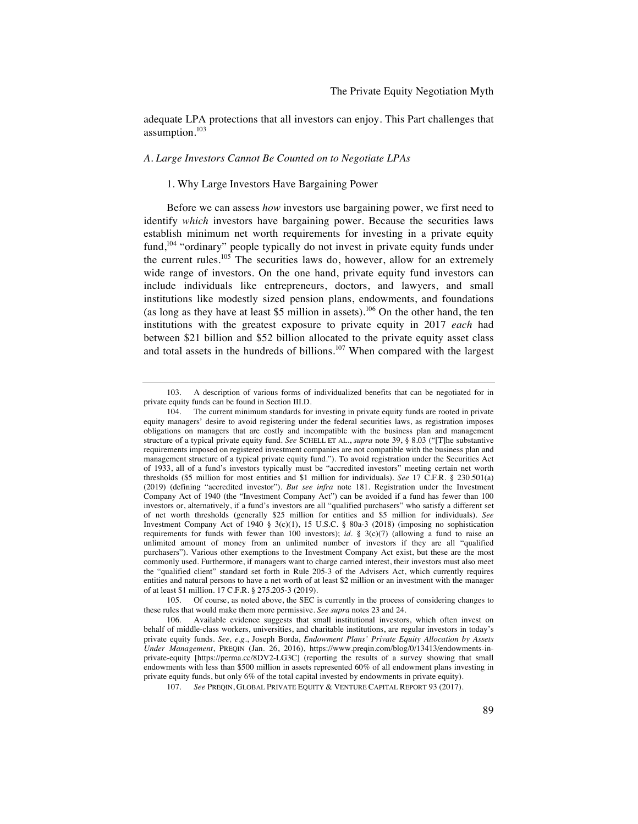adequate LPA protections that all investors can enjoy. This Part challenges that assumption.103

#### *A. Large Investors Cannot Be Counted on to Negotiate LPAs*

#### 1. Why Large Investors Have Bargaining Power

Before we can assess *how* investors use bargaining power, we first need to identify *which* investors have bargaining power. Because the securities laws establish minimum net worth requirements for investing in a private equity fund,<sup>104</sup> "ordinary" people typically do not invest in private equity funds under the current rules.<sup>105</sup> The securities laws do, however, allow for an extremely wide range of investors. On the one hand, private equity fund investors can include individuals like entrepreneurs, doctors, and lawyers, and small institutions like modestly sized pension plans, endowments, and foundations (as long as they have at least \$5 million in assets).<sup>106</sup> On the other hand, the ten institutions with the greatest exposure to private equity in 2017 *each* had between \$21 billion and \$52 billion allocated to the private equity asset class and total assets in the hundreds of billions.<sup>107</sup> When compared with the largest

<sup>103.</sup> A description of various forms of individualized benefits that can be negotiated for in private equity funds can be found in Section III.D.

<sup>104.</sup> The current minimum standards for investing in private equity funds are rooted in private equity managers' desire to avoid registering under the federal securities laws, as registration imposes obligations on managers that are costly and incompatible with the business plan and management structure of a typical private equity fund. *See* SCHELL ET AL., *supra* note 39, § 8.03 ("[T]he substantive requirements imposed on registered investment companies are not compatible with the business plan and management structure of a typical private equity fund."). To avoid registration under the Securities Act of 1933, all of a fund's investors typically must be "accredited investors" meeting certain net worth thresholds (\$5 million for most entities and \$1 million for individuals). *See* 17 C.F.R. § 230.501(a) (2019) (defining "accredited investor"). *But see infra* note 181. Registration under the Investment Company Act of 1940 (the "Investment Company Act") can be avoided if a fund has fewer than 100 investors or, alternatively, if a fund's investors are all "qualified purchasers" who satisfy a different set of net worth thresholds (generally \$25 million for entities and \$5 million for individuals). *See* Investment Company Act of 1940 § 3(c)(1), 15 U.S.C. § 80a-3 (2018) (imposing no sophistication requirements for funds with fewer than 100 investors); *id*. § 3(c)(7) (allowing a fund to raise an unlimited amount of money from an unlimited number of investors if they are all "qualified purchasers"). Various other exemptions to the Investment Company Act exist, but these are the most commonly used. Furthermore, if managers want to charge carried interest, their investors must also meet the "qualified client" standard set forth in Rule 205-3 of the Advisers Act, which currently requires entities and natural persons to have a net worth of at least \$2 million or an investment with the manager of at least \$1 million. 17 C.F.R. § 275.205-3 (2019).

<sup>105.</sup> Of course, as noted above, the SEC is currently in the process of considering changes to these rules that would make them more permissive. *See supra* notes 23 and 24.

<sup>106.</sup> Available evidence suggests that small institutional investors, which often invest on behalf of middle-class workers, universities, and charitable institutions, are regular investors in today's private equity funds. *See, e*.*g*., Joseph Borda, *Endowment Plans' Private Equity Allocation by Assets Under Management*, PREQIN (Jan. 26, 2016), https://www.preqin.com/blog/0/13413/endowments-inprivate-equity [https://perma.cc/8DV2-LG3C] (reporting the results of a survey showing that small endowments with less than \$500 million in assets represented 60% of all endowment plans investing in private equity funds, but only 6% of the total capital invested by endowments in private equity).

<sup>107.</sup> *See* PREQIN, GLOBAL PRIVATE EQUITY & VENTURE CAPITAL REPORT 93 (2017).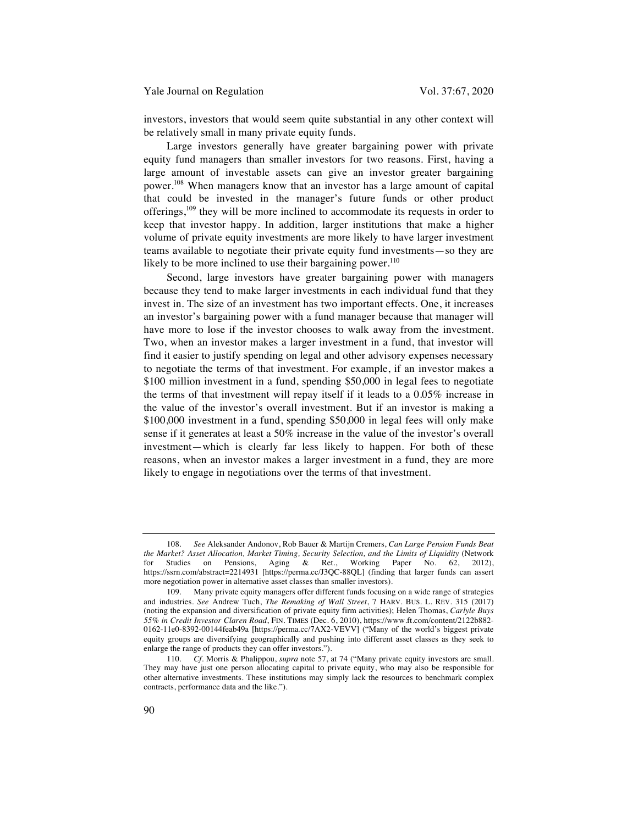investors, investors that would seem quite substantial in any other context will be relatively small in many private equity funds.

Large investors generally have greater bargaining power with private equity fund managers than smaller investors for two reasons. First, having a large amount of investable assets can give an investor greater bargaining power.108 When managers know that an investor has a large amount of capital that could be invested in the manager's future funds or other product offerings,<sup>109</sup> they will be more inclined to accommodate its requests in order to keep that investor happy. In addition, larger institutions that make a higher volume of private equity investments are more likely to have larger investment teams available to negotiate their private equity fund investments—so they are likely to be more inclined to use their bargaining power. $110$ 

Second, large investors have greater bargaining power with managers because they tend to make larger investments in each individual fund that they invest in. The size of an investment has two important effects. One, it increases an investor's bargaining power with a fund manager because that manager will have more to lose if the investor chooses to walk away from the investment. Two, when an investor makes a larger investment in a fund, that investor will find it easier to justify spending on legal and other advisory expenses necessary to negotiate the terms of that investment. For example, if an investor makes a \$100 million investment in a fund, spending \$50,000 in legal fees to negotiate the terms of that investment will repay itself if it leads to a 0.05% increase in the value of the investor's overall investment. But if an investor is making a \$100,000 investment in a fund, spending \$50,000 in legal fees will only make sense if it generates at least a 50% increase in the value of the investor's overall investment—which is clearly far less likely to happen. For both of these reasons, when an investor makes a larger investment in a fund, they are more likely to engage in negotiations over the terms of that investment.

<sup>108.</sup> *See* Aleksander Andonov, Rob Bauer & Martijn Cremers, *Can Large Pension Funds Beat the Market? Asset Allocation, Market Timing, Security Selection, and the Limits of Liquidity* (Network for Studies on Pensions, Aging & Ret., Working Paper No. 62, 2012), https://ssrn.com/abstract=2214931 [https://perma.cc/J3QC-88QL] (finding that larger funds can assert more negotiation power in alternative asset classes than smaller investors).

<sup>109.</sup> Many private equity managers offer different funds focusing on a wide range of strategies and industries. *See* Andrew Tuch, *The Remaking of Wall Street*, 7 HARV. BUS. L. REV. 315 (2017) (noting the expansion and diversification of private equity firm activities); Helen Thomas, *Carlyle Buys 55% in Credit Investor Claren Road*, FIN. TIMES (Dec. 6, 2010), https://www.ft.com/content/2122b882- 0162-11e0-8392-00144feab49a [https://perma.cc/7AX2-VEVV] ("Many of the world's biggest private equity groups are diversifying geographically and pushing into different asset classes as they seek to enlarge the range of products they can offer investors.").

<sup>110.</sup> *Cf.* Morris & Phalippou, *supra* note 57, at 74 ("Many private equity investors are small. They may have just one person allocating capital to private equity, who may also be responsible for other alternative investments. These institutions may simply lack the resources to benchmark complex contracts, performance data and the like.").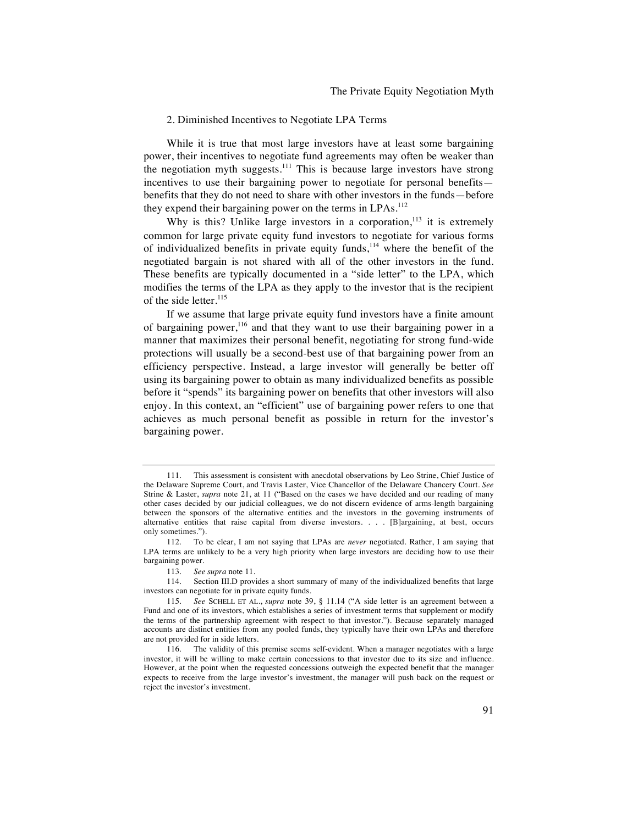#### 2. Diminished Incentives to Negotiate LPA Terms

While it is true that most large investors have at least some bargaining power, their incentives to negotiate fund agreements may often be weaker than the negotiation myth suggests.<sup>111</sup> This is because large investors have strong incentives to use their bargaining power to negotiate for personal benefits benefits that they do not need to share with other investors in the funds—before they expend their bargaining power on the terms in LPAs.<sup>112</sup>

Why is this? Unlike large investors in a corporation,  $113$  it is extremely common for large private equity fund investors to negotiate for various forms of individualized benefits in private equity funds, $114$  where the benefit of the negotiated bargain is not shared with all of the other investors in the fund. These benefits are typically documented in a "side letter" to the LPA, which modifies the terms of the LPA as they apply to the investor that is the recipient of the side letter.<sup>115</sup>

If we assume that large private equity fund investors have a finite amount of bargaining power,<sup>116</sup> and that they want to use their bargaining power in a manner that maximizes their personal benefit, negotiating for strong fund-wide protections will usually be a second-best use of that bargaining power from an efficiency perspective. Instead, a large investor will generally be better off using its bargaining power to obtain as many individualized benefits as possible before it "spends" its bargaining power on benefits that other investors will also enjoy. In this context, an "efficient" use of bargaining power refers to one that achieves as much personal benefit as possible in return for the investor's bargaining power.

<sup>111.</sup> This assessment is consistent with anecdotal observations by Leo Strine, Chief Justice of the Delaware Supreme Court, and Travis Laster, Vice Chancellor of the Delaware Chancery Court. *See*  Strine & Laster, *supra* note 21, at 11 ("Based on the cases we have decided and our reading of many other cases decided by our judicial colleagues, we do not discern evidence of arms-length bargaining between the sponsors of the alternative entities and the investors in the governing instruments of alternative entities that raise capital from diverse investors. . . . [B]argaining, at best, occurs only sometimes.").

<sup>112.</sup> To be clear, I am not saying that LPAs are *never* negotiated. Rather, I am saying that LPA terms are unlikely to be a very high priority when large investors are deciding how to use their bargaining power.

<sup>113.</sup> *See supra* note 11.

<sup>114.</sup> Section III.D provides a short summary of many of the individualized benefits that large investors can negotiate for in private equity funds.

<sup>115.</sup> *See* SCHELL ET AL., *supra* note 39, § 11.14 ("A side letter is an agreement between a Fund and one of its investors, which establishes a series of investment terms that supplement or modify the terms of the partnership agreement with respect to that investor."). Because separately managed accounts are distinct entities from any pooled funds, they typically have their own LPAs and therefore are not provided for in side letters.

<sup>116.</sup> The validity of this premise seems self-evident. When a manager negotiates with a large investor, it will be willing to make certain concessions to that investor due to its size and influence. However, at the point when the requested concessions outweigh the expected benefit that the manager expects to receive from the large investor's investment, the manager will push back on the request or reject the investor's investment.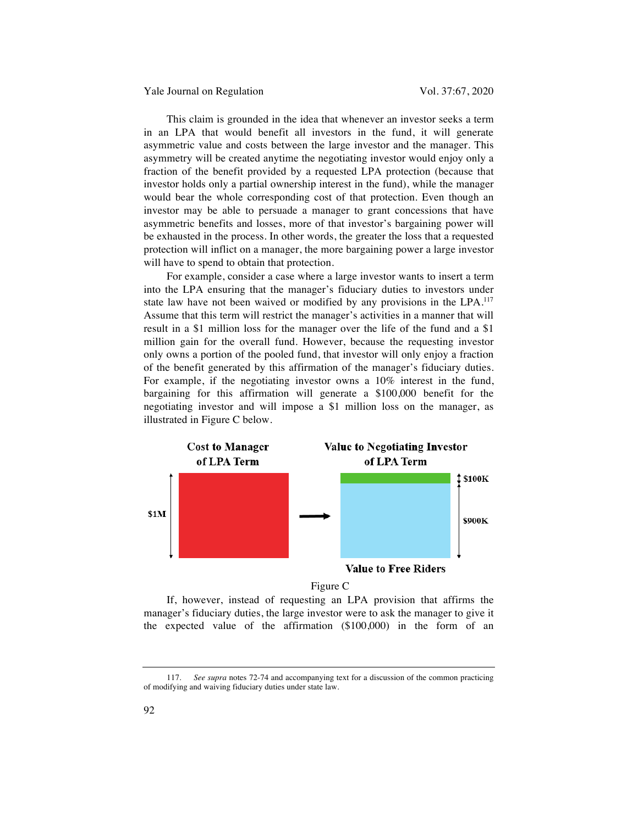Yale Journal on Regulation Vol. 37:67, 2020

This claim is grounded in the idea that whenever an investor seeks a term in an LPA that would benefit all investors in the fund, it will generate asymmetric value and costs between the large investor and the manager. This asymmetry will be created anytime the negotiating investor would enjoy only a fraction of the benefit provided by a requested LPA protection (because that investor holds only a partial ownership interest in the fund), while the manager would bear the whole corresponding cost of that protection. Even though an investor may be able to persuade a manager to grant concessions that have asymmetric benefits and losses, more of that investor's bargaining power will be exhausted in the process. In other words, the greater the loss that a requested protection will inflict on a manager, the more bargaining power a large investor will have to spend to obtain that protection.

For example, consider a case where a large investor wants to insert a term into the LPA ensuring that the manager's fiduciary duties to investors under state law have not been waived or modified by any provisions in the LPA.<sup>117</sup> Assume that this term will restrict the manager's activities in a manner that will result in a \$1 million loss for the manager over the life of the fund and a \$1 million gain for the overall fund. However, because the requesting investor only owns a portion of the pooled fund, that investor will only enjoy a fraction of the benefit generated by this affirmation of the manager's fiduciary duties. For example, if the negotiating investor owns a 10% interest in the fund, bargaining for this affirmation will generate a \$100,000 benefit for the negotiating investor and will impose a \$1 million loss on the manager, as illustrated in Figure C below.



Figure C

If, however, instead of requesting an LPA provision that affirms the manager's fiduciary duties, the large investor were to ask the manager to give it the expected value of the affirmation (\$100,000) in the form of an

<sup>117.</sup> *See supra* notes 72-74 and accompanying text for a discussion of the common practicing of modifying and waiving fiduciary duties under state law.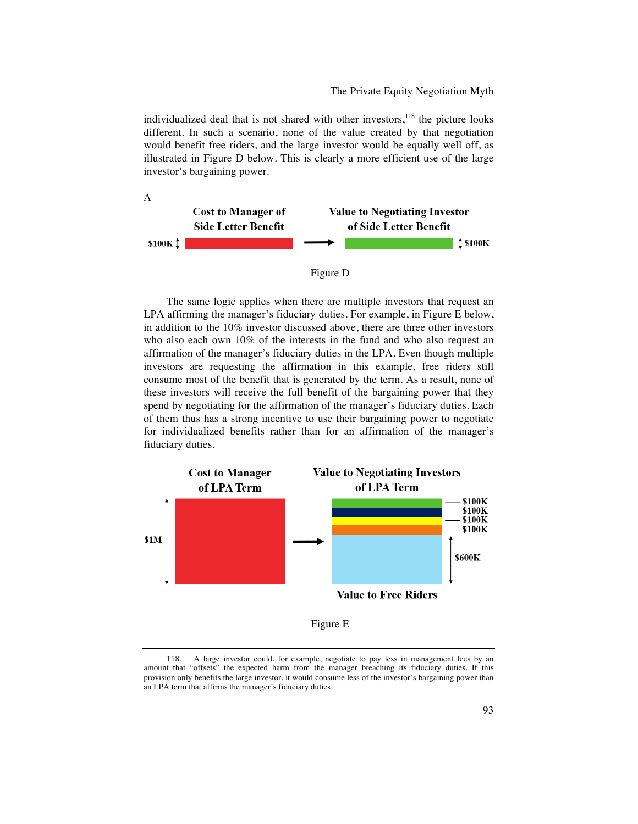The Private Equity Negotiation Myth

individualized deal that is not shared with other investors, $118$  the picture looks different. In such a scenario, none of the value created by that negotiation would benefit free riders, and the large investor would be equally well off, as illustrated in Figure D below. This is clearly a more efficient use of the large investor's bargaining power.





The same logic applies when there are multiple investors that request an LPA affirming the manager's fiduciary duties. For example, in Figure E below, in addition to the 10% investor discussed above, there are three other investors who also each own 10% of the interests in the fund and who also request an affirmation of the manager's fiduciary duties in the LPA. Even though multiple investors are requesting the affirmation in this example, free riders still consume most of the benefit that is generated by the term. As a result, none of these investors will receive the full benefit of the bargaining power that they spend by negotiating for the affirmation of the manager's fiduciary duties. Each of them thus has a strong incentive to use their bargaining power to negotiate for individualized benefits rather than for an affirmation of the manager's fiduciary duties.



<sup>118.</sup> A large investor could, for example, negotiate to pay less in management fees by an amount that "offsets" the expected harm from the manager breaching its fiduciary duties. If this provision only benefits the large investor, it would consume less of the investor's bargaining power than an LPA term that affirms the manager's fiduciary duties.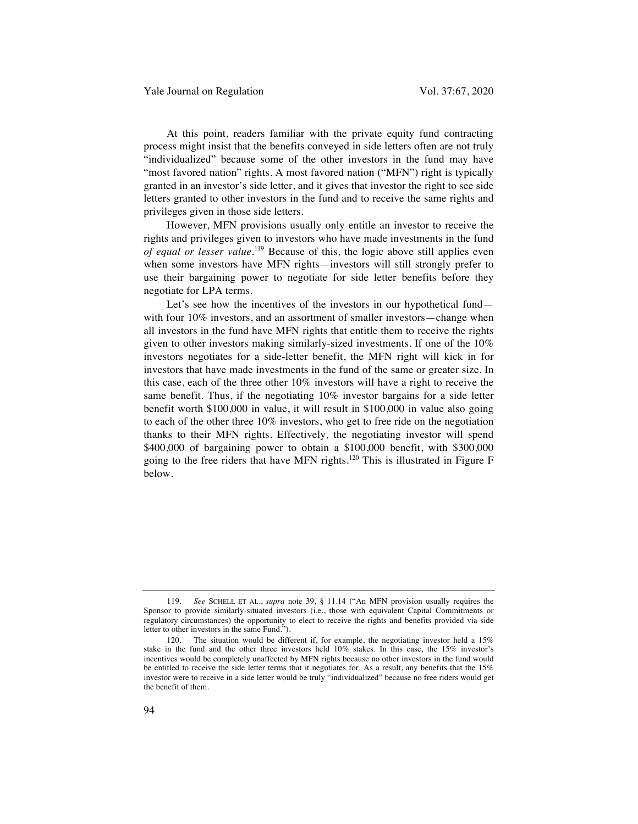At this point, readers familiar with the private equity fund contracting process might insist that the benefits conveyed in side letters often are not truly "individualized" because some of the other investors in the fund may have "most favored nation" rights. A most favored nation ("MFN") right is typically granted in an investor's side letter, and it gives that investor the right to see side letters granted to other investors in the fund and to receive the same rights and privileges given in those side letters.

However, MFN provisions usually only entitle an investor to receive the rights and privileges given to investors who have made investments in the fund *of equal or lesser value*. <sup>119</sup> Because of this, the logic above still applies even when some investors have MFN rights—investors will still strongly prefer to use their bargaining power to negotiate for side letter benefits before they negotiate for LPA terms.

Let's see how the incentives of the investors in our hypothetical fund with four 10% investors, and an assortment of smaller investors—change when all investors in the fund have MFN rights that entitle them to receive the rights given to other investors making similarly-sized investments. If one of the 10% investors negotiates for a side-letter benefit, the MFN right will kick in for investors that have made investments in the fund of the same or greater size. In this case, each of the three other 10% investors will have a right to receive the same benefit. Thus, if the negotiating 10% investor bargains for a side letter benefit worth \$100,000 in value, it will result in \$100,000 in value also going to each of the other three 10% investors, who get to free ride on the negotiation thanks to their MFN rights. Effectively, the negotiating investor will spend \$400,000 of bargaining power to obtain a \$100,000 benefit, with \$300,000 going to the free riders that have MFN rights.<sup>120</sup> This is illustrated in Figure F below.

<sup>119.</sup> *See* SCHELL ET AL., *supra* note 39, § 11.14 ("An MFN provision usually requires the Sponsor to provide similarly-situated investors (i.e., those with equivalent Capital Commitments or regulatory circumstances) the opportunity to elect to receive the rights and benefits provided via side letter to other investors in the same Fund.").

<sup>120.</sup> The situation would be different if, for example, the negotiating investor held a 15% stake in the fund and the other three investors held 10% stakes. In this case, the 15% investor's incentives would be completely unaffected by MFN rights because no other investors in the fund would be entitled to receive the side letter terms that it negotiates for. As a result, any benefits that the 15% investor were to receive in a side letter would be truly "individualized" because no free riders would get the benefit of them.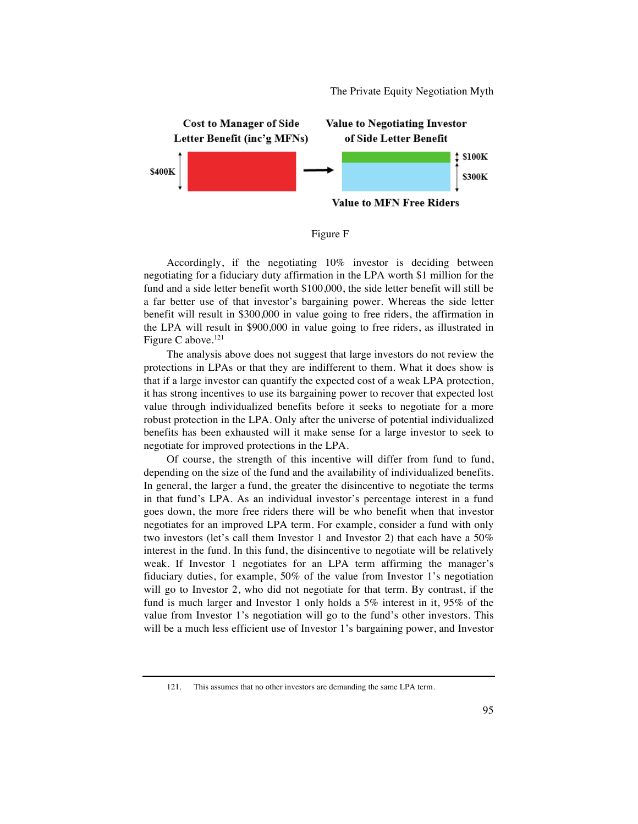The Private Equity Negotiation Myth





Accordingly, if the negotiating 10% investor is deciding between negotiating for a fiduciary duty affirmation in the LPA worth \$1 million for the fund and a side letter benefit worth \$100,000, the side letter benefit will still be a far better use of that investor's bargaining power. Whereas the side letter benefit will result in \$300,000 in value going to free riders, the affirmation in the LPA will result in \$900,000 in value going to free riders, as illustrated in Figure C above. $^{121}$ 

The analysis above does not suggest that large investors do not review the protections in LPAs or that they are indifferent to them. What it does show is that if a large investor can quantify the expected cost of a weak LPA protection, it has strong incentives to use its bargaining power to recover that expected lost value through individualized benefits before it seeks to negotiate for a more robust protection in the LPA. Only after the universe of potential individualized benefits has been exhausted will it make sense for a large investor to seek to negotiate for improved protections in the LPA.

Of course, the strength of this incentive will differ from fund to fund, depending on the size of the fund and the availability of individualized benefits. In general, the larger a fund, the greater the disincentive to negotiate the terms in that fund's LPA. As an individual investor's percentage interest in a fund goes down, the more free riders there will be who benefit when that investor negotiates for an improved LPA term. For example, consider a fund with only two investors (let's call them Investor 1 and Investor 2) that each have a 50% interest in the fund. In this fund, the disincentive to negotiate will be relatively weak. If Investor 1 negotiates for an LPA term affirming the manager's fiduciary duties, for example, 50% of the value from Investor 1's negotiation will go to Investor 2, who did not negotiate for that term. By contrast, if the fund is much larger and Investor 1 only holds a 5% interest in it, 95% of the value from Investor 1's negotiation will go to the fund's other investors. This will be a much less efficient use of Investor 1's bargaining power, and Investor

<sup>121.</sup> This assumes that no other investors are demanding the same LPA term.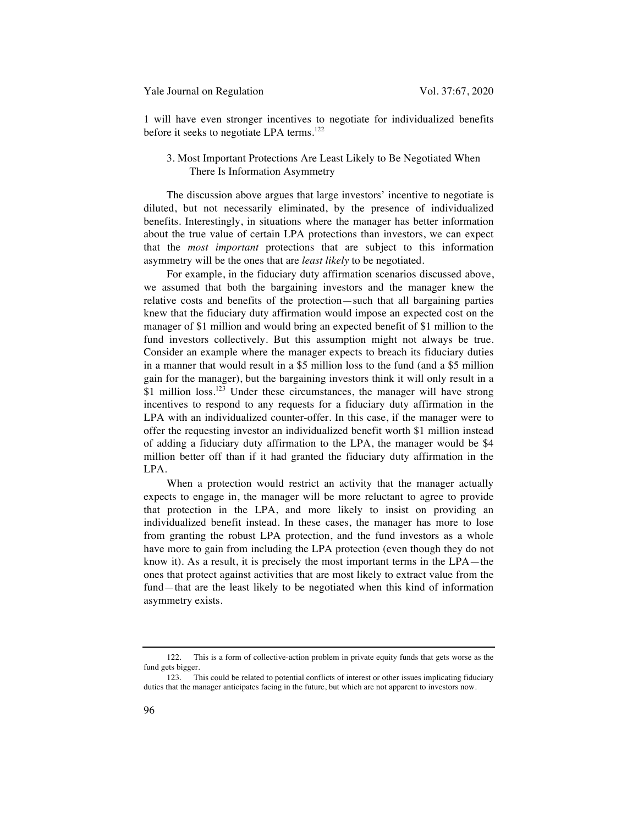1 will have even stronger incentives to negotiate for individualized benefits before it seeks to negotiate LPA terms.<sup>122</sup>

# 3. Most Important Protections Are Least Likely to Be Negotiated When There Is Information Asymmetry

The discussion above argues that large investors' incentive to negotiate is diluted, but not necessarily eliminated, by the presence of individualized benefits. Interestingly, in situations where the manager has better information about the true value of certain LPA protections than investors, we can expect that the *most important* protections that are subject to this information asymmetry will be the ones that are *least likely* to be negotiated.

For example, in the fiduciary duty affirmation scenarios discussed above, we assumed that both the bargaining investors and the manager knew the relative costs and benefits of the protection—such that all bargaining parties knew that the fiduciary duty affirmation would impose an expected cost on the manager of \$1 million and would bring an expected benefit of \$1 million to the fund investors collectively. But this assumption might not always be true. Consider an example where the manager expects to breach its fiduciary duties in a manner that would result in a \$5 million loss to the fund (and a \$5 million gain for the manager), but the bargaining investors think it will only result in a \$1 million loss.<sup>123</sup> Under these circumstances, the manager will have strong incentives to respond to any requests for a fiduciary duty affirmation in the LPA with an individualized counter-offer. In this case, if the manager were to offer the requesting investor an individualized benefit worth \$1 million instead of adding a fiduciary duty affirmation to the LPA, the manager would be \$4 million better off than if it had granted the fiduciary duty affirmation in the LPA.

When a protection would restrict an activity that the manager actually expects to engage in, the manager will be more reluctant to agree to provide that protection in the LPA, and more likely to insist on providing an individualized benefit instead. In these cases, the manager has more to lose from granting the robust LPA protection, and the fund investors as a whole have more to gain from including the LPA protection (even though they do not know it). As a result, it is precisely the most important terms in the LPA—the ones that protect against activities that are most likely to extract value from the fund—that are the least likely to be negotiated when this kind of information asymmetry exists.

<sup>122.</sup> This is a form of collective-action problem in private equity funds that gets worse as the fund gets bigger.

<sup>123.</sup> This could be related to potential conflicts of interest or other issues implicating fiduciary duties that the manager anticipates facing in the future, but which are not apparent to investors now.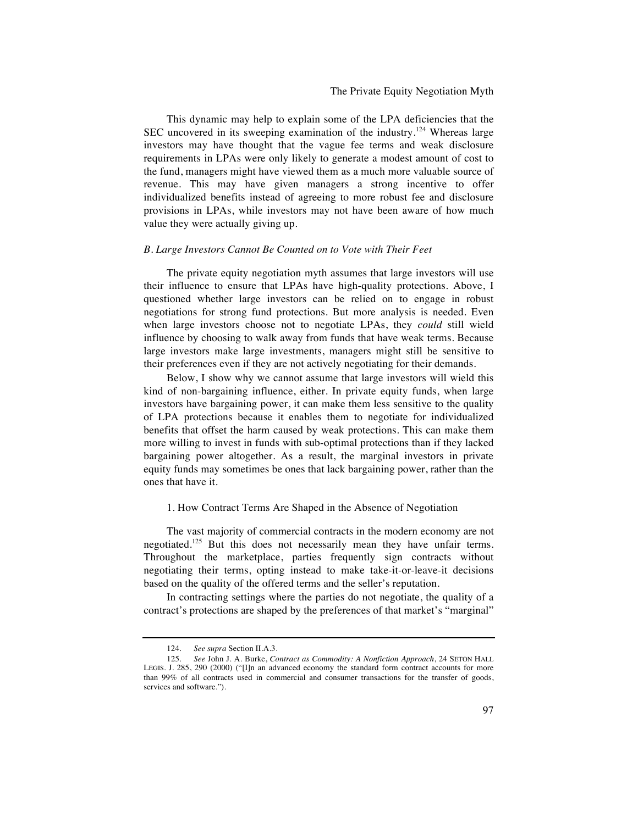# The Private Equity Negotiation Myth

This dynamic may help to explain some of the LPA deficiencies that the SEC uncovered in its sweeping examination of the industry.<sup>124</sup> Whereas large investors may have thought that the vague fee terms and weak disclosure requirements in LPAs were only likely to generate a modest amount of cost to the fund, managers might have viewed them as a much more valuable source of revenue. This may have given managers a strong incentive to offer individualized benefits instead of agreeing to more robust fee and disclosure provisions in LPAs, while investors may not have been aware of how much value they were actually giving up.

#### *B. Large Investors Cannot Be Counted on to Vote with Their Feet*

The private equity negotiation myth assumes that large investors will use their influence to ensure that LPAs have high-quality protections. Above, I questioned whether large investors can be relied on to engage in robust negotiations for strong fund protections. But more analysis is needed. Even when large investors choose not to negotiate LPAs, they *could* still wield influence by choosing to walk away from funds that have weak terms. Because large investors make large investments, managers might still be sensitive to their preferences even if they are not actively negotiating for their demands.

Below, I show why we cannot assume that large investors will wield this kind of non-bargaining influence, either. In private equity funds, when large investors have bargaining power, it can make them less sensitive to the quality of LPA protections because it enables them to negotiate for individualized benefits that offset the harm caused by weak protections. This can make them more willing to invest in funds with sub-optimal protections than if they lacked bargaining power altogether. As a result, the marginal investors in private equity funds may sometimes be ones that lack bargaining power, rather than the ones that have it.

#### 1. How Contract Terms Are Shaped in the Absence of Negotiation

The vast majority of commercial contracts in the modern economy are not negotiated.<sup>125</sup> But this does not necessarily mean they have unfair terms. Throughout the marketplace, parties frequently sign contracts without negotiating their terms, opting instead to make take-it-or-leave-it decisions based on the quality of the offered terms and the seller's reputation.

In contracting settings where the parties do not negotiate, the quality of a contract's protections are shaped by the preferences of that market's "marginal"

<sup>124.</sup> *See supra* Section II.A.3.

<sup>125.</sup> *See* John J. A. Burke, *Contract as Commodity: A Nonfiction Approach*, 24 SETON HALL LEGIS. J. 285, 290 (2000) ("[I]n an advanced economy the standard form contract accounts for more than 99% of all contracts used in commercial and consumer transactions for the transfer of goods, services and software.").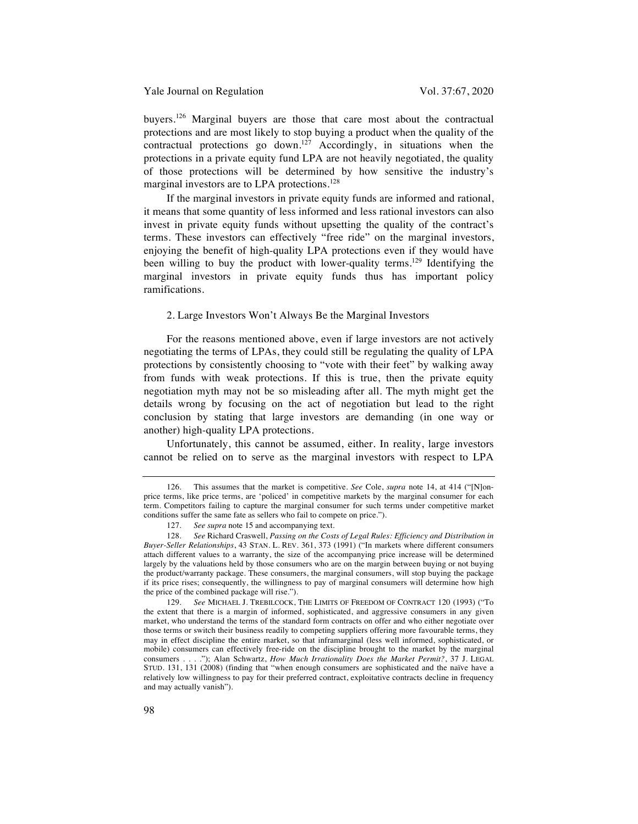buyers.<sup>126</sup> Marginal buyers are those that care most about the contractual protections and are most likely to stop buying a product when the quality of the contractual protections go down.<sup>127</sup> Accordingly, in situations when the protections in a private equity fund LPA are not heavily negotiated, the quality of those protections will be determined by how sensitive the industry's marginal investors are to LPA protections.<sup>128</sup>

If the marginal investors in private equity funds are informed and rational, it means that some quantity of less informed and less rational investors can also invest in private equity funds without upsetting the quality of the contract's terms. These investors can effectively "free ride" on the marginal investors, enjoying the benefit of high-quality LPA protections even if they would have been willing to buy the product with lower-quality terms.<sup>129</sup> Identifying the marginal investors in private equity funds thus has important policy ramifications.

# 2. Large Investors Won't Always Be the Marginal Investors

For the reasons mentioned above, even if large investors are not actively negotiating the terms of LPAs, they could still be regulating the quality of LPA protections by consistently choosing to "vote with their feet" by walking away from funds with weak protections. If this is true, then the private equity negotiation myth may not be so misleading after all. The myth might get the details wrong by focusing on the act of negotiation but lead to the right conclusion by stating that large investors are demanding (in one way or another) high-quality LPA protections.

Unfortunately, this cannot be assumed, either. In reality, large investors cannot be relied on to serve as the marginal investors with respect to LPA

<sup>126.</sup> This assumes that the market is competitive. *See* Cole, *supra* note 14, at 414 ("[N]onprice terms, like price terms, are 'policed' in competitive markets by the marginal consumer for each term. Competitors failing to capture the marginal consumer for such terms under competitive market conditions suffer the same fate as sellers who fail to compete on price.").

<sup>127.</sup> *See supra* note 15 and accompanying text.

<sup>128.</sup> *See* Richard Craswell, *Passing on the Costs of Legal Rules: Efficiency and Distribution in Buyer-Seller Relationships*, 43 STAN. L. REV. 361, 373 (1991) ("In markets where different consumers attach different values to a warranty, the size of the accompanying price increase will be determined largely by the valuations held by those consumers who are on the margin between buying or not buying the product/warranty package. These consumers, the marginal consumers, will stop buying the package if its price rises; consequently, the willingness to pay of marginal consumers will determine how high the price of the combined package will rise.").

<sup>129.</sup> *See* MICHAEL J. TREBILCOCK, THE LIMITS OF FREEDOM OF CONTRACT 120 (1993) ("To the extent that there is a margin of informed, sophisticated, and aggressive consumers in any given market, who understand the terms of the standard form contracts on offer and who either negotiate over those terms or switch their business readily to competing suppliers offering more favourable terms, they may in effect discipline the entire market, so that inframarginal (less well informed, sophisticated, or mobile) consumers can effectively free-ride on the discipline brought to the market by the marginal consumers . . . ."); Alan Schwartz, *How Much Irrationality Does the Market Permit?*, 37 J. LEGAL STUD. 131, 131 (2008) (finding that "when enough consumers are sophisticated and the naïve have a relatively low willingness to pay for their preferred contract, exploitative contracts decline in frequency and may actually vanish").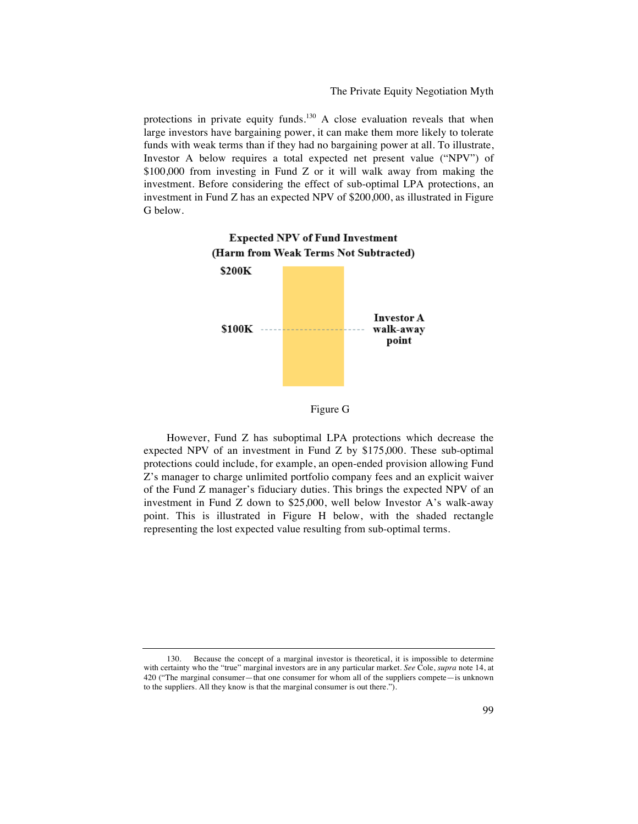The Private Equity Negotiation Myth

protections in private equity funds.<sup>130</sup> A close evaluation reveals that when large investors have bargaining power, it can make them more likely to tolerate funds with weak terms than if they had no bargaining power at all. To illustrate, Investor A below requires a total expected net present value ("NPV") of \$100,000 from investing in Fund Z or it will walk away from making the investment. Before considering the effect of sub-optimal LPA protections, an investment in Fund Z has an expected NPV of \$200,000, as illustrated in Figure G below.





However, Fund Z has suboptimal LPA protections which decrease the expected NPV of an investment in Fund Z by \$175,000. These sub-optimal protections could include, for example, an open-ended provision allowing Fund Z's manager to charge unlimited portfolio company fees and an explicit waiver of the Fund Z manager's fiduciary duties. This brings the expected NPV of an investment in Fund Z down to \$25,000, well below Investor A's walk-away point. This is illustrated in Figure H below, with the shaded rectangle representing the lost expected value resulting from sub-optimal terms.

<sup>130.</sup> Because the concept of a marginal investor is theoretical, it is impossible to determine with certainty who the "true" marginal investors are in any particular market. *See* Cole, *supra* note 14, at 420 ("The marginal consumer—that one consumer for whom all of the suppliers compete—is unknown to the suppliers. All they know is that the marginal consumer is out there.").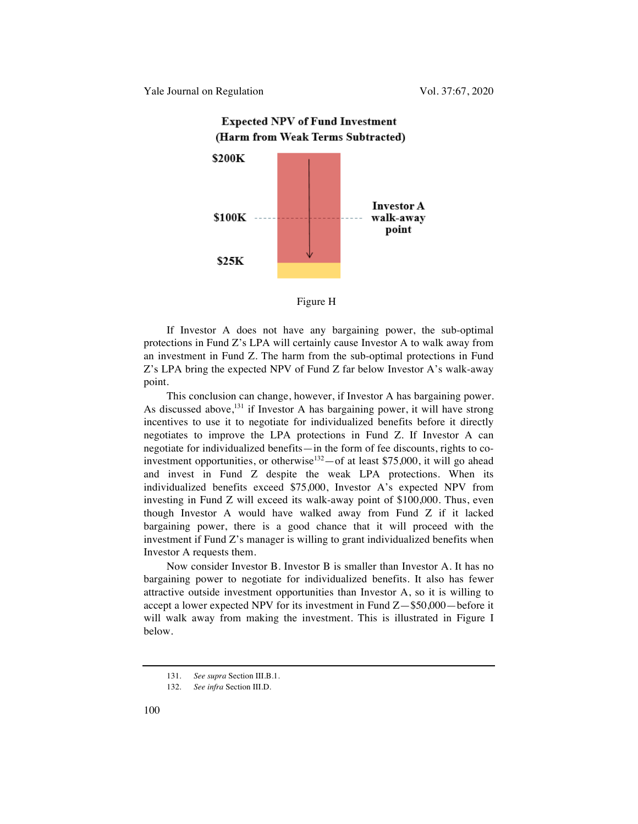

# **Expected NPV of Fund Investment**

#### Figure H

If Investor A does not have any bargaining power, the sub-optimal protections in Fund Z's LPA will certainly cause Investor A to walk away from an investment in Fund Z. The harm from the sub-optimal protections in Fund Z's LPA bring the expected NPV of Fund Z far below Investor A's walk-away point.

This conclusion can change, however, if Investor A has bargaining power. As discussed above,  $^{131}$  if Investor A has bargaining power, it will have strong incentives to use it to negotiate for individualized benefits before it directly negotiates to improve the LPA protections in Fund Z. If Investor A can negotiate for individualized benefits—in the form of fee discounts, rights to coinvestment opportunities, or otherwise<sup>132</sup> $-$ of at least \$75,000, it will go ahead and invest in Fund Z despite the weak LPA protections. When its individualized benefits exceed \$75,000, Investor A's expected NPV from investing in Fund Z will exceed its walk-away point of \$100,000. Thus, even though Investor A would have walked away from Fund Z if it lacked bargaining power, there is a good chance that it will proceed with the investment if Fund Z's manager is willing to grant individualized benefits when Investor A requests them.

Now consider Investor B. Investor B is smaller than Investor A. It has no bargaining power to negotiate for individualized benefits. It also has fewer attractive outside investment opportunities than Investor A, so it is willing to accept a lower expected NPV for its investment in Fund Z—\$50,000—before it will walk away from making the investment. This is illustrated in Figure I below.

<sup>131.</sup> *See supra* Section III.B.1.

<sup>132.</sup> *See infra* Section III.D.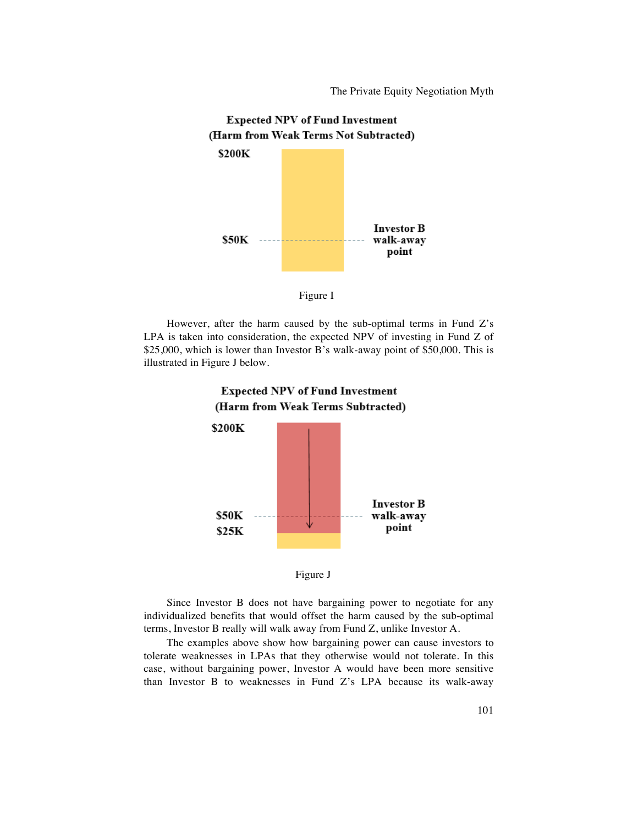The Private Equity Negotiation Myth





However, after the harm caused by the sub-optimal terms in Fund Z's LPA is taken into consideration, the expected NPV of investing in Fund Z of \$25,000, which is lower than Investor B's walk-away point of \$50,000. This is illustrated in Figure J below.





Since Investor B does not have bargaining power to negotiate for any individualized benefits that would offset the harm caused by the sub-optimal terms, Investor B really will walk away from Fund Z, unlike Investor A.

The examples above show how bargaining power can cause investors to tolerate weaknesses in LPAs that they otherwise would not tolerate. In this case, without bargaining power, Investor A would have been more sensitive than Investor B to weaknesses in Fund Z's LPA because its walk-away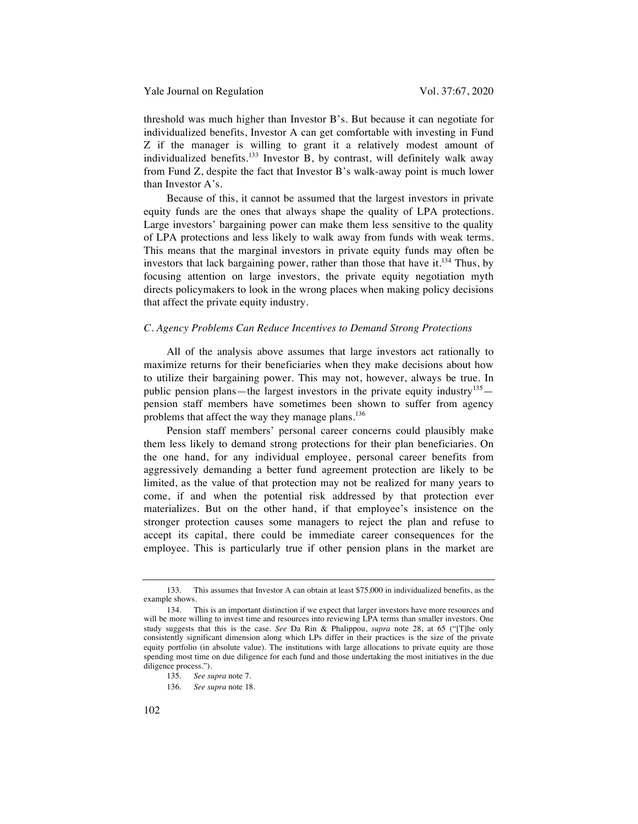threshold was much higher than Investor B's. But because it can negotiate for individualized benefits, Investor A can get comfortable with investing in Fund Z if the manager is willing to grant it a relatively modest amount of individualized benefits.<sup>133</sup> Investor B, by contrast, will definitely walk away from Fund Z, despite the fact that Investor B's walk-away point is much lower than Investor A's.

Because of this, it cannot be assumed that the largest investors in private equity funds are the ones that always shape the quality of LPA protections. Large investors' bargaining power can make them less sensitive to the quality of LPA protections and less likely to walk away from funds with weak terms. This means that the marginal investors in private equity funds may often be investors that lack bargaining power, rather than those that have it.<sup>134</sup> Thus, by focusing attention on large investors, the private equity negotiation myth directs policymakers to look in the wrong places when making policy decisions that affect the private equity industry.

# *C. Agency Problems Can Reduce Incentives to Demand Strong Protections*

All of the analysis above assumes that large investors act rationally to maximize returns for their beneficiaries when they make decisions about how to utilize their bargaining power. This may not, however, always be true. In public pension plans—the largest investors in the private equity industry<sup>135</sup> pension staff members have sometimes been shown to suffer from agency problems that affect the way they manage plans.<sup>136</sup>

Pension staff members' personal career concerns could plausibly make them less likely to demand strong protections for their plan beneficiaries. On the one hand, for any individual employee, personal career benefits from aggressively demanding a better fund agreement protection are likely to be limited, as the value of that protection may not be realized for many years to come, if and when the potential risk addressed by that protection ever materializes. But on the other hand, if that employee's insistence on the stronger protection causes some managers to reject the plan and refuse to accept its capital, there could be immediate career consequences for the employee. This is particularly true if other pension plans in the market are

<sup>133.</sup> This assumes that Investor A can obtain at least \$75,000 in individualized benefits, as the example shows.

<sup>134.</sup> This is an important distinction if we expect that larger investors have more resources and will be more willing to invest time and resources into reviewing LPA terms than smaller investors. One study suggests that this is the case. *See* Da Rin & Phalippou, *supra* note 28, at 65 ("[T]he only consistently significant dimension along which LPs differ in their practices is the size of the private equity portfolio (in absolute value). The institutions with large allocations to private equity are those spending most time on due diligence for each fund and those undertaking the most initiatives in the due diligence process.").

<sup>135.</sup> *See supra* note 7.

<sup>136.</sup> *See supra* note 18.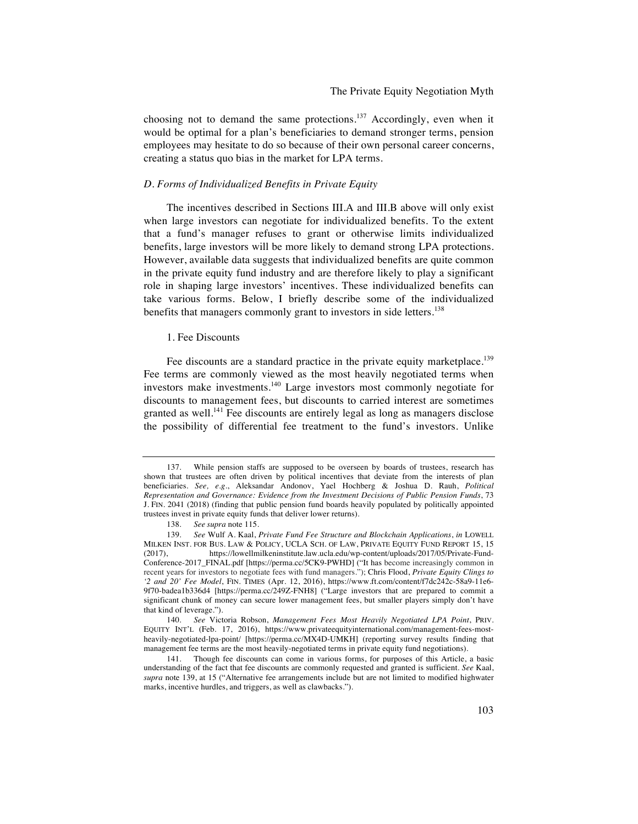choosing not to demand the same protections.<sup>137</sup> Accordingly, even when it would be optimal for a plan's beneficiaries to demand stronger terms, pension employees may hesitate to do so because of their own personal career concerns, creating a status quo bias in the market for LPA terms.

#### *D. Forms of Individualized Benefits in Private Equity*

The incentives described in Sections III.A and III.B above will only exist when large investors can negotiate for individualized benefits. To the extent that a fund's manager refuses to grant or otherwise limits individualized benefits, large investors will be more likely to demand strong LPA protections. However, available data suggests that individualized benefits are quite common in the private equity fund industry and are therefore likely to play a significant role in shaping large investors' incentives. These individualized benefits can take various forms. Below, I briefly describe some of the individualized benefits that managers commonly grant to investors in side letters.<sup>138</sup>

#### 1. Fee Discounts

Fee discounts are a standard practice in the private equity marketplace.<sup>139</sup> Fee terms are commonly viewed as the most heavily negotiated terms when investors make investments.140 Large investors most commonly negotiate for discounts to management fees, but discounts to carried interest are sometimes granted as well.<sup>141</sup> Fee discounts are entirely legal as long as managers disclose the possibility of differential fee treatment to the fund's investors. Unlike

<sup>137.</sup> While pension staffs are supposed to be overseen by boards of trustees, research has shown that trustees are often driven by political incentives that deviate from the interests of plan beneficiaries. *See, e*.*g*., Aleksandar Andonov, Yael Hochberg & Joshua D. Rauh, *Political Representation and Governance: Evidence from the Investment Decisions of Public Pension Funds*, 73 J. FIN. 2041 (2018) (finding that public pension fund boards heavily populated by politically appointed trustees invest in private equity funds that deliver lower returns).

<sup>138.</sup> *See supra* note 115.

<sup>139.</sup> *See* Wulf A. Kaal, *Private Fund Fee Structure and Blockchain Applications*, *in* LOWELL MILKEN INST. FOR BUS. LAW & POLICY, UCLA SCH. OF LAW, PRIVATE EQUITY FUND REPORT 15, 15 (2017). https://lowellmilkeninstitute.law.ucla.edu/wp-content/uploads/2017/05/Private-Fundhttps://lowellmilkeninstitute.law.ucla.edu/wp-content/uploads/2017/05/Private-Fund-Conference-2017\_FINAL.pdf [https://perma.cc/5CK9-PWHD] ("It has become increasingly common in recent years for investors to negotiate fees with fund managers."); Chris Flood, *Private Equity Clings to '2 and 20' Fee Model*, FIN. TIMES (Apr. 12, 2016), https://www.ft.com/content/f7dc242c-58a9-11e6- 9f70-badea1b336d4 [https://perma.cc/249Z-FNH8] ("Large investors that are prepared to commit a significant chunk of money can secure lower management fees, but smaller players simply don't have that kind of leverage.").

<sup>140.</sup> *See* Victoria Robson, *Management Fees Most Heavily Negotiated LPA Point*, PRIV. EQUITY INT'L (Feb. 17, 2016), https://www.privateequityinternational.com/management-fees-mostheavily-negotiated-lpa-point/ [https://perma.cc/MX4D-UMKH] (reporting survey results finding that management fee terms are the most heavily-negotiated terms in private equity fund negotiations).

<sup>141.</sup> Though fee discounts can come in various forms, for purposes of this Article, a basic understanding of the fact that fee discounts are commonly requested and granted is sufficient. *See* Kaal, *supra* note 139, at 15 ("Alternative fee arrangements include but are not limited to modified highwater marks, incentive hurdles, and triggers, as well as clawbacks.").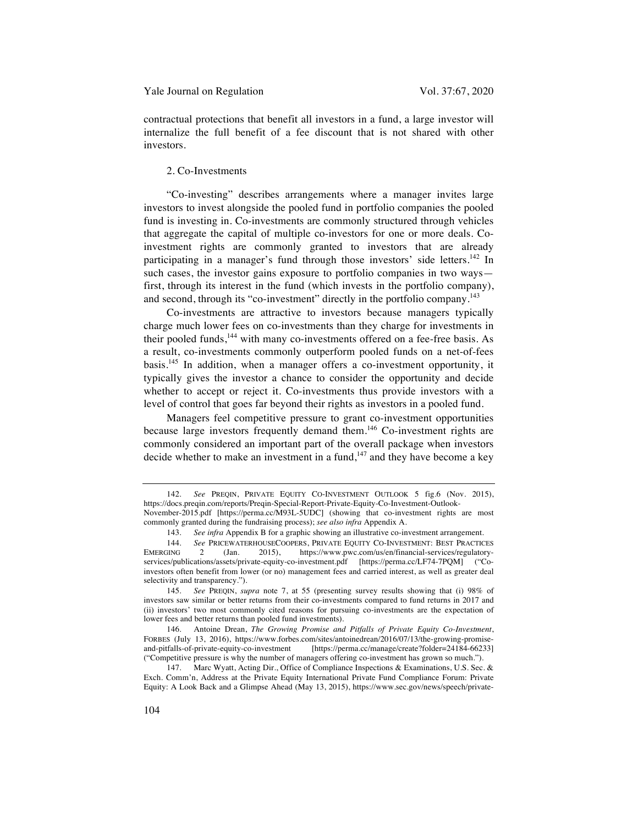contractual protections that benefit all investors in a fund, a large investor will internalize the full benefit of a fee discount that is not shared with other investors.

# 2. Co-Investments

"Co-investing" describes arrangements where a manager invites large investors to invest alongside the pooled fund in portfolio companies the pooled fund is investing in. Co-investments are commonly structured through vehicles that aggregate the capital of multiple co-investors for one or more deals. Coinvestment rights are commonly granted to investors that are already participating in a manager's fund through those investors' side letters.<sup>142</sup> In such cases, the investor gains exposure to portfolio companies in two ways first, through its interest in the fund (which invests in the portfolio company), and second, through its "co-investment" directly in the portfolio company.<sup>143</sup>

Co-investments are attractive to investors because managers typically charge much lower fees on co-investments than they charge for investments in their pooled funds,<sup>144</sup> with many co-investments offered on a fee-free basis. As a result, co-investments commonly outperform pooled funds on a net-of-fees basis.145 In addition, when a manager offers a co-investment opportunity, it typically gives the investor a chance to consider the opportunity and decide whether to accept or reject it. Co-investments thus provide investors with a level of control that goes far beyond their rights as investors in a pooled fund.

Managers feel competitive pressure to grant co-investment opportunities because large investors frequently demand them.<sup>146</sup> Co-investment rights are commonly considered an important part of the overall package when investors decide whether to make an investment in a fund,<sup>147</sup> and they have become a key

<sup>142.</sup> *See* PREQIN, PRIVATE EQUITY CO-INVESTMENT OUTLOOK 5 fig.6 (Nov. 2015), https://docs.preqin.com/reports/Preqin-Special-Report-Private-Equity-Co-Investment-Outlook-November-2015.pdf [https://perma.cc/M93L-5UDC] (showing that co-investment rights are most

commonly granted during the fundraising process); *see also infra* Appendix A.

<sup>143.</sup> *See infra* Appendix B for a graphic showing an illustrative co-investment arrangement.

<sup>144.</sup> *See* PRICEWATERHOUSECOOPERS, PRIVATE EQUITY CO-INVESTMENT: BEST PRACTICES<br>EMERGING 2 (Jan. 2015), https://www.pwc.com/us/en/financial-services/regulatory-2 (Jan. 2015), https://www.pwc.com/us/en/financial-services/regulatoryservices/publications/assets/private-equity-co-investment.pdf [https://perma.cc/LF74-7PQM] ("Coinvestors often benefit from lower (or no) management fees and carried interest, as well as greater deal selectivity and transparency.").

<sup>145.</sup> *See* PREQIN, *supra* note 7, at 55 (presenting survey results showing that (i) 98% of investors saw similar or better returns from their co-investments compared to fund returns in 2017 and (ii) investors' two most commonly cited reasons for pursuing co-investments are the expectation of lower fees and better returns than pooled fund investments).

<sup>146.</sup> Antoine Drean, *The Growing Promise and Pitfalls of Private Equity Co-Investment*, FORBES (July 13, 2016), https://www.forbes.com/sites/antoinedrean/2016/07/13/the-growing-promise-[https://perma.cc/manage/create?folder=24184-66233] ("Competitive pressure is why the number of managers offering co-investment has grown so much.").

<sup>147.</sup> Marc Wyatt, Acting Dir., Office of Compliance Inspections & Examinations, U.S. Sec. & Exch. Comm'n, Address at the Private Equity International Private Fund Compliance Forum: Private Equity: A Look Back and a Glimpse Ahead (May 13, 2015), https://www.sec.gov/news/speech/private-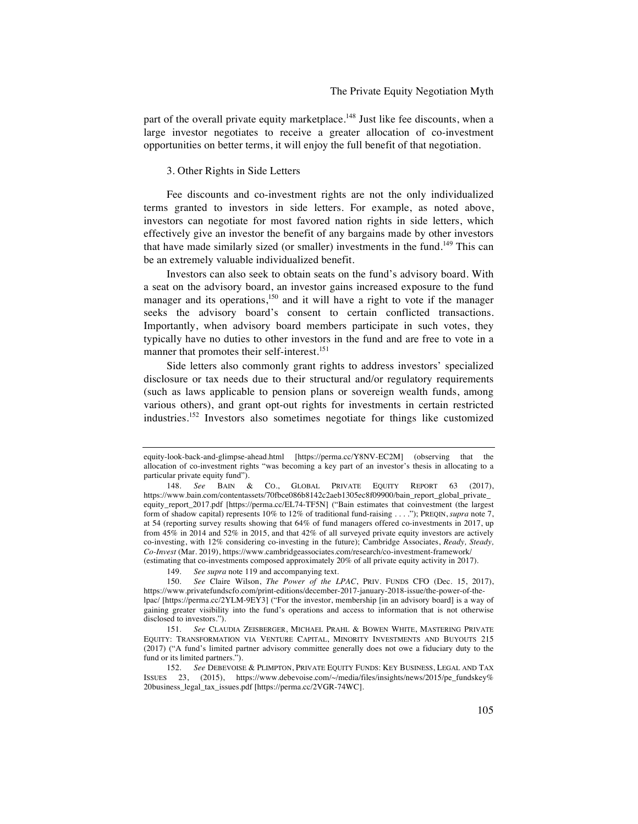part of the overall private equity marketplace.<sup>148</sup> Just like fee discounts, when a large investor negotiates to receive a greater allocation of co-investment opportunities on better terms, it will enjoy the full benefit of that negotiation.

# 3. Other Rights in Side Letters

Fee discounts and co-investment rights are not the only individualized terms granted to investors in side letters. For example, as noted above, investors can negotiate for most favored nation rights in side letters, which effectively give an investor the benefit of any bargains made by other investors that have made similarly sized (or smaller) investments in the fund.<sup>149</sup> This can be an extremely valuable individualized benefit.

Investors can also seek to obtain seats on the fund's advisory board. With a seat on the advisory board, an investor gains increased exposure to the fund manager and its operations,<sup>150</sup> and it will have a right to vote if the manager seeks the advisory board's consent to certain conflicted transactions. Importantly, when advisory board members participate in such votes, they typically have no duties to other investors in the fund and are free to vote in a manner that promotes their self-interest.<sup>151</sup>

Side letters also commonly grant rights to address investors' specialized disclosure or tax needs due to their structural and/or regulatory requirements (such as laws applicable to pension plans or sovereign wealth funds, among various others), and grant opt-out rights for investments in certain restricted industries.<sup>152</sup> Investors also sometimes negotiate for things like customized

equity-look-back-and-glimpse-ahead.html [https://perma.cc/Y8NV-EC2M] (observing that the allocation of co-investment rights "was becoming a key part of an investor's thesis in allocating to a particular private equity fund").

<sup>148.</sup> *See* BAIN & CO., GLOBAL PRIVATE EQUITY REPORT 63 (2017), https://www.bain.com/contentassets/70fbce086b8142c2aeb1305ec8f09900/bain\_report\_global\_private\_ equity\_report\_2017.pdf [https://perma.cc/EL74-TF5N] ("Bain estimates that coinvestment (the largest form of shadow capital) represents 10% to 12% of traditional fund-raising . . . ."); PREQIN, *supra* note 7, at 54 (reporting survey results showing that 64% of fund managers offered co-investments in 2017, up from 45% in 2014 and 52% in 2015, and that 42% of all surveyed private equity investors are actively co-investing, with 12% considering co-investing in the future); Cambridge Associates, *Ready, Steady, Co-Invest* (Mar. 2019), https://www.cambridgeassociates.com/research/co-investment-framework/ (estimating that co-investments composed approximately 20% of all private equity activity in 2017).

<sup>149.</sup> *See supra* note 119 and accompanying text.

<sup>150.</sup> *See* Claire Wilson, *The Power of the LPAC*, PRIV. FUNDS CFO (Dec. 15, 2017), https://www.privatefundscfo.com/print-editions/december-2017-january-2018-issue/the-power-of-thelpac/ [https://perma.cc/2YLM-9EY3] ("For the investor, membership [in an advisory board] is a way of gaining greater visibility into the fund's operations and access to information that is not otherwise disclosed to investors.").

<sup>151.</sup> *See* CLAUDIA ZEISBERGER, MICHAEL PRAHL & BOWEN WHITE, MASTERING PRIVATE EQUITY: TRANSFORMATION VIA VENTURE CAPITAL, MINORITY INVESTMENTS AND BUYOUTS 215 (2017) ("A fund's limited partner advisory committee generally does not owe a fiduciary duty to the fund or its limited partners.").

<sup>152.</sup> *See* DEBEVOISE & PLIMPTON, PRIVATE EQUITY FUNDS: KEY BUSINESS, LEGAL AND TAX ISSUES 23, (2015), https://www.debevoise.com/~/media/files/insights/news/2015/pe\_fundskey% 20business\_legal\_tax\_issues.pdf [https://perma.cc/2VGR-74WC].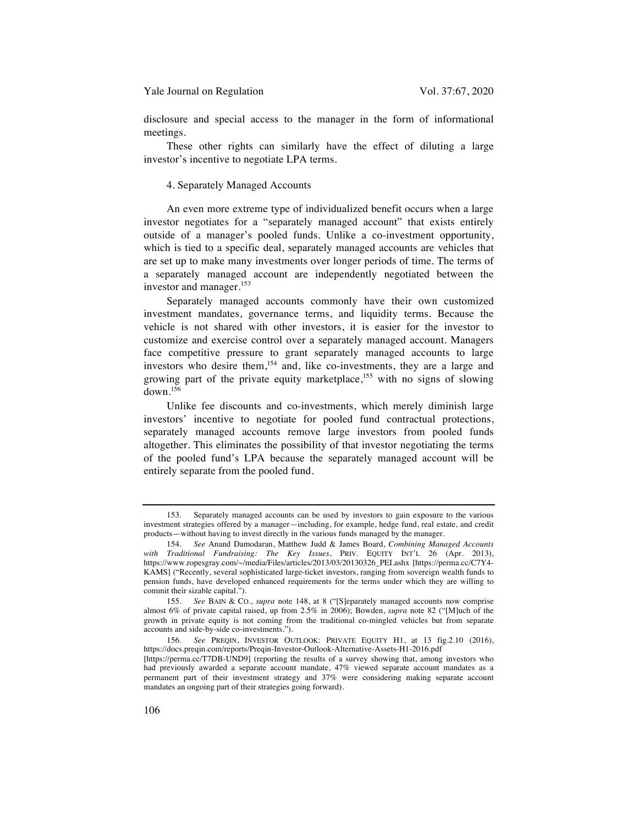disclosure and special access to the manager in the form of informational meetings.

These other rights can similarly have the effect of diluting a large investor's incentive to negotiate LPA terms.

#### 4. Separately Managed Accounts

An even more extreme type of individualized benefit occurs when a large investor negotiates for a "separately managed account" that exists entirely outside of a manager's pooled funds. Unlike a co-investment opportunity, which is tied to a specific deal, separately managed accounts are vehicles that are set up to make many investments over longer periods of time. The terms of a separately managed account are independently negotiated between the investor and manager.<sup>153</sup>

Separately managed accounts commonly have their own customized investment mandates, governance terms, and liquidity terms. Because the vehicle is not shared with other investors, it is easier for the investor to customize and exercise control over a separately managed account. Managers face competitive pressure to grant separately managed accounts to large investors who desire them,<sup>154</sup> and, like co-investments, they are a large and growing part of the private equity marketplace,<sup>155</sup> with no signs of slowing down.<sup>156</sup>

Unlike fee discounts and co-investments, which merely diminish large investors' incentive to negotiate for pooled fund contractual protections, separately managed accounts remove large investors from pooled funds altogether. This eliminates the possibility of that investor negotiating the terms of the pooled fund's LPA because the separately managed account will be entirely separate from the pooled fund.

<sup>153.</sup> Separately managed accounts can be used by investors to gain exposure to the various investment strategies offered by a manager—including, for example, hedge fund, real estate, and credit products—without having to invest directly in the various funds managed by the manager.

<sup>154.</sup> *See* Anand Damodaran, Matthew Judd & James Board, *Combining Managed Accounts with Traditional Fundraising: The Key Issues*, PRIV. EQUITY INT'L 26 (Apr. 2013), https://www.ropesgray.com/~/media/Files/articles/2013/03/20130326\_PEI.ashx [https://perma.cc/C7Y4- KAMS] ("Recently, several sophisticated large-ticket investors, ranging from sovereign wealth funds to pension funds, have developed enhanced requirements for the terms under which they are willing to commit their sizable capital.").

<sup>155.</sup> *See* BAIN & CO., *supra* note 148, at 8 ("[S]eparately managed accounts now comprise almost 6% of private capital raised, up from 2.5% in 2006); Bowden, *supra* note 82 ("[M]uch of the growth in private equity is not coming from the traditional co-mingled vehicles but from separate accounts and side-by-side co-investments.").

<sup>156.</sup> *See* PREQIN, INVESTOR OUTLOOK: PRIVATE EQUITY H1, at 13 fig.2.10 (2016), https://docs.preqin.com/reports/Preqin-Investor-Outlook-Alternative-Assets-H1-2016.pdf [https://perma.cc/T7DB-UND9] (reporting the results of a survey showing that, among investors who had previously awarded a separate account mandate, 47% viewed separate account mandates as a permanent part of their investment strategy and 37% were considering making separate account mandates an ongoing part of their strategies going forward).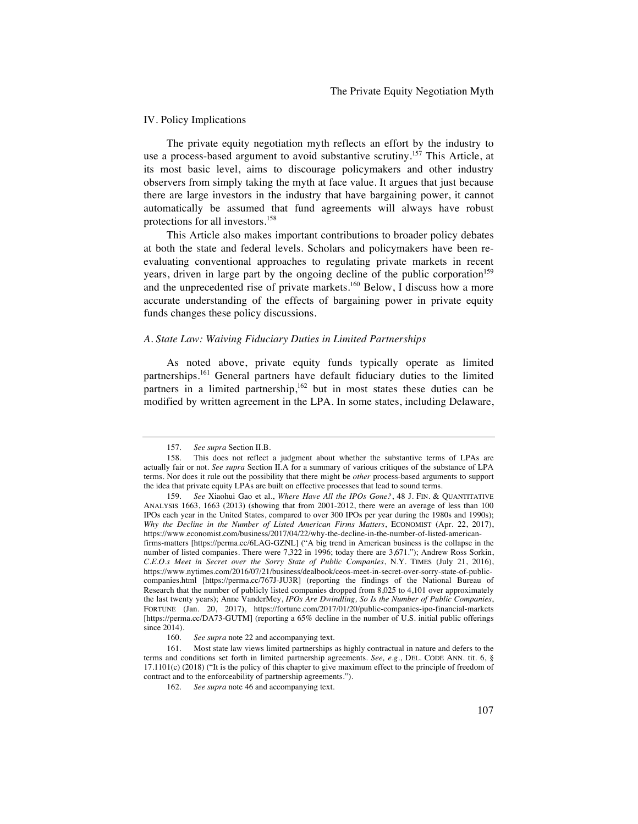#### IV. Policy Implications

The private equity negotiation myth reflects an effort by the industry to use a process-based argument to avoid substantive scrutiny.<sup>157</sup> This Article, at its most basic level, aims to discourage policymakers and other industry observers from simply taking the myth at face value. It argues that just because there are large investors in the industry that have bargaining power, it cannot automatically be assumed that fund agreements will always have robust protections for all investors.<sup>158</sup>

This Article also makes important contributions to broader policy debates at both the state and federal levels. Scholars and policymakers have been reevaluating conventional approaches to regulating private markets in recent years, driven in large part by the ongoing decline of the public corporation<sup>159</sup> and the unprecedented rise of private markets.<sup>160</sup> Below, I discuss how a more accurate understanding of the effects of bargaining power in private equity funds changes these policy discussions.

#### *A. State Law: Waiving Fiduciary Duties in Limited Partnerships*

As noted above, private equity funds typically operate as limited partnerships.<sup>161</sup> General partners have default fiduciary duties to the limited partners in a limited partnership,<sup>162</sup> but in most states these duties can be modified by written agreement in the LPA. In some states, including Delaware,

<sup>157.</sup> *See supra* Section II.B.

<sup>158.</sup> This does not reflect a judgment about whether the substantive terms of LPAs are actually fair or not. *See supra* Section II.A for a summary of various critiques of the substance of LPA terms. Nor does it rule out the possibility that there might be *other* process-based arguments to support the idea that private equity LPAs are built on effective processes that lead to sound terms.

<sup>159.</sup> *See* Xiaohui Gao et al., *Where Have All the IPOs Gone?*, 48 J. FIN. & QUANTITATIVE ANALYSIS 1663, 1663 (2013) (showing that from 2001-2012, there were an average of less than 100 IPOs each year in the United States, compared to over 300 IPOs per year during the 1980s and 1990s); *Why the Decline in the Number of Listed American Firms Matters*, ECONOMIST (Apr. 22, 2017), https://www.economist.com/business/2017/04/22/why-the-decline-in-the-number-of-listed-american-

firms-matters [https://perma.cc/6LAG-GZNL] ("A big trend in American business is the collapse in the number of listed companies. There were 7,322 in 1996; today there are 3,671."); Andrew Ross Sorkin, *C*.*E*.*O*.*s Meet in Secret over the Sorry State of Public Companies*, N.Y. TIMES (July 21, 2016), https://www.nytimes.com/2016/07/21/business/dealbook/ceos-meet-in-secret-over-sorry-state-of-publiccompanies.html [https://perma.cc/767J-JU3R] (reporting the findings of the National Bureau of Research that the number of publicly listed companies dropped from 8,025 to 4,101 over approximately the last twenty years); Anne VanderMey, *IPOs Are Dwindling, So Is the Number of Public Companies*, FORTUNE (Jan. 20, 2017), https://fortune.com/2017/01/20/public-companies-ipo-financial-markets [https://perma.cc/DA73-GUTM] (reporting a 65% decline in the number of U.S. initial public offerings since 2014).

<sup>160.</sup> *See supra* note 22 and accompanying text.

<sup>161.</sup> Most state law views limited partnerships as highly contractual in nature and defers to the terms and conditions set forth in limited partnership agreements. *See, e*.*g*., DEL. CODE ANN. tit. 6, § 17.1101(c) (2018) ("It is the policy of this chapter to give maximum effect to the principle of freedom of contract and to the enforceability of partnership agreements.").

<sup>162.</sup> *See supra* note 46 and accompanying text.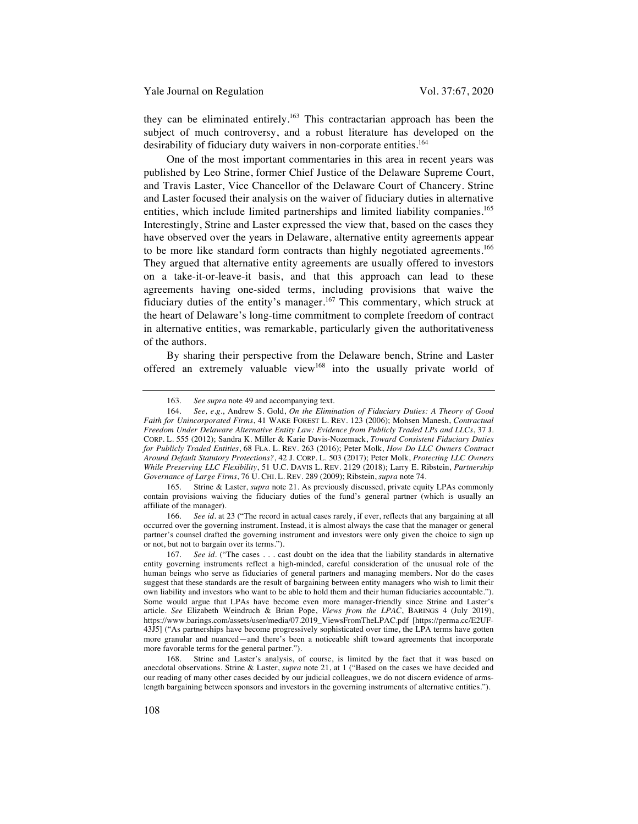they can be eliminated entirely.<sup>163</sup> This contractarian approach has been the subject of much controversy, and a robust literature has developed on the desirability of fiduciary duty waivers in non-corporate entities.<sup>164</sup>

One of the most important commentaries in this area in recent years was published by Leo Strine, former Chief Justice of the Delaware Supreme Court, and Travis Laster, Vice Chancellor of the Delaware Court of Chancery. Strine and Laster focused their analysis on the waiver of fiduciary duties in alternative entities, which include limited partnerships and limited liability companies. 165 Interestingly, Strine and Laster expressed the view that, based on the cases they have observed over the years in Delaware, alternative entity agreements appear to be more like standard form contracts than highly negotiated agreements.<sup>166</sup> They argued that alternative entity agreements are usually offered to investors on a take-it-or-leave-it basis, and that this approach can lead to these agreements having one-sided terms, including provisions that waive the fiduciary duties of the entity's manager.<sup>167</sup> This commentary, which struck at the heart of Delaware's long-time commitment to complete freedom of contract in alternative entities, was remarkable, particularly given the authoritativeness of the authors.

By sharing their perspective from the Delaware bench, Strine and Laster offered an extremely valuable view<sup>168</sup> into the usually private world of

<sup>163.</sup> *See supra* note 49 and accompanying text.

<sup>164.</sup> *See, e*.*g*., Andrew S. Gold, *On the Elimination of Fiduciary Duties: A Theory of Good Faith for Unincorporated Firms*, 41 WAKE FOREST L. REV. 123 (2006); Mohsen Manesh, *Contractual Freedom Under Delaware Alternative Entity Law: Evidence from Publicly Traded LPs and LLCs*, 37 J. CORP. L. 555 (2012); Sandra K. Miller & Karie Davis-Nozemack, *Toward Consistent Fiduciary Duties for Publicly Traded Entities*, 68 FLA. L. REV. 263 (2016); Peter Molk, *How Do LLC Owners Contract Around Default Statutory Protections?*, 42 J. CORP. L. 503 (2017); Peter Molk, *Protecting LLC Owners While Preserving LLC Flexibility*, 51 U.C. DAVIS L. REV. 2129 (2018); Larry E. Ribstein, *Partnership Governance of Large Firms*, 76 U. CHI. L. REV. 289 (2009); Ribstein, *supra* note 74.

<sup>165.</sup> Strine & Laster, *supra* note 21. As previously discussed, private equity LPAs commonly contain provisions waiving the fiduciary duties of the fund's general partner (which is usually an affiliate of the manager).

<sup>166.</sup> *See id*. at 23 ("The record in actual cases rarely, if ever, reflects that any bargaining at all occurred over the governing instrument. Instead, it is almost always the case that the manager or general partner's counsel drafted the governing instrument and investors were only given the choice to sign up or not, but not to bargain over its terms.").

<sup>167.</sup> *See id*. ("The cases . . . cast doubt on the idea that the liability standards in alternative entity governing instruments reflect a high-minded, careful consideration of the unusual role of the human beings who serve as fiduciaries of general partners and managing members. Nor do the cases suggest that these standards are the result of bargaining between entity managers who wish to limit their own liability and investors who want to be able to hold them and their human fiduciaries accountable."). Some would argue that LPAs have become even more manager-friendly since Strine and Laster's article. *See* Elizabeth Weindruch & Brian Pope, *Views from the LPAC*, BARINGS 4 (July 2019), https://www.barings.com/assets/user/media/07.2019\_ViewsFromTheLPAC.pdf [https://perma.cc/E2UF-43J5] ("As partnerships have become progressively sophisticated over time, the LPA terms have gotten more granular and nuanced—and there's been a noticeable shift toward agreements that incorporate more favorable terms for the general partner.").

<sup>168.</sup> Strine and Laster's analysis, of course, is limited by the fact that it was based on anecdotal observations. Strine & Laster, *supra* note 21, at 1 ("Based on the cases we have decided and our reading of many other cases decided by our judicial colleagues, we do not discern evidence of armslength bargaining between sponsors and investors in the governing instruments of alternative entities.").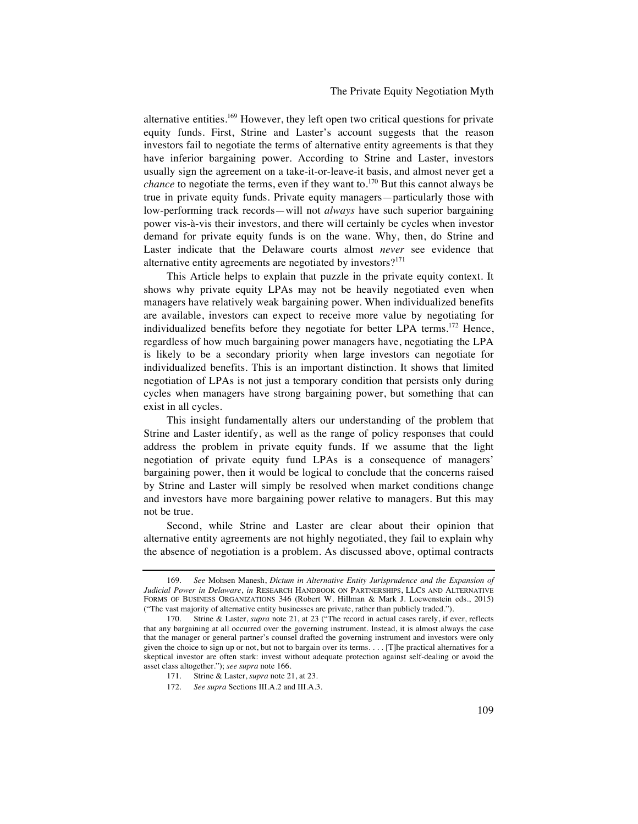# The Private Equity Negotiation Myth

alternative entities. <sup>169</sup> However, they left open two critical questions for private equity funds. First, Strine and Laster's account suggests that the reason investors fail to negotiate the terms of alternative entity agreements is that they have inferior bargaining power. According to Strine and Laster, investors usually sign the agreement on a take-it-or-leave-it basis, and almost never get a *chance* to negotiate the terms, even if they want to.<sup>170</sup> But this cannot always be true in private equity funds. Private equity managers—particularly those with low-performing track records—will not *always* have such superior bargaining power vis-à-vis their investors, and there will certainly be cycles when investor demand for private equity funds is on the wane. Why, then, do Strine and Laster indicate that the Delaware courts almost *never* see evidence that alternative entity agreements are negotiated by investors?<sup>171</sup>

This Article helps to explain that puzzle in the private equity context. It shows why private equity LPAs may not be heavily negotiated even when managers have relatively weak bargaining power. When individualized benefits are available, investors can expect to receive more value by negotiating for individualized benefits before they negotiate for better LPA terms.<sup>172</sup> Hence, regardless of how much bargaining power managers have, negotiating the LPA is likely to be a secondary priority when large investors can negotiate for individualized benefits. This is an important distinction. It shows that limited negotiation of LPAs is not just a temporary condition that persists only during cycles when managers have strong bargaining power, but something that can exist in all cycles.

This insight fundamentally alters our understanding of the problem that Strine and Laster identify, as well as the range of policy responses that could address the problem in private equity funds. If we assume that the light negotiation of private equity fund LPAs is a consequence of managers' bargaining power, then it would be logical to conclude that the concerns raised by Strine and Laster will simply be resolved when market conditions change and investors have more bargaining power relative to managers. But this may not be true.

Second, while Strine and Laster are clear about their opinion that alternative entity agreements are not highly negotiated, they fail to explain why the absence of negotiation is a problem. As discussed above, optimal contracts

<sup>169.</sup> *See* Mohsen Manesh, *Dictum in Alternative Entity Jurisprudence and the Expansion of Judicial Power in Delaware*, *in* RESEARCH HANDBOOK ON PARTNERSHIPS, LLCS AND ALTERNATIVE FORMS OF BUSINESS ORGANIZATIONS 346 (Robert W. Hillman & Mark J. Loewenstein eds., 2015) ("The vast majority of alternative entity businesses are private, rather than publicly traded.").

<sup>170.</sup> Strine & Laster, *supra* note 21, at 23 ("The record in actual cases rarely, if ever, reflects that any bargaining at all occurred over the governing instrument. Instead, it is almost always the case that the manager or general partner's counsel drafted the governing instrument and investors were only given the choice to sign up or not, but not to bargain over its terms. . . . [T]he practical alternatives for a skeptical investor are often stark: invest without adequate protection against self-dealing or avoid the asset class altogether."); *see supra* note 166.

<sup>171.</sup> Strine & Laster, *supra* note 21, at 23.

<sup>172.</sup> *See supra* Sections III.A.2 and III.A.3.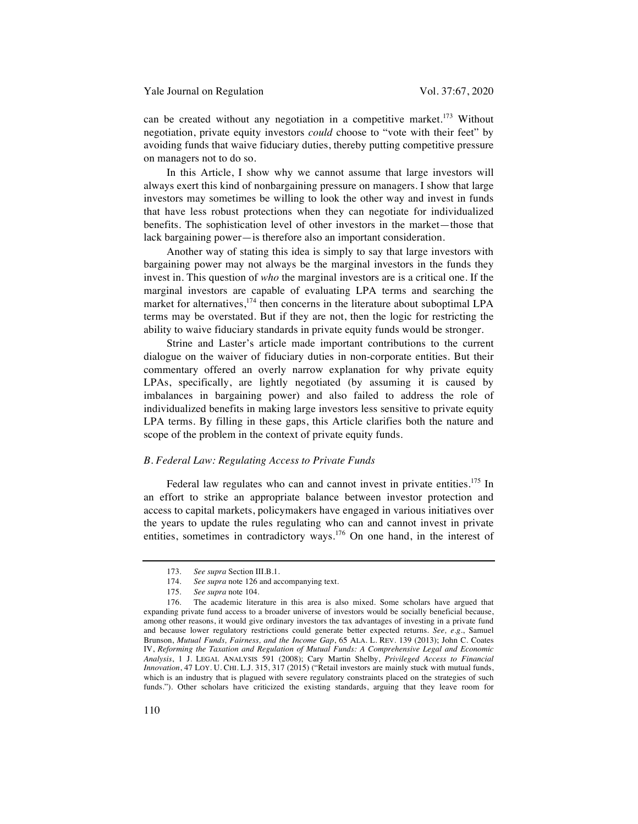can be created without any negotiation in a competitive market.<sup>173</sup> Without negotiation, private equity investors *could* choose to "vote with their feet" by avoiding funds that waive fiduciary duties, thereby putting competitive pressure on managers not to do so.

In this Article, I show why we cannot assume that large investors will always exert this kind of nonbargaining pressure on managers. I show that large investors may sometimes be willing to look the other way and invest in funds that have less robust protections when they can negotiate for individualized benefits. The sophistication level of other investors in the market—those that lack bargaining power—is therefore also an important consideration.

Another way of stating this idea is simply to say that large investors with bargaining power may not always be the marginal investors in the funds they invest in. This question of *who* the marginal investors are is a critical one. If the marginal investors are capable of evaluating LPA terms and searching the market for alternatives, $174$  then concerns in the literature about suboptimal LPA terms may be overstated. But if they are not, then the logic for restricting the ability to waive fiduciary standards in private equity funds would be stronger.

Strine and Laster's article made important contributions to the current dialogue on the waiver of fiduciary duties in non-corporate entities. But their commentary offered an overly narrow explanation for why private equity LPAs, specifically, are lightly negotiated (by assuming it is caused by imbalances in bargaining power) and also failed to address the role of individualized benefits in making large investors less sensitive to private equity LPA terms. By filling in these gaps, this Article clarifies both the nature and scope of the problem in the context of private equity funds.

#### *B. Federal Law: Regulating Access to Private Funds*

Federal law regulates who can and cannot invest in private entities.<sup>175</sup> In an effort to strike an appropriate balance between investor protection and access to capital markets, policymakers have engaged in various initiatives over the years to update the rules regulating who can and cannot invest in private entities, sometimes in contradictory ways.<sup>176</sup> On one hand, in the interest of

<sup>173.</sup> *See supra* Section III.B.1.

<sup>174.</sup> *See supra* note 126 and accompanying text.

<sup>175.</sup> *See supra* note 104.

<sup>176.</sup> The academic literature in this area is also mixed. Some scholars have argued that expanding private fund access to a broader universe of investors would be socially beneficial because, among other reasons, it would give ordinary investors the tax advantages of investing in a private fund and because lower regulatory restrictions could generate better expected returns. *See, e*.*g*., Samuel Brunson, *Mutual Funds, Fairness, and the Income Gap*, 65 ALA. L. REV. 139 (2013); John C. Coates IV, *Reforming the Taxation and Regulation of Mutual Funds: A Comprehensive Legal and Economic Analysis*, 1 J. LEGAL ANALYSIS 591 (2008); Cary Martin Shelby, *Privileged Access to Financial Innovation*, 47 LOY. U. CHI. L.J. 315, 317 (2015) ("Retail investors are mainly stuck with mutual funds, which is an industry that is plagued with severe regulatory constraints placed on the strategies of such funds."). Other scholars have criticized the existing standards, arguing that they leave room for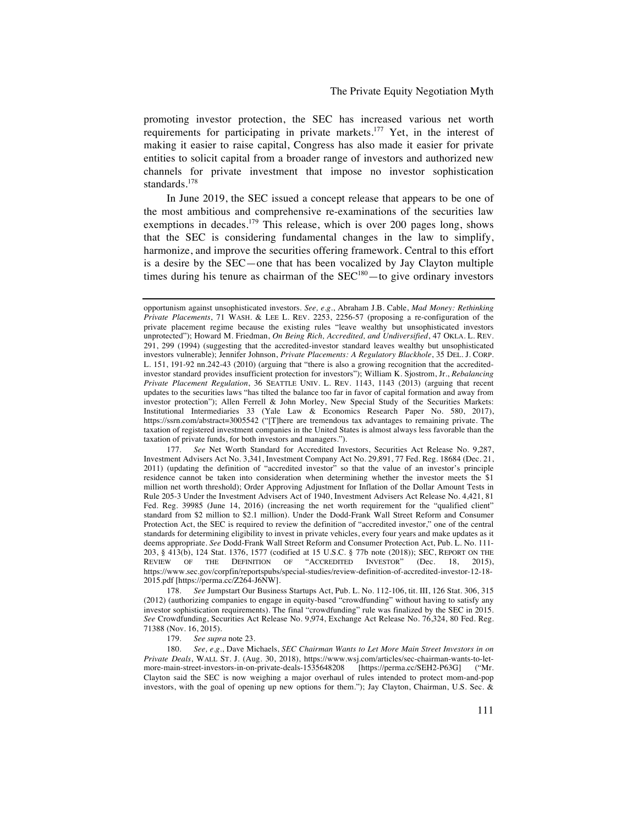promoting investor protection, the SEC has increased various net worth requirements for participating in private markets.<sup>177</sup> Yet, in the interest of making it easier to raise capital, Congress has also made it easier for private entities to solicit capital from a broader range of investors and authorized new channels for private investment that impose no investor sophistication standards.178

In June 2019, the SEC issued a concept release that appears to be one of the most ambitious and comprehensive re-examinations of the securities law exemptions in decades.<sup>179</sup> This release, which is over 200 pages long, shows that the SEC is considering fundamental changes in the law to simplify, harmonize, and improve the securities offering framework. Central to this effort is a desire by the SEC—one that has been vocalized by Jay Clayton multiple times during his tenure as chairman of the  $SEC^{180} -$  to give ordinary investors

179. *See supra* note 23.

opportunism against unsophisticated investors. *See, e*.*g*., Abraham J.B. Cable, *Mad Money: Rethinking Private Placements*, 71 WASH. & LEE L. REV. 2253, 2256-57 (proposing a re-configuration of the private placement regime because the existing rules "leave wealthy but unsophisticated investors unprotected"); Howard M. Friedman, *On Being Rich, Accredited, and Undiversified*, 47 OKLA. L. REV. 291, 299 (1994) (suggesting that the accredited-investor standard leaves wealthy but unsophisticated investors vulnerable); Jennifer Johnson, *Private Placements: A Regulatory Blackhole*, 35 DEL. J. CORP. L. 151, 191-92 nn.242-43 (2010) (arguing that "there is also a growing recognition that the accreditedinvestor standard provides insufficient protection for investors"); William K. Sjostrom, Jr., *Rebalancing Private Placement Regulation*, 36 SEATTLE UNIV. L. REV. 1143, 1143 (2013) (arguing that recent updates to the securities laws "has tilted the balance too far in favor of capital formation and away from investor protection"); Allen Ferrell & John Morley, New Special Study of the Securities Markets: Institutional Intermediaries 33 (Yale Law & Economics Research Paper No. 580, 2017), https://ssrn.com/abstract=3005542 ("[T]here are tremendous tax advantages to remaining private. The taxation of registered investment companies in the United States is almost always less favorable than the taxation of private funds, for both investors and managers.").

<sup>177.</sup> *See* Net Worth Standard for Accredited Investors, Securities Act Release No. 9,287, Investment Advisers Act No. 3,341, Investment Company Act No. 29,891, 77 Fed. Reg. 18684 (Dec. 21, 2011) (updating the definition of "accredited investor" so that the value of an investor's principle residence cannot be taken into consideration when determining whether the investor meets the \$1 million net worth threshold); Order Approving Adjustment for Inflation of the Dollar Amount Tests in Rule 205-3 Under the Investment Advisers Act of 1940, Investment Advisers Act Release No. 4,421, 81 Fed. Reg. 39985 (June 14, 2016) (increasing the net worth requirement for the "qualified client" standard from \$2 million to \$2.1 million). Under the Dodd-Frank Wall Street Reform and Consumer Protection Act, the SEC is required to review the definition of "accredited investor," one of the central standards for determining eligibility to invest in private vehicles, every four years and make updates as it deems appropriate. *See* Dodd-Frank Wall Street Reform and Consumer Protection Act, Pub. L. No. 111- 203, § 413(b), 124 Stat. 1376, 1577 (codified at 15 U.S.C. § 77b note (2018)); SEC, REPORT ON THE REVIEW OF THE DEFINITION OF "ACCREDITED INVESTOR" (Dec. 18, 2015), https://www.sec.gov/corpfin/reportspubs/special-studies/review-definition-of-accredited-investor-12-18- 2015.pdf [https://perma.cc/Z264-J6NW].

<sup>178.</sup> *See* Jumpstart Our Business Startups Act, Pub. L. No. 112-106, tit. III, 126 Stat. 306, 315 (2012) (authorizing companies to engage in equity-based "crowdfunding" without having to satisfy any investor sophistication requirements). The final "crowdfunding" rule was finalized by the SEC in 2015. *See* Crowdfunding, Securities Act Release No. 9,974, Exchange Act Release No. 76,324, 80 Fed. Reg. 71388 (Nov. 16, 2015).

<sup>180.</sup> *See, e*.*g*., Dave Michaels, *SEC Chairman Wants to Let More Main Street Investors in on Private Deals*, WALL ST. J. (Aug. 30, 2018), https://www.wsj.com/articles/sec-chairman-wants-to-letmore-main-street-investors-in-on-private-deals-1535648208 [https://perma.cc/SEH2-P63G] ("Mr. Clayton said the SEC is now weighing a major overhaul of rules intended to protect mom-and-pop investors, with the goal of opening up new options for them."); Jay Clayton, Chairman, U.S. Sec. &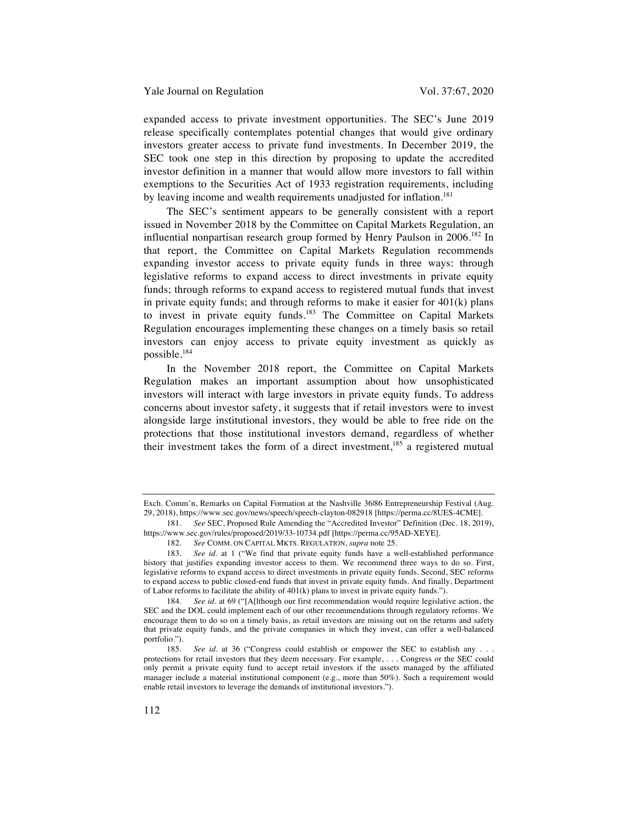expanded access to private investment opportunities. The SEC's June 2019 release specifically contemplates potential changes that would give ordinary investors greater access to private fund investments. In December 2019, the SEC took one step in this direction by proposing to update the accredited investor definition in a manner that would allow more investors to fall within exemptions to the Securities Act of 1933 registration requirements, including by leaving income and wealth requirements unadjusted for inflation.<sup>181</sup>

The SEC's sentiment appears to be generally consistent with a report issued in November 2018 by the Committee on Capital Markets Regulation, an influential nonpartisan research group formed by Henry Paulson in 2006.<sup>182</sup> In that report, the Committee on Capital Markets Regulation recommends expanding investor access to private equity funds in three ways: through legislative reforms to expand access to direct investments in private equity funds; through reforms to expand access to registered mutual funds that invest in private equity funds; and through reforms to make it easier for  $401(k)$  plans to invest in private equity funds.<sup>183</sup> The Committee on Capital Markets Regulation encourages implementing these changes on a timely basis so retail investors can enjoy access to private equity investment as quickly as possible.184

In the November 2018 report, the Committee on Capital Markets Regulation makes an important assumption about how unsophisticated investors will interact with large investors in private equity funds. To address concerns about investor safety, it suggests that if retail investors were to invest alongside large institutional investors, they would be able to free ride on the protections that those institutional investors demand, regardless of whether their investment takes the form of a direct investment,<sup>185</sup> a registered mutual

Exch. Comm'n, Remarks on Capital Formation at the Nashville 36|86 Entrepreneurship Festival (Aug. 29, 2018), https://www.sec.gov/news/speech/speech-clayton-082918 [https://perma.cc/8UES-4CME].

<sup>181.</sup> *See* SEC, Proposed Rule Amending the "Accredited Investor" Definition (Dec. 18, 2019), https://www.sec.gov/rules/proposed/2019/33-10734.pdf [https://perma.cc/95AD-XEYE].

<sup>182.</sup> *See* COMM. ON CAPITAL MKTS. REGULATION, *supra* note 25.

<sup>183.</sup> *See id*. at 1 ("We find that private equity funds have a well-established performance history that justifies expanding investor access to them. We recommend three ways to do so. First, legislative reforms to expand access to direct investments in private equity funds. Second, SEC reforms to expand access to public closed-end funds that invest in private equity funds. And finally, Department of Labor reforms to facilitate the ability of 401(k) plans to invest in private equity funds.").

<sup>184.</sup> *See id*. at 69 ("[A[lthough our first recommendation would require legislative action, the SEC and the DOL could implement each of our other recommendations through regulatory reforms. We encourage them to do so on a timely basis, as retail investors are missing out on the returns and safety that private equity funds, and the private companies in which they invest, can offer a well-balanced portfolio.").

<sup>185.</sup> *See id*. at 36 ("Congress could establish or empower the SEC to establish any . . . protections for retail investors that they deem necessary. For example, . . . Congress or the SEC could only permit a private equity fund to accept retail investors if the assets managed by the affiliated manager include a material institutional component (e.g., more than 50%). Such a requirement would enable retail investors to leverage the demands of institutional investors.").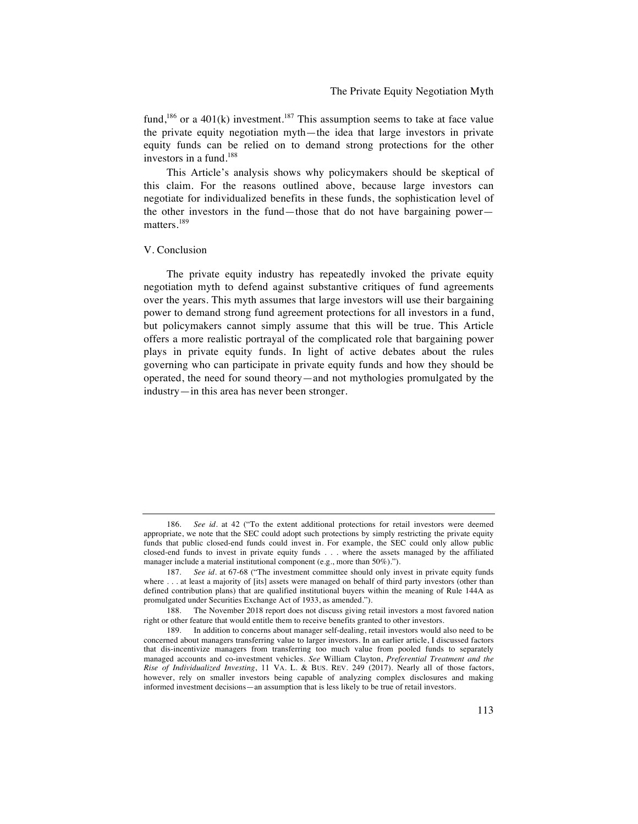fund,<sup>186</sup> or a 401(k) investment.<sup>187</sup> This assumption seems to take at face value the private equity negotiation myth—the idea that large investors in private equity funds can be relied on to demand strong protections for the other investors in a fund.188

This Article's analysis shows why policymakers should be skeptical of this claim. For the reasons outlined above, because large investors can negotiate for individualized benefits in these funds, the sophistication level of the other investors in the fund—those that do not have bargaining power matters.<sup>189</sup>

#### V. Conclusion

The private equity industry has repeatedly invoked the private equity negotiation myth to defend against substantive critiques of fund agreements over the years. This myth assumes that large investors will use their bargaining power to demand strong fund agreement protections for all investors in a fund, but policymakers cannot simply assume that this will be true. This Article offers a more realistic portrayal of the complicated role that bargaining power plays in private equity funds. In light of active debates about the rules governing who can participate in private equity funds and how they should be operated, the need for sound theory—and not mythologies promulgated by the industry—in this area has never been stronger.

<sup>186.</sup> *See id*. at 42 ("To the extent additional protections for retail investors were deemed appropriate, we note that the SEC could adopt such protections by simply restricting the private equity funds that public closed-end funds could invest in. For example, the SEC could only allow public closed-end funds to invest in private equity funds . . . where the assets managed by the affiliated manager include a material institutional component (e.g., more than 50%).").

<sup>187.</sup> *See id*. at 67-68 ("The investment committee should only invest in private equity funds where . . . at least a majority of [its] assets were managed on behalf of third party investors (other than defined contribution plans) that are qualified institutional buyers within the meaning of Rule 144A as promulgated under Securities Exchange Act of 1933, as amended.").

<sup>188.</sup> The November 2018 report does not discuss giving retail investors a most favored nation right or other feature that would entitle them to receive benefits granted to other investors.

<sup>189.</sup> In addition to concerns about manager self-dealing, retail investors would also need to be concerned about managers transferring value to larger investors. In an earlier article, I discussed factors that dis-incentivize managers from transferring too much value from pooled funds to separately managed accounts and co-investment vehicles. *See* William Clayton, *Preferential Treatment and the Rise of Individualized Investing*, 11 VA. L. & BUS. REV. 249 (2017). Nearly all of those factors, however, rely on smaller investors being capable of analyzing complex disclosures and making informed investment decisions—an assumption that is less likely to be true of retail investors.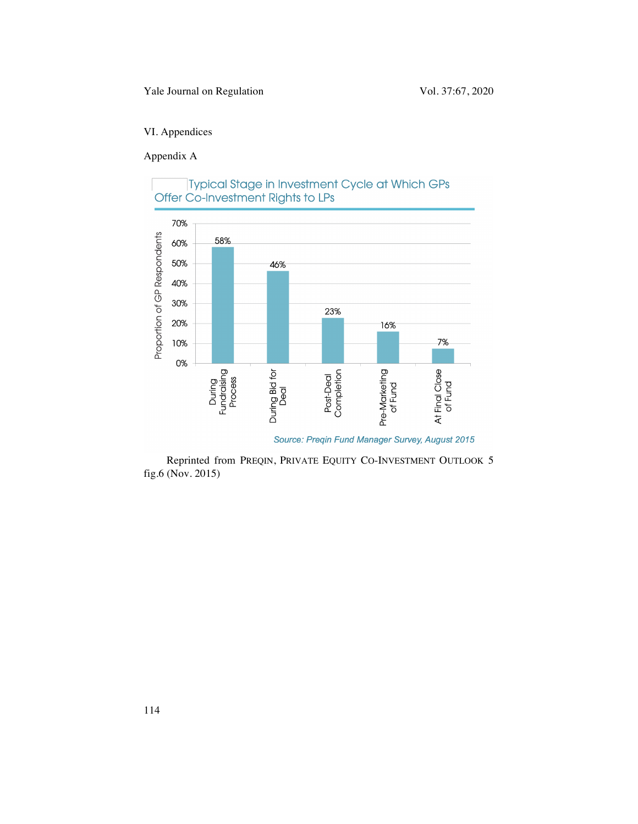# VI. Appendices

Appendix A



# Typical Stage in Investment Cycle at Which GPs Offer Co-Investment Rights to LPs

Source: Preqin Fund Manager Survey, August 2015

Reprinted from PREQIN, PRIVATE EQUITY CO-INVESTMENT OUTLOOK 5 fig.6 (Nov. 2015)